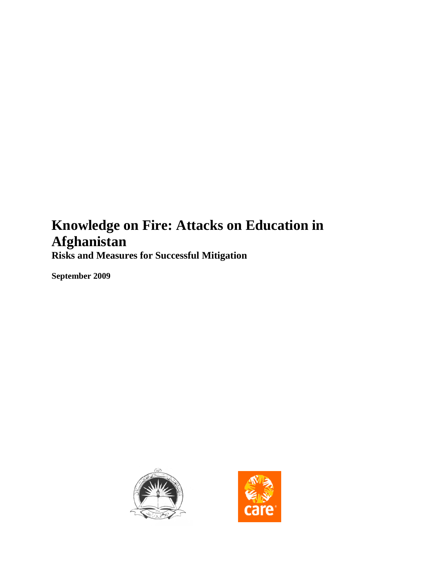# <span id="page-0-0"></span>**Knowledge on Fire: Attacks on Education in Afghanistan**

**Risks and Measures for Successful Mitigation**

**September 2009**



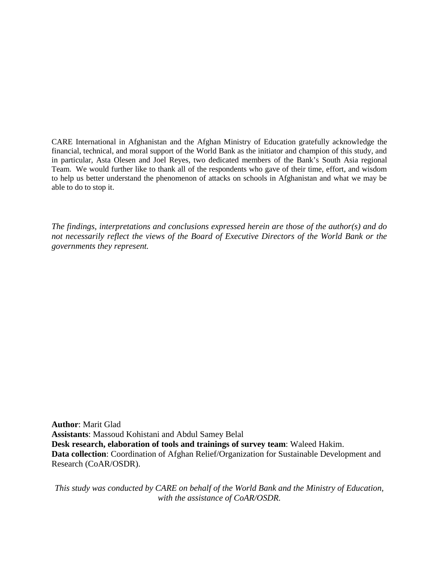CARE International in Afghanistan and the Afghan Ministry of Education gratefully acknowledge the financial, technical, and moral support of the World Bank as the initiator and champion of this study, and in particular, Asta Olesen and Joel Reyes, two dedicated members of the Bank's South Asia regional Team. We would further like to thank all of the respondents who gave of their time, effort, and wisdom to help us better understand the phenomenon of attacks on schools in Afghanistan and what we may be able to do to stop it.

*The findings, interpretations and conclusions expressed herein are those of the author(s) and do not necessarily reflect the views of the Board of Executive Directors of the World Bank or the governments they represent.*

**Author**: Marit Glad **Assistants**: Massoud Kohistani and Abdul Samey Belal **Desk research, elaboration of tools and trainings of survey team**: Waleed Hakim. **Data collection**: Coordination of Afghan Relief/Organization for Sustainable Development and Research (CoAR/OSDR).

*This study was conducted by CARE on behalf of the World Bank and the Ministry of Education, with the assistance of CoAR/OSDR.*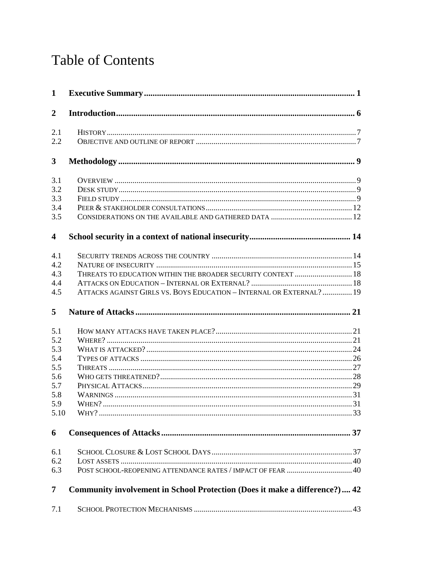# **Table of Contents**

| $\mathbf{1}$            |                                                                            |  |
|-------------------------|----------------------------------------------------------------------------|--|
| $\overline{2}$          |                                                                            |  |
| 2.1                     |                                                                            |  |
| 2.2                     |                                                                            |  |
| $\mathbf{3}$            |                                                                            |  |
| 3.1                     |                                                                            |  |
| 3.2                     |                                                                            |  |
| 3.3                     |                                                                            |  |
| 3.4                     |                                                                            |  |
| 3.5                     |                                                                            |  |
| $\overline{\mathbf{4}}$ |                                                                            |  |
| 4.1                     |                                                                            |  |
| 4.2                     |                                                                            |  |
| 4.3                     | THREATS TO EDUCATION WITHIN THE BROADER SECURITY CONTEXT  18               |  |
| 4.4                     |                                                                            |  |
| 4.5                     | ATTACKS AGAINST GIRLS VS. BOYS EDUCATION - INTERNAL OR EXTERNAL?  19       |  |
| 5                       |                                                                            |  |
| 5.1                     |                                                                            |  |
| 5.2                     |                                                                            |  |
| 5.3                     |                                                                            |  |
| 5.4                     |                                                                            |  |
| 5.5                     |                                                                            |  |
| 5.6                     |                                                                            |  |
| 5.7                     |                                                                            |  |
| 5.8                     |                                                                            |  |
| 5.9                     |                                                                            |  |
| 5.10                    |                                                                            |  |
| 6                       |                                                                            |  |
| 6.1                     |                                                                            |  |
| 6.2                     |                                                                            |  |
| 6.3                     |                                                                            |  |
| 7                       | Community involvement in School Protection (Does it make a difference?) 42 |  |
| 7.1                     |                                                                            |  |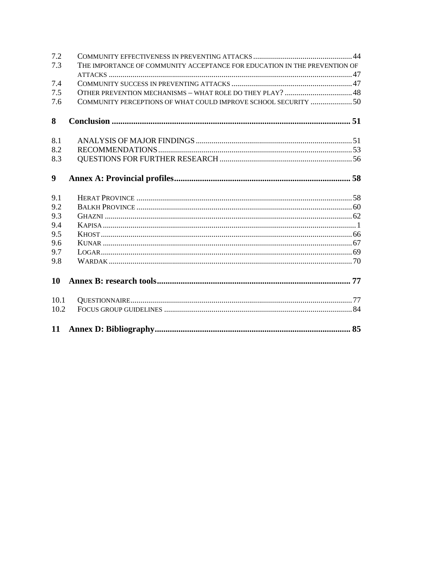| 7.2              |                                                                           |  |
|------------------|---------------------------------------------------------------------------|--|
| 7.3              | THE IMPORTANCE OF COMMUNITY ACCEPTANCE FOR EDUCATION IN THE PREVENTION OF |  |
| 7.4              |                                                                           |  |
| 7.5              |                                                                           |  |
| 7.6              | COMMUNITY PERCEPTIONS OF WHAT COULD IMPROVE SCHOOL SECURITY  50           |  |
| 8                |                                                                           |  |
|                  |                                                                           |  |
| 8.1              |                                                                           |  |
| 8.2              |                                                                           |  |
| 8.3              |                                                                           |  |
| $\boldsymbol{9}$ |                                                                           |  |
| 9.1              |                                                                           |  |
| 9.2              |                                                                           |  |
| 9.3              |                                                                           |  |
| 9.4              |                                                                           |  |
| 9.5              |                                                                           |  |
| 9.6              |                                                                           |  |
| 9.7              |                                                                           |  |
| 9.8              |                                                                           |  |
| <b>10</b>        |                                                                           |  |
| 10.1             |                                                                           |  |
| 10.2             |                                                                           |  |
|                  |                                                                           |  |
|                  |                                                                           |  |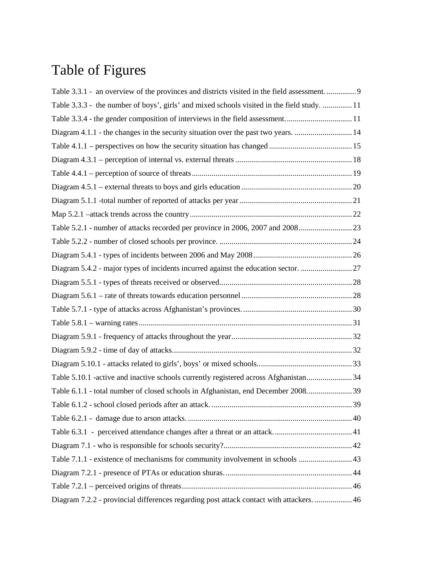# Table of Figures

| Table 3.3.1 - an overview of the provinces and districts visited in the field assessment    |  |
|---------------------------------------------------------------------------------------------|--|
| Table 3.3.3 - the number of boys', girls' and mixed schools visited in the field study.  11 |  |
| Table 3.3.4 - the gender composition of interviews in the field assessment11                |  |
| Diagram 4.1.1 - the changes in the security situation over the past two years.  14          |  |
|                                                                                             |  |
|                                                                                             |  |
|                                                                                             |  |
|                                                                                             |  |
|                                                                                             |  |
|                                                                                             |  |
| Table 5.2.1 - number of attacks recorded per province in 2006, 2007 and 2008                |  |
|                                                                                             |  |
|                                                                                             |  |
| Diagram 5.4.2 - major types of incidents incurred against the education sector. 27          |  |
|                                                                                             |  |
|                                                                                             |  |
|                                                                                             |  |
|                                                                                             |  |
|                                                                                             |  |
|                                                                                             |  |
|                                                                                             |  |
| Table 5.10.1 -active and inactive schools currently registered across Afghanistan34         |  |
|                                                                                             |  |
|                                                                                             |  |
|                                                                                             |  |
|                                                                                             |  |
|                                                                                             |  |
| Table 7.1.1 - existence of mechanisms for community involvement in schools 43               |  |
|                                                                                             |  |
|                                                                                             |  |
| Diagram 7.2.2 - provincial differences regarding post attack contact with attackers.  46    |  |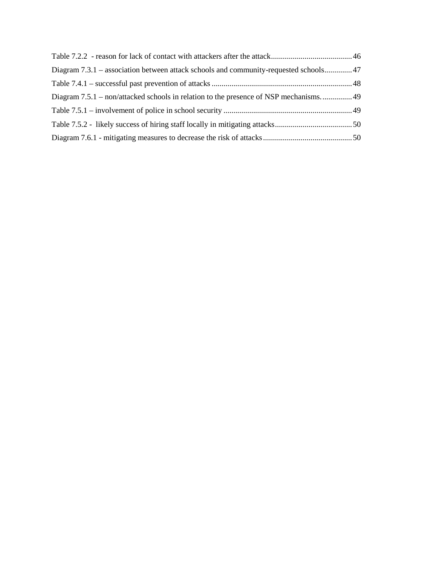| Diagram 7.3.1 – association between attack schools and community-requested schools47  |  |
|---------------------------------------------------------------------------------------|--|
|                                                                                       |  |
| Diagram 7.5.1 – non/attacked schools in relation to the presence of NSP mechanisms 49 |  |
|                                                                                       |  |
|                                                                                       |  |
|                                                                                       |  |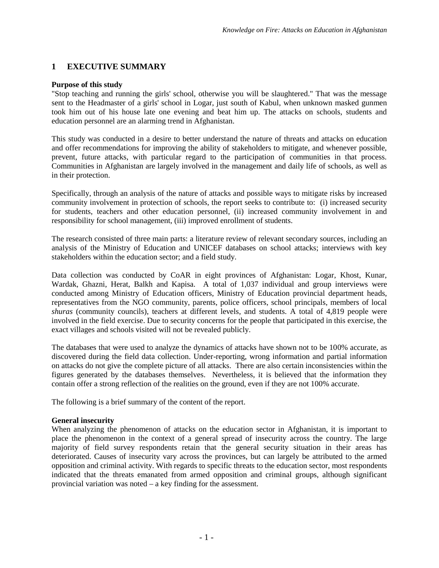## <span id="page-6-0"></span>**1 EXECUTIVE SUMMARY**

#### **Purpose of this study**

"Stop teaching and running the girls' school, otherwise you will be slaughtered." That was the message sent to the Headmaster of a girls' school in Logar, just south of Kabul, when unknown masked gunmen took him out of his house late one evening and beat him up. The attacks on schools, students and education personnel are an alarming trend in Afghanistan.

This study was conducted in a desire to better understand the nature of threats and attacks on education and offer recommendations for improving the ability of stakeholders to mitigate, and whenever possible, prevent, future attacks, with particular regard to the participation of communities in that process. Communities in Afghanistan are largely involved in the management and daily life of schools, as well as in their protection.

Specifically, through an analysis of the nature of attacks and possible ways to mitigate risks by increased community involvement in protection of schools, the report seeks to contribute to: (i) increased security for students, teachers and other education personnel, (ii) increased community involvement in and responsibility for school management, (iii) improved enrollment of students.

The research consisted of three main parts: a literature review of relevant secondary sources, including an analysis of the Ministry of Education and UNICEF databases on school attacks; interviews with key stakeholders within the education sector; and a field study.

Data collection was conducted by CoAR in eight provinces of Afghanistan: Logar, Khost, Kunar, Wardak, Ghazni, Herat, Balkh and Kapisa. A total of 1,037 individual and group interviews were conducted among Ministry of Education officers, Ministry of Education provincial department heads, representatives from the NGO community, parents, police officers, school principals, members of local *shuras* (community councils), teachers at different levels, and students. A total of 4,819 people were involved in the field exercise. Due to security concerns for the people that participated in this exercise, the exact villages and schools visited will not be revealed publicly.

The databases that were used to analyze the dynamics of attacks have shown not to be 100% accurate, as discovered during the field data collection. Under-reporting, wrong information and partial information on attacks do not give the complete picture of all attacks. There are also certain inconsistencies within the figures generated by the databases themselves. Nevertheless, it is believed that the information they contain offer a strong reflection of the realities on the ground, even if they are not 100% accurate.

The following is a brief summary of the content of the report.

#### **General insecurity**

When analyzing the phenomenon of attacks on the education sector in Afghanistan, it is important to place the phenomenon in the context of a general spread of insecurity across the country. The large majority of field survey respondents retain that the general security situation in their areas has deteriorated. Causes of insecurity vary across the provinces, but can largely be attributed to the armed opposition and criminal activity. With regards to specific threats to the education sector, most respondents indicated that the threats emanated from armed opposition and criminal groups, although significant provincial variation was noted – a key finding for the assessment.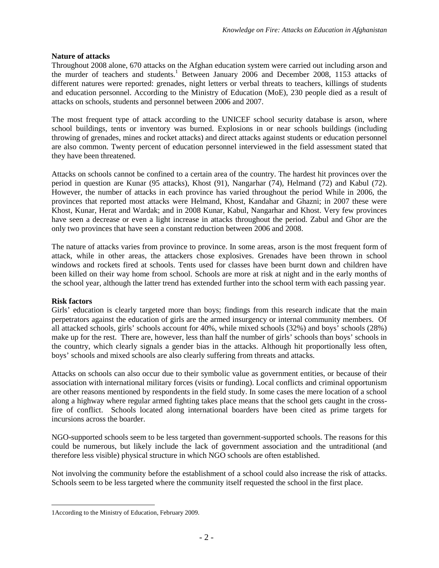### **Nature of attacks**

Throughout 2008 alone, 670 attacks on the Afghan education system were carried out including arson and the murder of teachers and students.<sup>[1](#page-7-0)</sup> Between January 2006 and December 2008, 1153 attacks of different natures were reported: grenades, night letters or verbal threats to teachers, killings of students and education personnel. According to the Ministry of Education (MoE), 230 people died as a result of attacks on schools, students and personnel between 2006 and 2007.

The most frequent type of attack according to the UNICEF school security database is arson, where school buildings, tents or inventory was burned. Explosions in or near schools buildings (including throwing of grenades, mines and rocket attacks) and direct attacks against students or education personnel are also common. Twenty percent of education personnel interviewed in the field assessment stated that they have been threatened.

Attacks on schools cannot be confined to a certain area of the country. The hardest hit provinces over the period in question are Kunar (95 attacks), Khost (91), Nangarhar (74), Helmand (72) and Kabul (72). However, the number of attacks in each province has varied throughout the period While in 2006, the provinces that reported most attacks were Helmand, Khost, Kandahar and Ghazni; in 2007 these were Khost, Kunar, Herat and Wardak; and in 2008 Kunar, Kabul, Nangarhar and Khost. Very few provinces have seen a decrease or even a light increase in attacks throughout the period. Zabul and Ghor are the only two provinces that have seen a constant reduction between 2006 and 2008.

The nature of attacks varies from province to province. In some areas, arson is the most frequent form of attack, while in other areas, the attackers chose explosives. Grenades have been thrown in school windows and rockets fired at schools. Tents used for classes have been burnt down and children have been killed on their way home from school. Schools are more at risk at night and in the early months of the school year, although the latter trend has extended further into the school term with each passing year.

#### **Risk factors**

Girls' education is clearly targeted more than boys; findings from this research indicate that the main perpetrators against the education of girls are the armed insurgency or internal community members. Of all attacked schools, girls' schools account for 40%, while mixed schools (32%) and boys' schools (28%) make up for the rest. There are, however, less than half the number of girls' schools than boys' schools in the country, which clearly signals a gender bias in the attacks. Although hit proportionally less often, boys' schools and mixed schools are also clearly suffering from threats and attacks.

Attacks on schools can also occur due to their symbolic value as government entities, or because of their association with international military forces (visits or funding). Local conflicts and criminal opportunism are other reasons mentioned by respondents in the field study. In some cases the mere location of a school along a highway where regular armed fighting takes place means that the school gets caught in the crossfire of conflict. Schools located along international boarders have been cited as prime targets for incursions across the boarder.

NGO-supported schools seem to be less targeted than government-supported schools. The reasons for this could be numerous, but likely include the lack of government association and the untraditional (and therefore less visible) physical structure in which NGO schools are often established.

Not involving the community before the establishment of a school could also increase the risk of attacks. Schools seem to be less targeted where the community itself requested the school in the first place.

<span id="page-7-0"></span><sup>1</sup>According to the Ministry of Education, February 2009.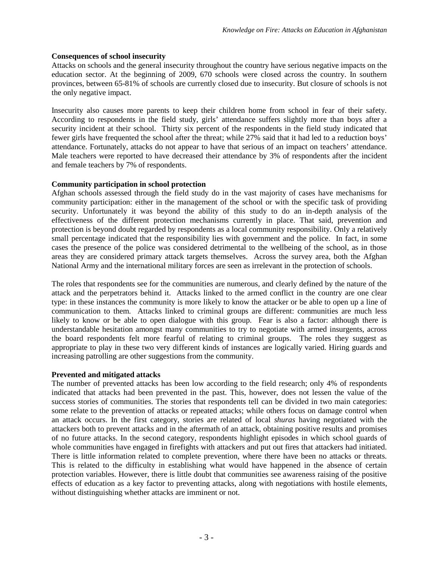#### **Consequences of school insecurity**

Attacks on schools and the general insecurity throughout the country have serious negative impacts on the education sector. At the beginning of 2009, 670 schools were closed across the country. In southern provinces, between 65-81% of schools are currently closed due to insecurity. But closure of schools is not the only negative impact.

Insecurity also causes more parents to keep their children home from school in fear of their safety. According to respondents in the field study, girls' attendance suffers slightly more than boys after a security incident at their school. Thirty six percent of the respondents in the field study indicated that fewer girls have frequented the school after the threat; while 27% said that it had led to a reduction boys' attendance. Fortunately, attacks do not appear to have that serious of an impact on teachers' attendance. Male teachers were reported to have decreased their attendance by 3% of respondents after the incident and female teachers by 7% of respondents.

#### **Community participation in school protection**

Afghan schools assessed through the field study do in the vast majority of cases have mechanisms for community participation: either in the management of the school or with the specific task of providing security. Unfortunately it was beyond the ability of this study to do an in-depth analysis of the effectiveness of the different protection mechanisms currently in place. That said, prevention and protection is beyond doubt regarded by respondents as a local community responsibility. Only a relatively small percentage indicated that the responsibility lies with government and the police. In fact, in some cases the presence of the police was considered detrimental to the wellbeing of the school, as in those areas they are considered primary attack targets themselves. Across the survey area, both the Afghan National Army and the international military forces are seen as irrelevant in the protection of schools.

The roles that respondents see for the communities are numerous, and clearly defined by the nature of the attack and the perpetrators behind it. Attacks linked to the armed conflict in the country are one clear type: in these instances the community is more likely to know the attacker or be able to open up a line of communication to them. Attacks linked to criminal groups are different: communities are much less likely to know or be able to open dialogue with this group. Fear is also a factor: although there is understandable hesitation amongst many communities to try to negotiate with armed insurgents, across the board respondents felt more fearful of relating to criminal groups. The roles they suggest as appropriate to play in these two very different kinds of instances are logically varied. Hiring guards and increasing patrolling are other suggestions from the community.

#### **Prevented and mitigated attacks**

The number of prevented attacks has been low according to the field research; only 4% of respondents indicated that attacks had been prevented in the past. This, however, does not lessen the value of the success stories of communities. The stories that respondents tell can be divided in two main categories: some relate to the prevention of attacks or repeated attacks; while others focus on damage control when an attack occurs. In the first category, stories are related of local *shuras* having negotiated with the attackers both to prevent attacks and in the aftermath of an attack, obtaining positive results and promises of no future attacks. In the second category, respondents highlight episodes in which school guards of whole communities have engaged in firefights with attackers and put out fires that attackers had initiated. There is little information related to complete prevention, where there have been no attacks or threats. This is related to the difficulty in establishing what would have happened in the absence of certain protection variables. However, there is little doubt that communities see awareness raising of the positive effects of education as a key factor to preventing attacks, along with negotiations with hostile elements, without distinguishing whether attacks are imminent or not.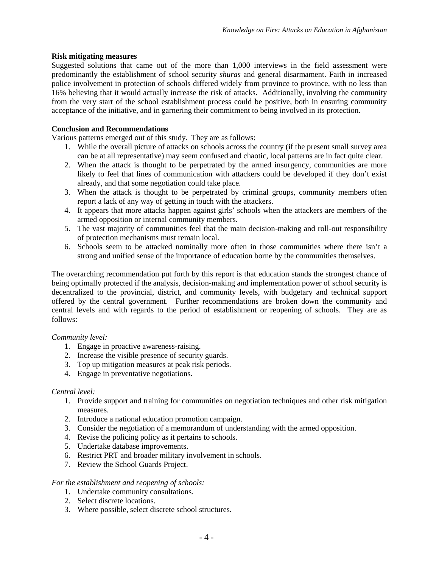### **Risk mitigating measures**

Suggested solutions that came out of the more than 1,000 interviews in the field assessment were predominantly the establishment of school security *shuras* and general disarmament. Faith in increased police involvement in protection of schools differed widely from province to province, with no less than 16% believing that it would actually increase the risk of attacks. Additionally, involving the community from the very start of the school establishment process could be positive, both in ensuring community acceptance of the initiative, and in garnering their commitment to being involved in its protection.

### **Conclusion and Recommendations**

Various patterns emerged out of this study. They are as follows:

- 1. While the overall picture of attacks on schools across the country (if the present small survey area can be at all representative) may seem confused and chaotic, local patterns are in fact quite clear.
- 2. When the attack is thought to be perpetrated by the armed insurgency, communities are more likely to feel that lines of communication with attackers could be developed if they don't exist already, and that some negotiation could take place.
- 3. When the attack is thought to be perpetrated by criminal groups, community members often report a lack of any way of getting in touch with the attackers.
- 4. It appears that more attacks happen against girls' schools when the attackers are members of the armed opposition or internal community members.
- 5. The vast majority of communities feel that the main decision-making and roll-out responsibility of protection mechanisms must remain local.
- 6. Schools seem to be attacked nominally more often in those communities where there isn't a strong and unified sense of the importance of education borne by the communities themselves.

The overarching recommendation put forth by this report is that education stands the strongest chance of being optimally protected if the analysis, decision-making and implementation power of school security is decentralized to the provincial, district, and community levels, with budgetary and technical support offered by the central government. Further recommendations are broken down the community and central levels and with regards to the period of establishment or reopening of schools. They are as follows:

#### *Community level:*

- 1. Engage in proactive awareness-raising.
- 2. Increase the visible presence of security guards.
- 3. Top up mitigation measures at peak risk periods.
- 4. Engage in preventative negotiations.

#### *Central level:*

- 1. Provide support and training for communities on negotiation techniques and other risk mitigation measures.
- 2. Introduce a national education promotion campaign.
- 3. Consider the negotiation of a memorandum of understanding with the armed opposition.
- 4. Revise the policing policy as it pertains to schools.
- 5. Undertake database improvements.
- 6. Restrict PRT and broader military involvement in schools.
- 7. Review the School Guards Project.

#### *For the establishment and reopening of schools:*

- 1. Undertake community consultations.
- 2. Select discrete locations.
- 3. Where possible, select discrete school structures.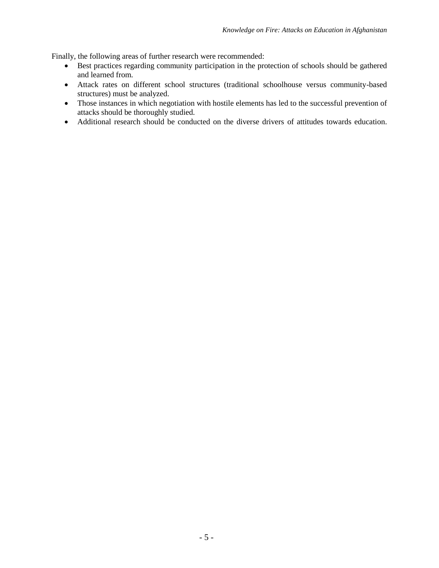Finally, the following areas of further research were recommended:

- Best practices regarding community participation in the protection of schools should be gathered and learned from.
- Attack rates on different school structures (traditional schoolhouse versus community-based structures) must be analyzed.
- Those instances in which negotiation with hostile elements has led to the successful prevention of attacks should be thoroughly studied.
- Additional research should be conducted on the diverse drivers of attitudes towards education.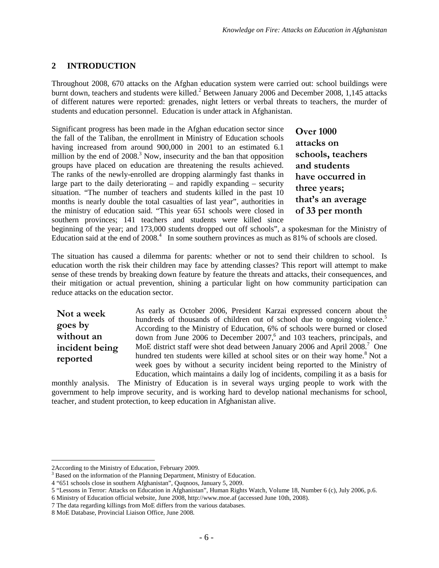## <span id="page-11-0"></span>**2 INTRODUCTION**

Throughout 2008, 670 attacks on the Afghan education system were carried out: school buildings were burnt down, teachers and students were killed. [2](#page-11-1) Between January 2006 and December 2008, 1,145 attacks of different natures were reported: grenades, night letters or verbal threats to teachers, the murder of students and education personnel. Education is under attack in Afghanistan.

Significant progress has been made in the Afghan education sector since the fall of the Taliban, the enrollment in Ministry of Education schools having increased from around 900,000 in 2001 to an estimated 6.1 millionby the end of  $2008<sup>3</sup>$  Now, insecurity and the ban that opposition groups have placed on education are threatening the results achieved. The ranks of the newly-enrolled are dropping alarmingly fast thanks in large part to the daily deteriorating – and rapidly expanding – security situation. "The number of teachers and students killed in the past 10 months is nearly double the total casualties of last year", authorities in the ministry of education said. "This year 651 schools were closed in southern provinces; 141 teachers and students were killed since

**Over 1000 attacks on schools, teachers and students have occurred in three years; that's an average of 33 per month**

beginning of the year; and 173,000 students dropped out off schools", a spokesman for the Ministry of Educationsaid at the end of  $2008<sup>4</sup>$ . In some southern provinces as much as  $81%$  of schools are closed.

The situation has caused a dilemma for parents: whether or not to send their children to school. Is education worth the risk their children may face by attending classes? This report will attempt to make sense of these trends by breaking down feature by feature the threats and attacks, their consequences, and their mitigation or actual prevention, shining a particular light on how community participation can reduce attacks on the education sector.

**Not a week goes by without an incident being reported**

As early as October 2006, President Karzai expressed concern about the hundredsof thousands of children out of school due to ongoing viole[nc](#page-11-4)e.<sup>5</sup> According to the Ministry of Education, 6% of schools were burned or closed downfrom June 2006 to December 200[7,](#page-11-5)<sup>6</sup> and 103 teachers, principals, and MoEdistrict staff were shot dead between January 2006 and April 2008[.](#page-11-6)<sup>7</sup> One hundred ten students were killed at school sites or on their way home.<sup>8</sup> [N](#page-11-7)ot a week goes by without a security incident being reported to the Ministry of Education, which maintains a daily log of incidents, compiling it as a basis for

monthly analysis. The Ministry of Education is in several ways urging people to work with the government to help improve security, and is working hard to develop national mechanisms for school, teacher, and student protection, to keep education in Afghanistan alive.

<span id="page-11-2"></span><span id="page-11-1"></span><sup>2</sup>According to the Ministry of Education, February 2009.

<span id="page-11-3"></span><sup>&</sup>lt;sup>3</sup> Based on the information of the Planning Department, Ministry of Education.

<span id="page-11-4"></span><sup>4</sup> "651 schools close in southern Afghanistan", Quqnoos, January 5, 2009.

<span id="page-11-5"></span><sup>5</sup> "Lessons in Terror: Attacks on Education in Afghanistan", Human Rights Watch, Volume 18, Number 6 (c), July 2006, p.6.

<span id="page-11-6"></span><sup>6</sup> Ministry of Education official website, June 2008, http://www.moe.af (accessed June 10th, 2008).

<span id="page-11-7"></span><sup>7</sup> The data regarding killings from MoE differs from the various databases.

<sup>8</sup> MoE Database, Provincial Liaison Office, June 2008.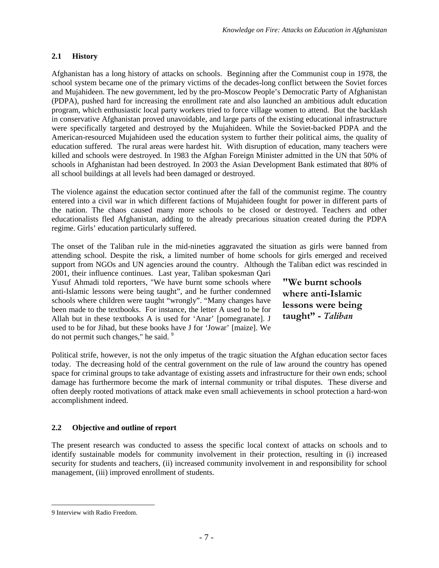## <span id="page-12-0"></span>**2.1 History**

Afghanistan has a long history of attacks on schools. Beginning after the Communist coup in 1978, the school system became one of the primary victims of the decades-long conflict between the Soviet forces and Mujahideen. The new government, led by the pro-Moscow People's Democratic Party of Afghanistan (PDPA), pushed hard for increasing the enrollment rate and also launched an ambitious adult education program, which enthusiastic local party workers tried to force village women to attend. But the backlash in conservative Afghanistan proved unavoidable, and large parts of the existing educational infrastructure were specifically targeted and destroyed by the Mujahideen. While the Soviet-backed PDPA and the American-resourced Mujahideen used the education system to further their political aims, the quality of education suffered. The rural areas were hardest hit. With disruption of education, many teachers were killed and schools were destroyed. In 1983 the Afghan Foreign Minister admitted in the UN that 50% of schools in Afghanistan had been destroyed. In 2003 the Asian Development Bank estimated that 80% of all school buildings at all levels had been damaged or destroyed.

The violence against the education sector continued after the fall of the communist regime. The country entered into a civil war in which different factions of Mujahideen fought for power in different parts of the nation. The chaos caused many more schools to be closed or destroyed. Teachers and other educationalists fled Afghanistan, adding to the already precarious situation created during the PDPA regime. Girls' education particularly suffered.

The onset of the Taliban rule in the mid-nineties aggravated the situation as girls were banned from attending school. Despite the risk, a limited number of home schools for girls emerged and received support from NGOs and UN agencies around the country. Although the Taliban edict was rescinded in

2001, their influence continues. Last year, Taliban spokesman Qari Yusuf Ahmadi told reporters, "We have burnt some schools where anti-Islamic lessons were being taught", and he further condemned schools where children were taught "wrongly". "Many changes have been made to the textbooks. For instance, the letter A used to be for Allah but in these textbooks A is used for 'Anar' [pomegranate]. J used to be for Jihad, but these books have J for 'Jowar' [maize]. We donot permit such changes," he said. 9

**"We burnt schools where anti-Islamic lessons were being taught" -** *Taliban*

Political strife, however, is not the only impetus of the tragic situation the Afghan education sector faces today. The decreasing hold of the central government on the rule of law around the country has opened space for criminal groups to take advantage of existing assets and infrastructure for their own ends; school damage has furthermore become the mark of internal community or tribal disputes. These diverse and often deeply rooted motivations of attack make even small achievements in school protection a hard-won accomplishment indeed.

## <span id="page-12-1"></span>**2.2 Objective and outline of report**

The present research was conducted to assess the specific local context of attacks on schools and to identify sustainable models for community involvement in their protection, resulting in (i) increased security for students and teachers, (ii) increased community involvement in and responsibility for school management, (iii) improved enrollment of students.

<span id="page-12-2"></span><sup>9</sup> Interview with Radio Freedom.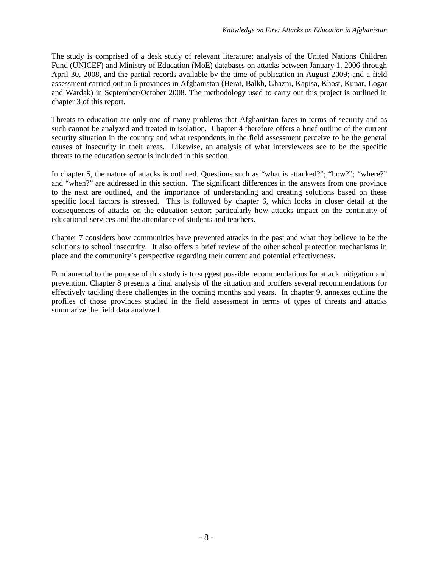The study is comprised of a desk study of relevant literature; analysis of the United Nations Children Fund (UNICEF) and Ministry of Education (MoE) databases on attacks between January 1, 2006 through April 30, 2008, and the partial records available by the time of publication in August 2009; and a field assessment carried out in 6 provinces in Afghanistan (Herat, Balkh, Ghazni, Kapisa, Khost, Kunar, Logar and Wardak) in September/October 2008. The methodology used to carry out this project is outlined in chapter 3 of this report.

Threats to education are only one of many problems that Afghanistan faces in terms of security and as such cannot be analyzed and treated in isolation. Chapter 4 therefore offers a brief outline of the current security situation in the country and what respondents in the field assessment perceive to be the general causes of insecurity in their areas. Likewise, an analysis of what interviewees see to be the specific threats to the education sector is included in this section.

In chapter 5, the nature of attacks is outlined. Questions such as "what is attacked?"; "how?"; "where?" and "when?" are addressed in this section. The significant differences in the answers from one province to the next are outlined, and the importance of understanding and creating solutions based on these specific local factors is stressed. This is followed by chapter 6, which looks in closer detail at the consequences of attacks on the education sector; particularly how attacks impact on the continuity of educational services and the attendance of students and teachers.

Chapter 7 considers how communities have prevented attacks in the past and what they believe to be the solutions to school insecurity. It also offers a brief review of the other school protection mechanisms in place and the community's perspective regarding their current and potential effectiveness.

Fundamental to the purpose of this study is to suggest possible recommendations for attack mitigation and prevention. Chapter 8 presents a final analysis of the situation and proffers several recommendations for effectively tackling these challenges in the coming months and years. In chapter 9, annexes outline the profiles of those provinces studied in the field assessment in terms of types of threats and attacks summarize the field data analyzed.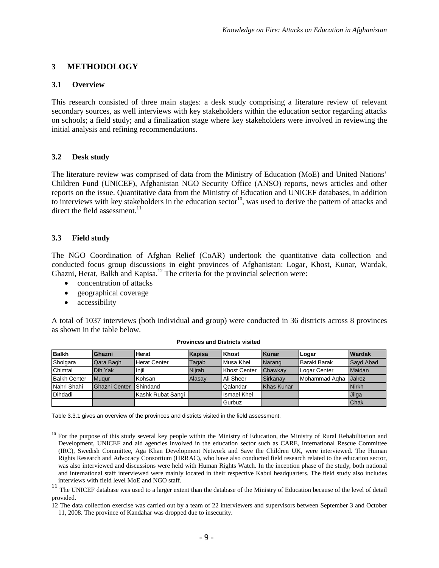## <span id="page-14-0"></span>**3 METHODOLOGY**

#### <span id="page-14-1"></span>**3.1 Overview**

This research consisted of three main stages: a desk study comprising a literature review of relevant secondary sources, as well interviews with key stakeholders within the education sector regarding attacks on schools; a field study; and a finalization stage where key stakeholders were involved in reviewing the initial analysis and refining recommendations.

### <span id="page-14-2"></span>**3.2 Desk study**

The literature review was comprised of data from the Ministry of Education (MoE) and United Nations' Children Fund (UNICEF), Afghanistan NGO Security Office (ANSO) reports, news articles and other reports on the issue. Quantitative data from the Ministry of Education and UNICEF databases, in addition to interviews with key stakeholders in the education sector<sup>[10](#page-14-5)</sup>, was used to derive the pattern of attacks and direct the field assessment.<sup>[11](#page-14-6)</sup>

## <span id="page-14-3"></span>**3.3 Field study**

The NGO Coordination of Afghan Relief (CoAR) undertook the quantitative data collection and conducted focus group discussions in eight provinces of Afghanistan: Logar, Khost, Kunar, Wardak, Ghazni, Herat, Balkh and Kapisa.<sup>[12](#page-14-7)</sup> The criteria for the provincial selection were:

- concentration of attacks
- geographical coverage
- accessibility

A total of 1037 interviews (both individual and group) were conducted in 36 districts across 8 provinces as shown in the table below.

| <b>Balkh</b>        | Ghazni        | <b>Herat</b>        | Kapisa        | <b>Khost</b>        | <b>Kunar</b> | Logar         | <b>Wardak</b> |
|---------------------|---------------|---------------------|---------------|---------------------|--------------|---------------|---------------|
| Sholgara            | Qara Bagh     | <b>Herat Center</b> | Tagab         | "Musa Khel          | Narang       | Baraki Barak  | Sayd Abad     |
| Chimtal             | Dih Yak       | Iniil               | <b>Niirab</b> | <b>Khost Center</b> | Chawkay      | Logar Center  | Maidan        |
| <b>Balkh Center</b> | Mugur         | Kohsan              | Alasav        | Ali Sheer           | Sirkanav     | Mohammad Agha | <b>Jalrez</b> |
| Nahri Shahi         | Ghazni Center | Shindand            |               | Qalandar            | Khas Kunar   |               | <b>Nirkh</b>  |
| <b>IDihdadi</b>     |               | Kashk Rubat Sangi   |               | <b>Ismael Khel</b>  |              |               | Jilga         |
|                     |               |                     |               | Gurbuz              |              |               | Chak          |

#### **Provinces and Districts visited**

<span id="page-14-4"></span>Table 3.3.1 gives an overview of the provinces and districts visited in the field assessment.

<span id="page-14-5"></span><sup>&</sup>lt;sup>10</sup> For the purpose of this study several key people within the Ministry of Education, the Ministry of Rural Rehabilitation and Development, UNICEF and aid agencies involved in the education sector such as CARE, International Rescue Committee (IRC), Swedish Committee, Aga Khan Development Network and Save the Children UK, were interviewed. The Human Rights Research and Advocacy Consortium (HRRAC), who have also conducted field research related to the education sector, was also interviewed and discussions were held with Human Rights Watch. In the inception phase of the study, both national and international staff interviewed were mainly located in their respective Kabul headquarters. The field study also includes interviews with field level MoE and NGO staff.

<span id="page-14-6"></span><sup>&</sup>lt;sup>11</sup> The UNICEF database was used to a larger extent than the database of the Ministry of Education because of the level of detail provided.

<span id="page-14-7"></span><sup>12</sup> The data collection exercise was carried out by a team of 22 interviewers and supervisors between September 3 and October 11, 2008. The province of Kandahar was dropped due to insecurity.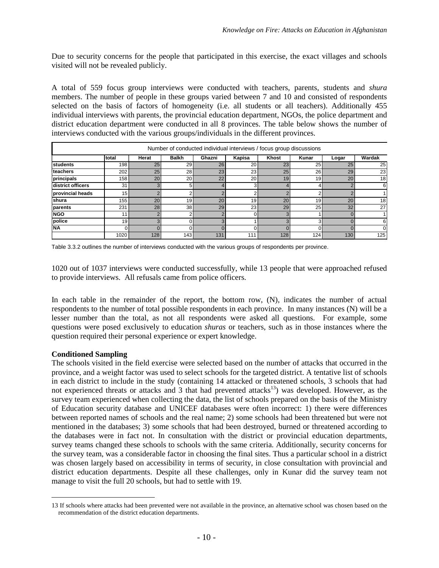Due to security concerns for the people that participated in this exercise, the exact villages and schools visited will not be revealed publicly.

A total of 559 focus group interviews were conducted with teachers, parents, students and *shura* members. The number of people in these groups varied between 7 and 10 and consisted of respondents selected on the basis of factors of homogeneity (i.e. all students or all teachers). Additionally 455 individual interviews with parents, the provincial education department, NGOs, the police department and district education department were conducted in all 8 provinces. The table below shows the number of interviews conducted with the various groups/individuals in the different provinces.

| Number of conducted individual interviews / focus group discussions |                  |       |              |          |           |       |                |       |        |  |
|---------------------------------------------------------------------|------------------|-------|--------------|----------|-----------|-------|----------------|-------|--------|--|
|                                                                     | Itotal           | Herat | <b>Balkh</b> | Ghazni   | Kapisa    | Khost | Kunar          | Logar | Wardak |  |
| students                                                            | 198              | 25    | 29           | 26       | 20        | 23    | 25             | 25    | 25     |  |
| teachers                                                            | 202              | 25    | 28           | 23       | 23        | 25    | 26             | 29    | 23     |  |
| principals                                                          | 158              | 20    | 20           | 22       | <b>20</b> | 19    | 19             | 20    | 18     |  |
| district officers                                                   | 31               |       | 5            |          |           |       |                |       | 6      |  |
| provincial heads                                                    | 15               |       |              |          |           |       |                |       |        |  |
| <b>Ishura</b>                                                       | 155 <sub>1</sub> | 20    | 19           | 20       | 19        | 20    | 19             | 20    | 18     |  |
| parents                                                             | 231              | 28    | 38           | 29       | 23        | 29    | 25             | 32    | 27     |  |
| <b>NGO</b>                                                          | 11               |       | C            | $\Omega$ |           | 3     |                |       |        |  |
| police                                                              | 19               |       |              | $\Omega$ |           | 3     | $\overline{ }$ |       | 6      |  |
| <b>NA</b>                                                           |                  |       |              |          |           |       |                |       |        |  |
|                                                                     | 1020             | 128   | 143          | 131      | 111       | 128   | 124            | 130   | 125    |  |

Table 3.3.2 outlines the number of interviews conducted with the various groups of respondents per province.

1020 out of 1037 interviews were conducted successfully, while 13 people that were approached refused to provide interviews. All refusals came from police officers.

In each table in the remainder of the report, the bottom row, (N), indicates the number of actual respondents to the number of total possible respondents in each province. In many instances (N) will be a lesser number than the total, as not all respondents were asked all questions. For example, some questions were posed exclusively to education *shuras* or teachers, such as in those instances where the question required their personal experience or expert knowledge.

#### **Conditioned Sampling**

The schools visited in the field exercise were selected based on the number of attacks that occurred in the province, and a weight factor was used to select schools for the targeted district. A tentative list of schools in each district to include in the study (containing 14 attacked or threatened schools, 3 schools that had not experienced threats or attacks and 3 that had prevented attacks<sup>[13](#page-15-0)</sup>) was developed. However, as the survey team experienced when collecting the data, the list of schools prepared on the basis of the Ministry of Education security database and UNICEF databases were often incorrect: 1) there were differences between reported names of schools and the real name; 2) some schools had been threatened but were not mentioned in the databases; 3) some schools that had been destroyed, burned or threatened according to the databases were in fact not. In consultation with the district or provincial education departments, survey teams changed these schools to schools with the same criteria. Additionally, security concerns for the survey team, was a considerable factor in choosing the final sites. Thus a particular school in a district was chosen largely based on accessibility in terms of security, in close consultation with provincial and district education departments. Despite all these challenges, only in Kunar did the survey team not manage to visit the full 20 schools, but had to settle with 19.

<span id="page-15-0"></span><sup>13</sup> If schools where attacks had been prevented were not available in the province, an alternative school was chosen based on the recommendation of the district education departments.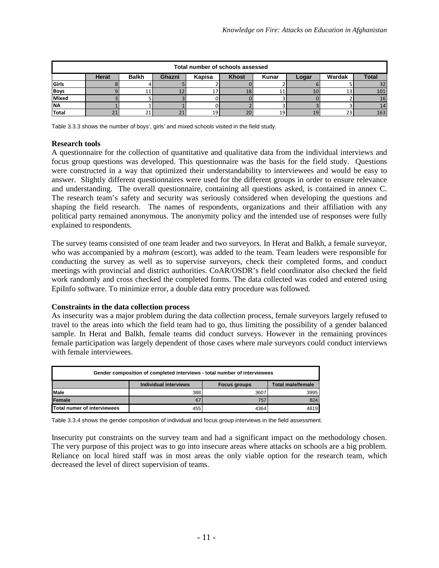| Total number of schools assessed |                                                                                                                     |    |  |    |    |                 |    |    |     |  |  |  |
|----------------------------------|---------------------------------------------------------------------------------------------------------------------|----|--|----|----|-----------------|----|----|-----|--|--|--|
|                                  | <b>Total</b><br><b>Balkh</b><br>Wardak<br><b>Khost</b><br><b>Herat</b><br>Ghazni<br>Kapisa<br><b>Kunar</b><br>Logar |    |  |    |    |                 |    |    |     |  |  |  |
| Girls                            |                                                                                                                     |    |  |    |    |                 |    |    | 32  |  |  |  |
| <b>Boys</b>                      |                                                                                                                     | 11 |  | 17 | 18 | ᅩ               | 10 | 13 | 101 |  |  |  |
| Mixed                            |                                                                                                                     |    |  |    |    |                 |    |    | 16  |  |  |  |
| <b>INA</b>                       |                                                                                                                     |    |  |    |    |                 |    |    | 14  |  |  |  |
| <b>Total</b>                     | 21                                                                                                                  |    |  | 19 | 20 | 19 <sub>1</sub> | 19 | 23 | 163 |  |  |  |

<span id="page-16-0"></span>Table 3.3.3 shows the number of boys', girls' and mixed schools visited in the field study.

#### **Research tools**

A questionnaire for the collection of quantitative and qualitative data from the individual interviews and focus group questions was developed. This questionnaire was the basis for the field study. Questions were constructed in a way that optimized their understandability to interviewees and would be easy to answer. Slightly different questionnaires were used for the different groups in order to ensure relevance and understanding. The overall questionnaire, containing all questions asked, is contained in annex C. The research team's safety and security was seriously considered when developing the questions and shaping the field research. The names of respondents, organizations and their affiliation with any political party remained anonymous. The anonymity policy and the intended use of responses were fully explained to respondents.

The survey teams consisted of one team leader and two surveyors. In Herat and Balkh, a female surveyor, who was accompanied by a *mahram* (escort), was added to the team. Team leaders were responsible for conducting the survey as well as to supervise surveyors, check their completed forms, and conduct meetings with provincial and district authorities. CoAR/OSDR's field coordinator also checked the field work randomly and cross checked the completed forms. The data collected was coded and entered using EpiInfo software. To minimize error, a double data entry procedure was followed.

#### **Constraints in the data collection process**

As insecurity was a major problem during the data collection process, female surveyors largely refused to travel to the areas into which the field team had to go, thus limiting the possibility of a gender balanced sample. In Herat and Balkh, female teams did conduct surveys. However in the remaining provinces female participation was largely dependent of those cases where male surveyors could conduct interviews with female interviewees.

| Gender composition of completed interviews - total number of interviewees |     |      |      |  |  |  |  |  |
|---------------------------------------------------------------------------|-----|------|------|--|--|--|--|--|
| Individual interviews<br><b>Total male/female</b><br>Focus groups         |     |      |      |  |  |  |  |  |
| <b>IMale</b>                                                              | 388 | 3607 | 3995 |  |  |  |  |  |
| Female                                                                    | 67  | 757  | 824  |  |  |  |  |  |
| Total numer of interviewees                                               | 455 | 4364 | 4819 |  |  |  |  |  |

<span id="page-16-1"></span>Table 3.3.4 shows the gender composition of individual and focus group interviews in the field assessment.

Insecurity put constraints on the survey team and had a significant impact on the methodology chosen. The very purpose of this project was to go into insecure areas where attacks on schools are a big problem. Reliance on local hired staff was in most areas the only viable option for the research team, which decreased the level of direct supervision of teams.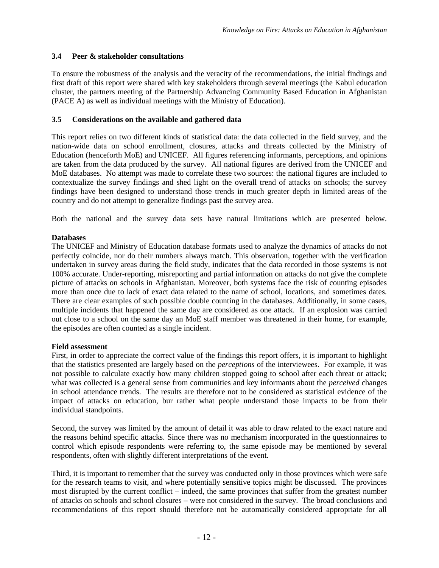## <span id="page-17-0"></span>**3.4 Peer & stakeholder consultations**

To ensure the robustness of the analysis and the veracity of the recommendations, the initial findings and first draft of this report were shared with key stakeholders through several meetings (the Kabul education cluster, the partners meeting of the Partnership Advancing Community Based Education in Afghanistan (PACE A) as well as individual meetings with the Ministry of Education).

## <span id="page-17-1"></span>**3.5 Considerations on the available and gathered data**

This report relies on two different kinds of statistical data: the data collected in the field survey, and the nation-wide data on school enrollment, closures, attacks and threats collected by the Ministry of Education (henceforth MoE) and UNICEF. All figures referencing informants, perceptions, and opinions are taken from the data produced by the survey. All national figures are derived from the UNICEF and MoE databases. No attempt was made to correlate these two sources: the national figures are included to contextualize the survey findings and shed light on the overall trend of attacks on schools; the survey findings have been designed to understand those trends in much greater depth in limited areas of the country and do not attempt to generalize findings past the survey area.

Both the national and the survey data sets have natural limitations which are presented below.

### **Databases**

The UNICEF and Ministry of Education database formats used to analyze the dynamics of attacks do not perfectly coincide, nor do their numbers always match. This observation, together with the verification undertaken in survey areas during the field study, indicates that the data recorded in those systems is not 100% accurate. Under-reporting, misreporting and partial information on attacks do not give the complete picture of attacks on schools in Afghanistan. Moreover, both systems face the risk of counting episodes more than once due to lack of exact data related to the name of school, locations, and sometimes dates. There are clear examples of such possible double counting in the databases. Additionally, in some cases, multiple incidents that happened the same day are considered as one attack. If an explosion was carried out close to a school on the same day an MoE staff member was threatened in their home, for example, the episodes are often counted as a single incident.

#### **Field assessment**

First, in order to appreciate the correct value of the findings this report offers, it is important to highlight that the statistics presented are largely based on the *perceptions* of the interviewees. For example, it was not possible to calculate exactly how many children stopped going to school after each threat or attack; what was collected is a general sense from communities and key informants about the *perceived* changes in school attendance trends. The results are therefore not to be considered as statistical evidence of the impact of attacks on education, bur rather what people understand those impacts to be from their individual standpoints.

Second, the survey was limited by the amount of detail it was able to draw related to the exact nature and the reasons behind specific attacks. Since there was no mechanism incorporated in the questionnaires to control which episode respondents were referring to, the same episode may be mentioned by several respondents, often with slightly different interpretations of the event.

Third, it is important to remember that the survey was conducted only in those provinces which were safe for the research teams to visit, and where potentially sensitive topics might be discussed. The provinces most disrupted by the current conflict – indeed, the same provinces that suffer from the greatest number of attacks on schools and school closures – were not considered in the survey. The broad conclusions and recommendations of this report should therefore not be automatically considered appropriate for all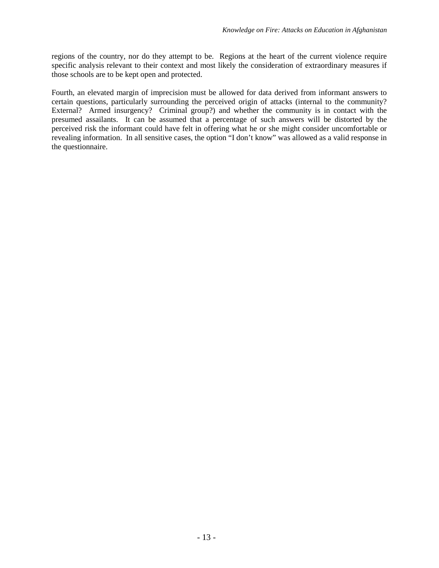regions of the country, nor do they attempt to be. Regions at the heart of the current violence require specific analysis relevant to their context and most likely the consideration of extraordinary measures if those schools are to be kept open and protected.

Fourth, an elevated margin of imprecision must be allowed for data derived from informant answers to certain questions, particularly surrounding the perceived origin of attacks (internal to the community? External? Armed insurgency? Criminal group?) and whether the community is in contact with the presumed assailants. It can be assumed that a percentage of such answers will be distorted by the perceived risk the informant could have felt in offering what he or she might consider uncomfortable or revealing information. In all sensitive cases, the option "I don't know" was allowed as a valid response in the questionnaire.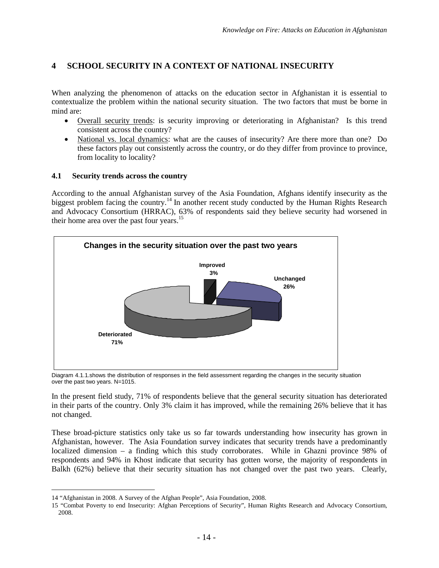# <span id="page-19-0"></span>**4 SCHOOL SECURITY IN A CONTEXT OF NATIONAL INSECURITY**

When analyzing the phenomenon of attacks on the education sector in Afghanistan it is essential to contextualize the problem within the national security situation. The two factors that must be borne in mind are:

- Overall security trends: is security improving or deteriorating in Afghanistan? Is this trend consistent across the country?
- National vs. local dynamics: what are the causes of insecurity? Are there more than one? Do these factors play out consistently across the country, or do they differ from province to province, from locality to locality?

### <span id="page-19-1"></span>**4.1 Security trends across the country**

According to the annual Afghanistan survey of the Asia Foundation, Afghans identify insecurity as the biggest problem facing the country.<sup>[14](#page-19-3)</sup> In another recent study conducted by the Human Rights Research and Advocacy Consortium (HRRAC), 63% of respondents said they believe security had worsened in their home area over the past four years.<sup>[15](#page-19-4)</sup>



<span id="page-19-2"></span>Diagram 4.1.1.shows the distribution of responses in the field assessment regarding the changes in the security situation over the past two years. N=1015.

In the present field study, 71% of respondents believe that the general security situation has deteriorated in their parts of the country. Only 3% claim it has improved, while the remaining 26% believe that it has not changed.

These broad-picture statistics only take us so far towards understanding how insecurity has grown in Afghanistan, however. The Asia Foundation survey indicates that security trends have a predominantly localized dimension – a finding which this study corroborates. While in Ghazni province 98% of respondents and 94% in Khost indicate that security has gotten worse, the majority of respondents in Balkh (62%) believe that their security situation has not changed over the past two years. Clearly,

<span id="page-19-4"></span><span id="page-19-3"></span><sup>14</sup> "Afghanistan in 2008. A Survey of the Afghan People", Asia Foundation, 2008.

<sup>15</sup> "Combat Poverty to end Insecurity: Afghan Perceptions of Security", Human Rights Research and Advocacy Consortium, 2008.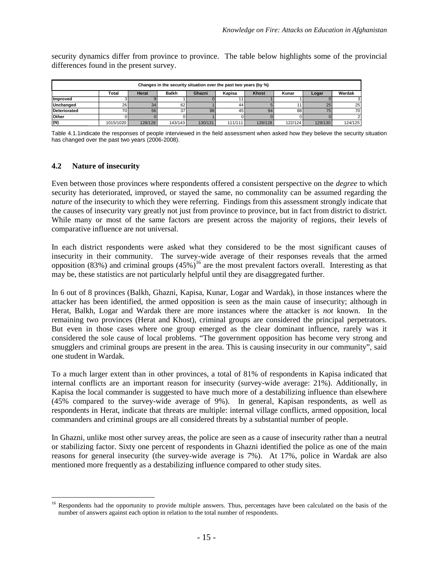security dynamics differ from province to province. The table below highlights some of the provincial differences found in the present survey.

| Changes in the security situation over the past two years (by %) |                                                                                                |         |         |         |         |         |         |         |               |  |
|------------------------------------------------------------------|------------------------------------------------------------------------------------------------|---------|---------|---------|---------|---------|---------|---------|---------------|--|
|                                                                  | Wardak<br><b>Khost</b><br><b>Balkh</b><br>Ghazni<br>Kunar<br>Total<br>Herat<br>Kapisa<br>Logar |         |         |         |         |         |         |         |               |  |
| Improved                                                         |                                                                                                |         |         |         |         |         |         |         |               |  |
| Unchanged                                                        | 26                                                                                             | 34      | 62      |         | 44      |         |         | 25      | 25            |  |
| <b>Deteriorated</b>                                              |                                                                                                | 56      | 37      | 98      | 45      | 94      | 88      | 75      | 70            |  |
| Other                                                            |                                                                                                |         |         |         |         |         |         |         | $\mathcal{L}$ |  |
| (N)                                                              | 1015/1020                                                                                      | 128/128 | 143/143 | 130/131 | 111/111 | 128/128 | 122/124 | 129/130 | 124/125       |  |

<span id="page-20-1"></span>Table 4.1.1indicate the responses of people interviewed in the field assessment when asked how they believe the security situation has changed over the past two years (2006-2008).

### <span id="page-20-0"></span>**4.2 Nature of insecurity**

Even between those provinces where respondents offered a consistent perspective on the *degree* to which security has deteriorated, improved, or stayed the same, no commonality can be assumed regarding the *nature* of the insecurity to which they were referring. Findings from this assessment strongly indicate that the causes of insecurity vary greatly not just from province to province, but in fact from district to district. While many or most of the same factors are present across the majority of regions, their levels of comparative influence are not universal.

In each district respondents were asked what they considered to be the most significant causes of insecurity in their community. The survey-wide average of their responses reveals that the armed opposition (83%) and criminal groups  $(45%)^{16}$  $(45%)^{16}$  $(45%)^{16}$  are the most prevalent factors overall. Interesting as that may be, these statistics are not particularly helpful until they are disaggregated further.

In 6 out of 8 provinces (Balkh, Ghazni, Kapisa, Kunar, Logar and Wardak), in those instances where the attacker has been identified, the armed opposition is seen as the main cause of insecurity; although in Herat, Balkh, Logar and Wardak there are more instances where the attacker is *not* known. In the remaining two provinces (Herat and Khost), criminal groups are considered the principal perpetrators. But even in those cases where one group emerged as the clear dominant influence, rarely was it considered the sole cause of local problems. "The government opposition has become very strong and smugglers and criminal groups are present in the area. This is causing insecurity in our community", said one student in Wardak.

To a much larger extent than in other provinces, a total of 81% of respondents in Kapisa indicated that internal conflicts are an important reason for insecurity (survey-wide average: 21%). Additionally, in Kapisa the local commander is suggested to have much more of a destabilizing influence than elsewhere (45% compared to the survey-wide average of 9%). In general, Kapisan respondents, as well as respondents in Herat, indicate that threats are multiple: internal village conflicts, armed opposition, local commanders and criminal groups are all considered threats by a substantial number of people.

In Ghazni, unlike most other survey areas, the police are seen as a cause of insecurity rather than a neutral or stabilizing factor. Sixty one percent of respondents in Ghazni identified the police as one of the main reasons for general insecurity (the survey-wide average is 7%). At 17%, police in Wardak are also mentioned more frequently as a destabilizing influence compared to other study sites.

<span id="page-20-2"></span><sup>&</sup>lt;sup>16</sup> Respondents had the opportunity to provide multiple answers. Thus, percentages have been calculated on the basis of the number of answers against each option in relation to the total number of respondents.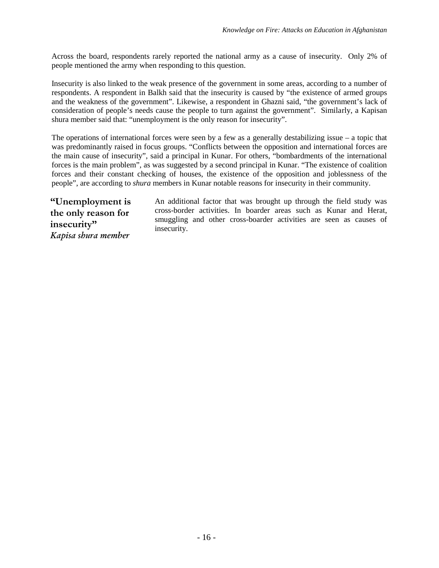Across the board, respondents rarely reported the national army as a cause of insecurity. Only 2% of people mentioned the army when responding to this question.

Insecurity is also linked to the weak presence of the government in some areas, according to a number of respondents. A respondent in Balkh said that the insecurity is caused by "the existence of armed groups and the weakness of the government". Likewise, a respondent in Ghazni said, "the government's lack of consideration of people's needs cause the people to turn against the government". Similarly, a Kapisan shura member said that: "unemployment is the only reason for insecurity".

The operations of international forces were seen by a few as a generally destabilizing issue – a topic that was predominantly raised in focus groups. "Conflicts between the opposition and international forces are the main cause of insecurity", said a principal in Kunar. For others, "bombardments of the international forces is the main problem", as was suggested by a second principal in Kunar. "The existence of coalition forces and their constant checking of houses, the existence of the opposition and joblessness of the people", are according to *shura* members in Kunar notable reasons for insecurity in their community.

**"Unemployment is the only reason for insecurity"** *Kapisa shura member*

An additional factor that was brought up through the field study was cross-border activities. In boarder areas such as Kunar and Herat, smuggling and other cross-boarder activities are seen as causes of insecurity.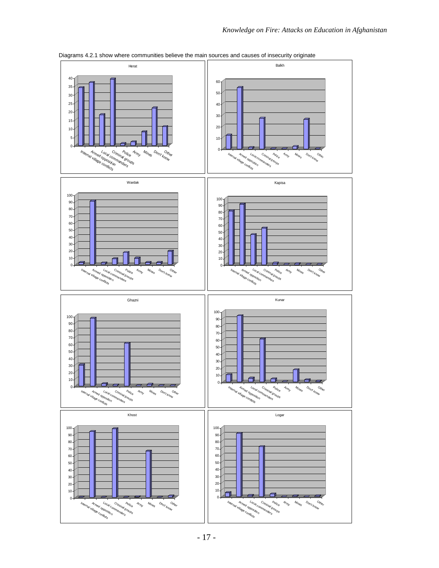



al village conflicts Armed opposition Local commanders Criminal <sup>Police</sup><br>P<sup>riminal groups</sup>

Army Mines D<sub>on't know</sub> Other

Logar

Internal vier opporter length<br>Slammer conflicts<br>Band conflicts

Criminal <sup>Police</sup><br>P<sup>rimande</sup>

Army  $M_{n}$ 

Khost

Don't know Other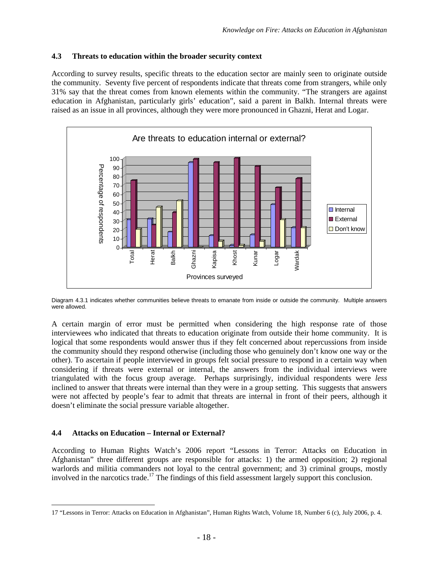#### <span id="page-23-0"></span>**4.3 Threats to education within the broader security context**

According to survey results, specific threats to the education sector are mainly seen to originate outside the community. Seventy five percent of respondents indicate that threats come from strangers, while only 31% say that the threat comes from known elements within the community. "The strangers are against education in Afghanistan, particularly girls' education", said a parent in Balkh. Internal threats were raised as an issue in all provinces, although they were more pronounced in Ghazni, Herat and Logar.



<span id="page-23-2"></span>Diagram 4.3.1 indicates whether communities believe threats to emanate from inside or outside the community. Multiple answers were allowed.

A certain margin of error must be permitted when considering the high response rate of those interviewees who indicated that threats to education originate from outside their home community. It is logical that some respondents would answer thus if they felt concerned about repercussions from inside the community should they respond otherwise (including those who genuinely don't know one way or the other). To ascertain if people interviewed in groups felt social pressure to respond in a certain way when considering if threats were external or internal, the answers from the individual interviews were triangulated with the focus group average. Perhaps surprisingly, individual respondents were *less* inclined to answer that threats were internal than they were in a group setting. This suggests that answers were not affected by people's fear to admit that threats are internal in front of their peers, although it doesn't eliminate the social pressure variable altogether.

#### <span id="page-23-1"></span>**4.4 Attacks on Education – Internal or External?**

According to Human Rights Watch's 2006 report "Lessons in Terror: Attacks on Education in Afghanistan" three different groups are responsible for attacks: 1) the armed opposition; 2) regional warlords and militia commanders not loyal to the central government; and 3) criminal groups, mostly involved in the narcotics trade.[17](#page-23-3) The findings of this field assessment largely support this conclusion.

<span id="page-23-3"></span><sup>17</sup> "Lessons in Terror: Attacks on Education in Afghanistan", Human Rights Watch, Volume 18, Number 6 (c), July 2006, p. 4.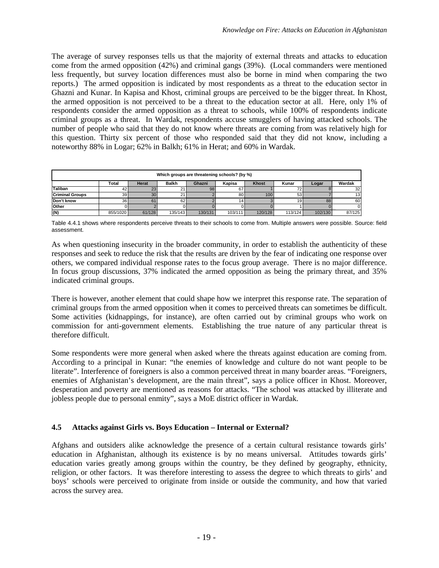The average of survey responses tells us that the majority of external threats and attacks to education come from the armed opposition (42%) and criminal gangs (39%). (Local commanders were mentioned less frequently, but survey location differences must also be borne in mind when comparing the two reports.) The armed opposition is indicated by most respondents as a threat to the education sector in Ghazni and Kunar. In Kapisa and Khost, criminal groups are perceived to be the bigger threat. In Khost, the armed opposition is not perceived to be a threat to the education sector at all. Here, only 1% of respondents consider the armed opposition as a threat to schools, while 100% of respondents indicate criminal groups as a threat. In Wardak, respondents accuse smugglers of having attacked schools. The number of people who said that they do not know where threats are coming from was relatively high for this question. Thirty six percent of those who responded said that they did not know, including a noteworthy 88% in Logar; 62% in Balkh; 61% in Herat; and 60% in Wardak.

| Which groups are threatening schools? (by %) |                                                                                                |        |         |         |         |         |         |         |        |  |
|----------------------------------------------|------------------------------------------------------------------------------------------------|--------|---------|---------|---------|---------|---------|---------|--------|--|
|                                              | Wardak<br><b>Balkh</b><br><b>Khost</b><br>Kunar<br>Total<br>Herat<br>Kapisa<br>Ghazni<br>Logar |        |         |         |         |         |         |         |        |  |
| <b>Taliban</b>                               | 421                                                                                            | 23     |         | 98      | 67      |         |         |         | 32     |  |
| <b>Criminal Groups</b>                       | 39 <sub>l</sub>                                                                                | 30     |         |         | 80      | 100     | 53      |         | 13     |  |
| Don't know                                   | 36 <sup>1</sup>                                                                                | 61     | 62      |         | 14 I    |         | 19      | 88      | 60     |  |
| Other                                        |                                                                                                |        |         |         |         |         |         |         |        |  |
| (N)                                          | 855/1020                                                                                       | 61/128 | 135/143 | 130/131 | 103/111 | 120/128 | 113/124 | 102/130 | 87/125 |  |

<span id="page-24-1"></span>Table 4.4.1 shows where respondents perceive threats to their schools to come from. Multiple answers were possible. Source: field assessment.

As when questioning insecurity in the broader community, in order to establish the authenticity of these responses and seek to reduce the risk that the results are driven by the fear of indicating one response over others, we compared individual response rates to the focus group average. There is no major difference. In focus group discussions, 37% indicated the armed opposition as being the primary threat, and 35% indicated criminal groups.

There is however, another element that could shape how we interpret this response rate. The separation of criminal groups from the armed opposition when it comes to perceived threats can sometimes be difficult. Some activities (kidnappings, for instance), are often carried out by criminal groups who work on commission for anti-government elements. Establishing the true nature of any particular threat is therefore difficult.

Some respondents were more general when asked where the threats against education are coming from. According to a principal in Kunar: "the enemies of knowledge and culture do not want people to be literate". Interference of foreigners is also a common perceived threat in many boarder areas. "Foreigners, enemies of Afghanistan's development, are the main threat", says a police officer in Khost. Moreover, desperation and poverty are mentioned as reasons for attacks. "The school was attacked by illiterate and jobless people due to personal enmity", says a MoE district officer in Wardak.

## <span id="page-24-0"></span>**4.5 Attacks against Girls vs. Boys Education – Internal or External?**

Afghans and outsiders alike acknowledge the presence of a certain cultural resistance towards girls' education in Afghanistan, although its existence is by no means universal. Attitudes towards girls' education varies greatly among groups within the country, be they defined by geography, ethnicity, religion, or other factors. It was therefore interesting to assess the degree to which threats to girls' and boys' schools were perceived to originate from inside or outside the community, and how that varied across the survey area.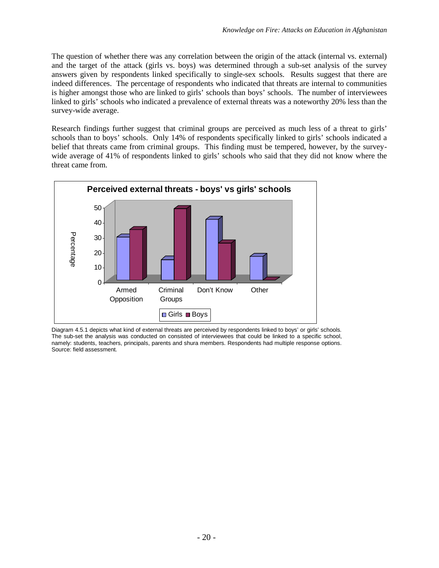The question of whether there was any correlation between the origin of the attack (internal vs. external) and the target of the attack (girls vs. boys) was determined through a sub-set analysis of the survey answers given by respondents linked specifically to single-sex schools. Results suggest that there are indeed differences. The percentage of respondents who indicated that threats are internal to communities is higher amongst those who are linked to girls' schools than boys' schools. The number of interviewees linked to girls' schools who indicated a prevalence of external threats was a noteworthy 20% less than the survey-wide average.

Research findings further suggest that criminal groups are perceived as much less of a threat to girls' schools than to boys' schools. Only 14% of respondents specifically linked to girls' schools indicated a belief that threats came from criminal groups. This finding must be tempered, however, by the surveywide average of 41% of respondents linked to girls' schools who said that they did not know where the threat came from.



<span id="page-25-0"></span>Diagram 4.5.1 depicts what kind of external threats are perceived by respondents linked to boys' or girls' schools. The sub-set the analysis was conducted on consisted of interviewees that could be linked to a specific school, namely: students, teachers, principals, parents and shura members. Respondents had multiple response options. Source: field assessment.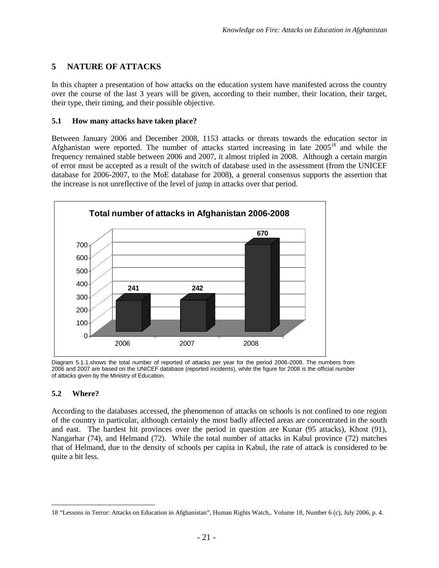## <span id="page-26-0"></span>**5 NATURE OF ATTACKS**

In this chapter a presentation of how attacks on the education system have manifested across the country over the course of the last 3 years will be given, according to their number, their location, their target, their type, their timing, and their possible objective.

#### <span id="page-26-1"></span>**5.1 How many attacks have taken place?**

Between January 2006 and December 2008, 1153 attacks or threats towards the education sector in Afghanistan were reported. The number of attacks started increasing in late2005<sup>18</sup> and while the frequency remained stable between 2006 and 2007, it almost tripled in 2008. Although a certain margin of error must be accepted as a result of the switch of database used in the assessment (from the UNICEF database for 2006-2007, to the MoE database for 2008), a general consensus supports the assertion that the increase is not unreflective of the level of jump in attacks over that period.



<span id="page-26-3"></span>Diagram 5.1.1.shows the total number of reported of attacks per year for the period 2006-2008. The numbers from 2006 and 2007 are based on the UNICEF database (reported incidents), while the figure for 2008 is the official number of attacks given by the Ministry of Education.

## <span id="page-26-2"></span>**5.2 Where?**

According to the databases accessed, the phenomenon of attacks on schools is not confined to one region of the country in particular, although certainly the most badly affected areas are concentrated in the south and east. The hardest hit provinces over the period in question are Kunar (95 attacks), Khost (91), Nangarhar (74), and Helmand (72). While the total number of attacks in Kabul province (72) matches that of Helmand, due to the density of schools per capita in Kabul, the rate of attack is considered to be quite a bit less.

<span id="page-26-4"></span><sup>18</sup> "Lessons in Terror: Attacks on Education in Afghanistan", Human Rights Watch,. Volume 18, Number 6 (c), July 2006, p. 4.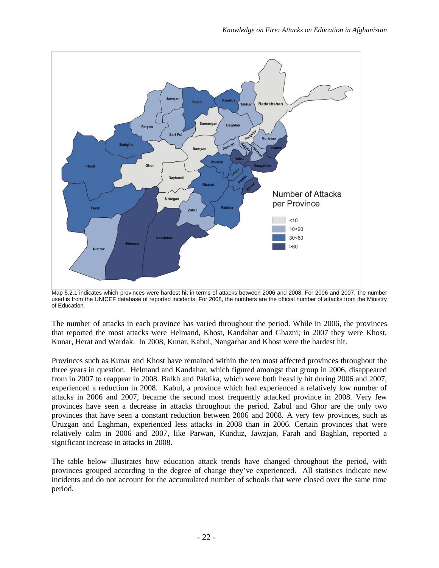

<span id="page-27-0"></span>Map 5.2.1 indicates which provinces were hardest hit in terms of attacks between 2006 and 2008. For 2006 and 2007, the number used is from the UNICEF database of reported incidents. For 2008, the numbers are the official number of attacks from the Ministry of Education.

The number of attacks in each province has varied throughout the period. While in 2006, the provinces that reported the most attacks were Helmand, Khost, Kandahar and Ghazni; in 2007 they were Khost, Kunar, Herat and Wardak. In 2008, Kunar, Kabul, Nangarhar and Khost were the hardest hit.

Provinces such as Kunar and Khost have remained within the ten most affected provinces throughout the three years in question. Helmand and Kandahar, which figured amongst that group in 2006, disappeared from in 2007 to reappear in 2008. Balkh and Paktika, which were both heavily hit during 2006 and 2007, experienced a reduction in 2008. Kabul, a province which had experienced a relatively low number of attacks in 2006 and 2007, became the second most frequently attacked province in 2008. Very few provinces have seen a decrease in attacks throughout the period. Zabul and Ghor are the only two provinces that have seen a constant reduction between 2006 and 2008. A very few provinces, such as Uruzgan and Laghman, experienced less attacks in 2008 than in 2006. Certain provinces that were relatively calm in 2006 and 2007, like Parwan, Kunduz, Jawzjan, Farah and Baghlan, reported a significant increase in attacks in 2008.

The table below illustrates how education attack trends have changed throughout the period, with provinces grouped according to the degree of change they've experienced. All statistics indicate new incidents and do not account for the accumulated number of schools that were closed over the same time period.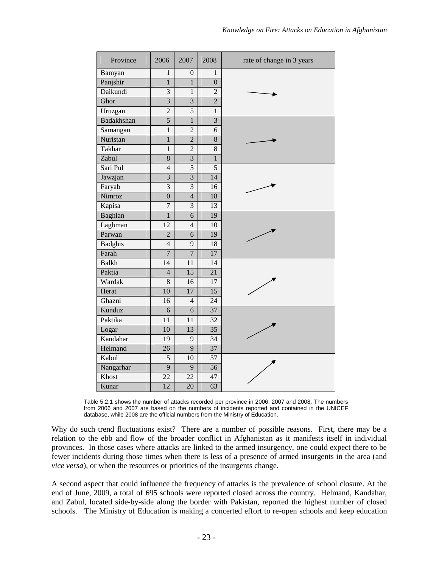| Province       | 2006            | 2007             | 2008            | rate of change in 3 years |
|----------------|-----------------|------------------|-----------------|---------------------------|
| Bamyan         | $\mathbf{1}$    | $\boldsymbol{0}$ | $\mathbf{1}$    |                           |
| Panjshir       | $\overline{1}$  | $\mathbf{1}$     | $\overline{0}$  |                           |
| Daikundi       | 3               | $\mathbf{1}$     | $\overline{2}$  |                           |
| Ghor           | $\overline{3}$  | $\overline{3}$   | $\overline{2}$  |                           |
| Uruzgan        | $\overline{2}$  | $\overline{5}$   | $\overline{1}$  |                           |
| Badakhshan     | 5               | $\mathbf{1}$     | $\overline{3}$  |                           |
| Samangan       | $\mathbf{1}$    | $\overline{2}$   | 6               |                           |
| Nuristan       | $\,1$           | $\overline{2}$   | 8               |                           |
| Takhar         | $\overline{1}$  | $\overline{2}$   | 8               |                           |
| Zabul          | 8               | 3                | $\overline{1}$  |                           |
| Sari Pul       | $\overline{4}$  | 5                | $\overline{5}$  |                           |
| Jawzjan        | $\overline{3}$  | $\overline{3}$   | 14              |                           |
| Faryab         | 3               | 3                | 16              |                           |
| Nimroz         | $\overline{0}$  | $\overline{4}$   | 18              |                           |
| Kapisa         | $\overline{7}$  | $\overline{3}$   | 13              |                           |
| Baghlan        | $\overline{1}$  | 6                | 19              |                           |
| Laghman        | $\overline{12}$ | $\overline{4}$   | 10              |                           |
| Parwan         | $\overline{2}$  | 6                | 19              |                           |
| <b>Badghis</b> | $\overline{4}$  | 9                | 18              |                           |
| Farah          | $\overline{7}$  | $\overline{7}$   | 17              |                           |
| <b>Balkh</b>   | $\overline{14}$ | $\overline{11}$  | $\overline{14}$ |                           |
| Paktia         | $\overline{4}$  | $\overline{15}$  | $\overline{21}$ |                           |
| Wardak         | $\overline{8}$  | $\overline{16}$  | 17              |                           |
| Herat          | 10              | $\overline{17}$  | $\overline{15}$ |                           |
| Ghazni         | 16              | $\overline{4}$   | 24              |                           |
| Kunduz         | 6               | 6                | 37              |                           |
| Paktika        | 11              | 11               | 32              |                           |
| Logar          | 10              | 13               | $\overline{35}$ |                           |
| Kandahar       | $\overline{19}$ | 9                | $\overline{34}$ |                           |
| Helmand        | 26              | $\overline{9}$   | $\overline{37}$ |                           |
| Kabul          | 5               | 10               | 57              |                           |
| Nangarhar      | $\overline{9}$  | $\overline{9}$   | $\overline{56}$ |                           |
| Khost          | $\overline{22}$ | $\overline{22}$  | 47              |                           |
| Kunar          | 12              | 20               | $\overline{63}$ |                           |

<span id="page-28-0"></span>Table 5.2.1 shows the number of attacks recorded per province in 2006, 2007 and 2008. The numbers from 2006 and 2007 are based on the numbers of incidents reported and contained in the UNICEF database, while 2008 are the official numbers from the Ministry of Education.

Why do such trend fluctuations exist? There are a number of possible reasons. First, there may be a relation to the ebb and flow of the broader conflict in Afghanistan as it manifests itself in individual provinces. In those cases where attacks are linked to the armed insurgency, one could expect there to be fewer incidents during those times when there is less of a presence of armed insurgents in the area (and *vice versa*), or when the resources or priorities of the insurgents change.

A second aspect that could influence the frequency of attacks is the prevalence of school closure. At the end of June, 2009, a total of 695 schools were reported closed across the country. Helmand, Kandahar, and Zabul, located side-by-side along the border with Pakistan, reported the highest number of closed schools. The Ministry of Education is making a concerted effort to re-open schools and keep education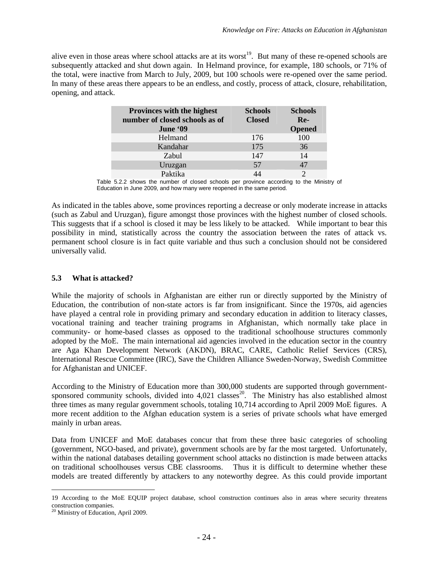alive even in those areas where school attacks are at its worst<sup>[19](#page-29-2)</sup>. But many of these re-opened schools are subsequently attacked and shut down again. In Helmand province, for example, 180 schools, or 71% of the total, were inactive from March to July, 2009, but 100 schools were re-opened over the same period. In many of these areas there appears to be an endless, and costly, process of attack, closure, rehabilitation, opening, and attack.

| <b>Provinces with the highest</b><br>number of closed schools as of | <b>Schools</b><br><b>Closed</b> | <b>Schools</b><br>$Re-$ |
|---------------------------------------------------------------------|---------------------------------|-------------------------|
| June '09                                                            |                                 | <b>Opened</b>           |
| Helmand                                                             | 176                             | 100                     |
| Kandahar                                                            | 175                             | 36                      |
| Zabul                                                               | 147                             | 14                      |
| Uruzgan                                                             | 57                              | 47                      |
| Paktika                                                             |                                 |                         |

<span id="page-29-1"></span>Table 5.2.2 shows the number of closed schools per province according to the Ministry of Education in June 2009, and how many were reopened in the same period.

As indicated in the tables above, some provinces reporting a decrease or only moderate increase in attacks (such as Zabul and Uruzgan), figure amongst those provinces with the highest number of closed schools. This suggests that if a school is closed it may be less likely to be attacked. While important to bear this possibility in mind, statistically across the country the association between the rates of attack vs. permanent school closure is in fact quite variable and thus such a conclusion should not be considered universally valid.

### <span id="page-29-0"></span>**5.3 What is attacked?**

While the majority of schools in Afghanistan are either run or directly supported by the Ministry of Education, the contribution of non-state actors is far from insignificant. Since the 1970s, aid agencies have played a central role in providing primary and secondary education in addition to literacy classes, vocational training and teacher training programs in Afghanistan, which normally take place in community- or home-based classes as opposed to the traditional schoolhouse structures commonly adopted by the MoE. The main international aid agencies involved in the education sector in the country are Aga Khan Development Network (AKDN), BRAC, CARE, Catholic Relief Services (CRS), International Rescue Committee (IRC), Save the Children Alliance Sweden-Norway, Swedish Committee for Afghanistan and UNICEF.

According to the Ministry of Education more than 300,000 students are supported through governmentsponsored community schools, divided into  $4,021$  classes<sup>[20](#page-29-3)</sup>. The Ministry has also established almost three times as many regular government schools, totaling 10,714 according to April 2009 MoE figures. A more recent addition to the Afghan education system is a series of private schools what have emerged mainly in urban areas.

Data from UNICEF and MoE databases concur that from these three basic categories of schooling (government, NGO-based, and private), government schools are by far the most targeted. Unfortunately, within the national databases detailing government school attacks no distinction is made between attacks on traditional schoolhouses versus CBE classrooms. Thus it is difficult to determine whether these models are treated differently by attackers to any noteworthy degree. As this could provide important

<span id="page-29-2"></span><sup>19</sup> According to the MoE EQUIP project database, school construction continues also in areas where security threatens construction companies.

<span id="page-29-3"></span><sup>&</sup>lt;sup>20</sup> Ministry of Education, April 2009.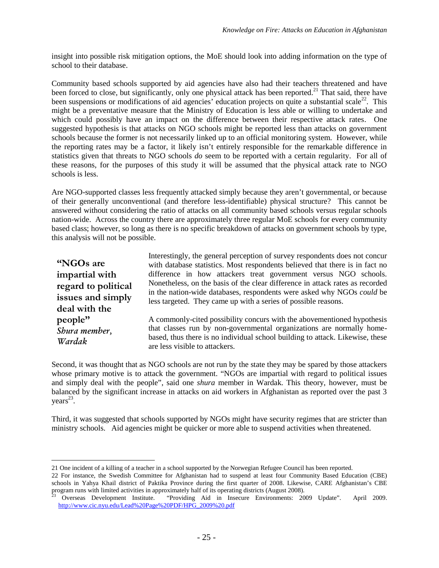insight into possible risk mitigation options, the MoE should look into adding information on the type of school to their database.

Community based schools supported by aid agencies have also had their teachers threatened and have been forced to close, but significantly, only one physical attack has been reported.<sup>[21](#page-30-0)</sup> That said, there have beensuspensions or modifications of aid agencies' education projects on quite a substantial scale<sup>22</sup>. This might be a preventative measure that the Ministry of Education is less able or willing to undertake and which could possibly have an impact on the difference between their respective attack rates. One suggested hypothesis is that attacks on NGO schools might be reported less than attacks on government schools because the former is not necessarily linked up to an official monitoring system. However, while the reporting rates may be a factor, it likely isn't entirely responsible for the remarkable difference in statistics given that threats to NGO schools *do* seem to be reported with a certain regularity. For all of these reasons, for the purposes of this study it will be assumed that the physical attack rate to NGO schools is less.

Are NGO-supported classes less frequently attacked simply because they aren't governmental, or because of their generally unconventional (and therefore less-identifiable) physical structure? This cannot be answered without considering the ratio of attacks on all community based schools versus regular schools nation-wide. Across the country there are approximately three regular MoE schools for every community based class; however, so long as there is no specific breakdown of attacks on government schools by type, this analysis will not be possible.

**"NGOs are impartial with regard to political issues and simply deal with the people"** *Shura member, Wardak*

Interestingly, the general perception of survey respondents does not concur with database statistics. Most respondents believed that there is in fact no difference in how attackers treat government versus NGO schools. Nonetheless, on the basis of the clear difference in attack rates as recorded in the nation-wide databases, respondents were asked why NGOs *could* be less targeted. They came up with a series of possible reasons.

A commonly-cited possibility concurs with the abovementioned hypothesis that classes run by non-governmental organizations are normally homebased, thus there is no individual school building to attack. Likewise, these are less visible to attackers.

Second, it was thought that as NGO schools are not run by the state they may be spared by those attackers whose primary motive is to attack the government. "NGOs are impartial with regard to political issues and simply deal with the people", said one *shura* member in Wardak. This theory, however, must be balanced by the significant increase in attacks on aid workers in Afghanistan as reported over the past 3  $years<sup>23</sup>$  $years<sup>23</sup>$  $years<sup>23</sup>$ .

Third, it was suggested that schools supported by NGOs might have security regimes that are stricter than ministry schools. Aid agencies might be quicker or more able to suspend activities when threatened.

<span id="page-30-1"></span><span id="page-30-0"></span><sup>21</sup> One incident of a killing of a teacher in a school supported by the Norwegian Refugee Council has been reported.

<sup>22</sup> For instance, the Swedish Committee for Afghanistan had to suspend at least four Community Based Education (CBE) schools in Yahya Khail district of Paktika Province during the first quarter of 2008. Likewise, CARE Afghanistan's CBE program runs with limited activities in approximately half of its operating districts (August 2008).

<span id="page-30-2"></span><sup>23</sup> Overseas Development Institute. "Providing Aid in Insecure Environments: 2009 Update". April 2009. http://www.cic.nyu.edu/Lead%20Page%20PDF/HPG\_2009%20.pdf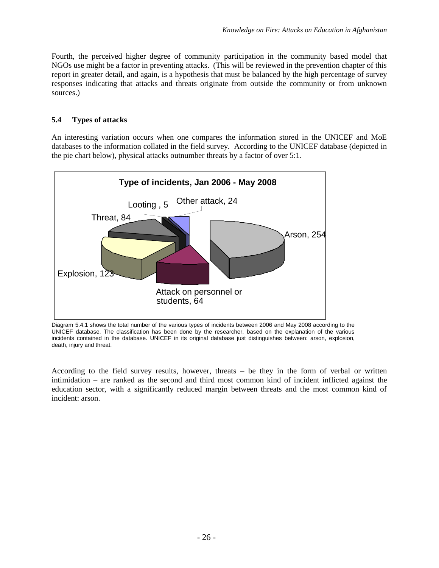Fourth, the perceived higher degree of community participation in the community based model that NGOs use might be a factor in preventing attacks. (This will be reviewed in the prevention chapter of this report in greater detail, and again, is a hypothesis that must be balanced by the high percentage of survey responses indicating that attacks and threats originate from outside the community or from unknown sources.)

## <span id="page-31-0"></span>**5.4 Types of attacks**

An interesting variation occurs when one compares the information stored in the UNICEF and MoE databases to the information collated in the field survey. According to the UNICEF database (depicted in the pie chart below), physical attacks outnumber threats by a factor of over 5:1.



<span id="page-31-1"></span>Diagram 5.4.1 shows the total number of the various types of incidents between 2006 and May 2008 according to the UNICEF database. The classification has been done by the researcher, based on the explanation of the various incidents contained in the database. UNICEF in its original database just distinguishes between: arson, explosion, death, injury and threat.

According to the field survey results, however, threats – be they in the form of verbal or written intimidation – are ranked as the second and third most common kind of incident inflicted against the education sector, with a significantly reduced margin between threats and the most common kind of incident: arson.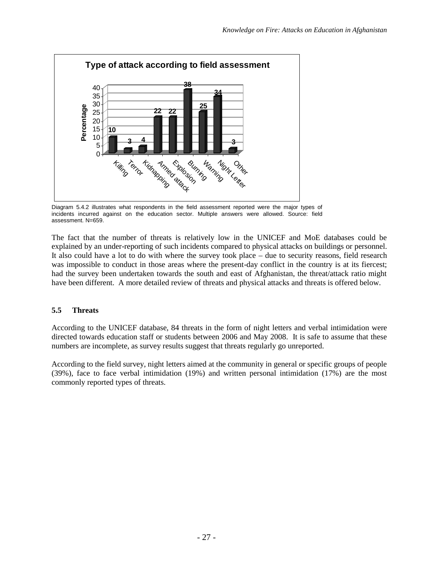

<span id="page-32-1"></span>Diagram 5.4.2 illustrates what respondents in the field assessment reported were the major types of incidents incurred against on the education sector. Multiple answers were allowed. Source: field assessment. N=659.

The fact that the number of threats is relatively low in the UNICEF and MoE databases could be explained by an under-reporting of such incidents compared to physical attacks on buildings or personnel. It also could have a lot to do with where the survey took place – due to security reasons, field research was impossible to conduct in those areas where the present-day conflict in the country is at its fiercest; had the survey been undertaken towards the south and east of Afghanistan, the threat/attack ratio might have been different. A more detailed review of threats and physical attacks and threats is offered below.

## <span id="page-32-0"></span>**5.5 Threats**

According to the UNICEF database, 84 threats in the form of night letters and verbal intimidation were directed towards education staff or students between 2006 and May 2008. It is safe to assume that these numbers are incomplete, as survey results suggest that threats regularly go unreported.

According to the field survey, night letters aimed at the community in general or specific groups of people (39%), face to face verbal intimidation (19%) and written personal intimidation (17%) are the most commonly reported types of threats.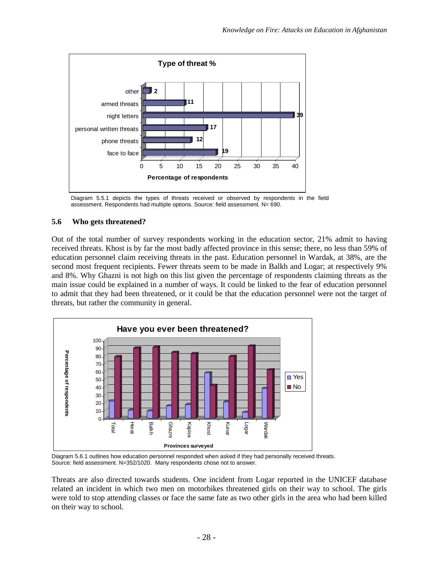

<span id="page-33-1"></span><span id="page-33-0"></span>Diagram 5.5.1 depicts the types of threats received or observed by respondents in the field assessment. Respondents had multiple options. Source: field assessment. N= 690.

## **5.6 Who gets threatened?**

Out of the total number of survey respondents working in the education sector, 21% admit to having received threats. Khost is by far the most badly affected province in this sense; there, no less than 59% of education personnel claim receiving threats in the past. Education personnel in Wardak, at 38%, are the second most frequent recipients. Fewer threats seem to be made in Balkh and Logar; at respectively 9% and 8%. Why Ghazni is not high on this list given the percentage of respondents claiming threats as the main issue could be explained in a number of ways. It could be linked to the fear of education personnel to admit that they had been threatened, or it could be that the education personnel were not the target of threats, but rather the community in general.



<span id="page-33-2"></span>Diagram 5.6.1 outlines how education personnel responded when asked if they had personally received threats. Source: field assessment. N=352/1020. Many respondents chose not to answer.

Threats are also directed towards students. One incident from Logar reported in the UNICEF database related an incident in which two men on motorbikes threatened girls on their way to school. The girls were told to stop attending classes or face the same fate as two other girls in the area who had been killed on their way to school.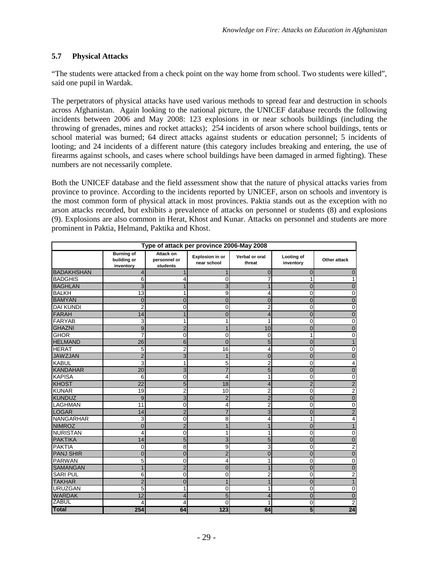## <span id="page-34-0"></span>**5.7 Physical Attacks**

"The students were attacked from a check point on the way home from school. Two students were killed", said one pupil in Wardak.

The perpetrators of physical attacks have used various methods to spread fear and destruction in schools across Afghanistan. Again looking to the national picture, the UNICEF database records the following incidents between 2006 and May 2008: 123 explosions in or near schools buildings (including the throwing of grenades, mines and rocket attacks); 254 incidents of arson where school buildings, tents or school material was burned; 64 direct attacks against students or education personnel; 5 incidents of looting; and 24 incidents of a different nature (this category includes breaking and entering, the use of firearms against schools, and cases where school buildings have been damaged in armed fighting). These numbers are not necessarily complete.

Both the UNICEF database and the field assessment show that the nature of physical attacks varies from province to province. According to the incidents reported by UNICEF, arson on schools and inventory is the most common form of physical attack in most provinces. Paktia stands out as the exception with no arson attacks recorded, but exhibits a prevalence of attacks on personnel or students (8) and explosions (9). Explosions are also common in Herat, Khost and Kunar. Attacks on personnel and students are more prominent in Paktia, Helmand, Paktika and Khost.

| Type of attack per province 2006-May 2008 |                                               |                                       |                                |                          |                         |                         |  |  |  |  |  |  |
|-------------------------------------------|-----------------------------------------------|---------------------------------------|--------------------------------|--------------------------|-------------------------|-------------------------|--|--|--|--|--|--|
|                                           | <b>Burning of</b><br>building or<br>inventory | Attack on<br>personnel or<br>students | Explosion in or<br>near school | Verbal or oral<br>threat | Looting of<br>inventory | Other attack            |  |  |  |  |  |  |
| <b>BADAKHSHAN</b>                         | 4                                             |                                       | 1                              | 0                        | 0                       | $\mathbf 0$             |  |  |  |  |  |  |
| <b>BADGHIS</b>                            | 6                                             | 4                                     | $\Omega$                       | 7                        | 1                       | 1                       |  |  |  |  |  |  |
| <b>BAGHLAN</b>                            | 3                                             | 1                                     | 3                              |                          | $\Omega$                | $\overline{0}$          |  |  |  |  |  |  |
| <b>BALKH</b>                              | 13                                            | 1                                     | 9                              | 4                        | 0                       | 0                       |  |  |  |  |  |  |
| <b>BAMYAN</b>                             | $\mathbf 0$                                   | $\overline{0}$                        | $\overline{0}$                 | $\overline{0}$           | $\overline{0}$          | $\mathbf 0$             |  |  |  |  |  |  |
| <b>DAI KUNDI</b>                          | $\overline{2}$                                | 0                                     | 0                              | $\overline{2}$           | $\mathbf 0$             | 0                       |  |  |  |  |  |  |
| <b>FARAH</b>                              | 14                                            | $\overline{1}$                        | $\overline{0}$                 | $\overline{4}$           | $\overline{0}$          | $\mathbf 0$             |  |  |  |  |  |  |
| <b>FARYAB</b>                             | 3                                             | 1                                     | 1                              | 1                        | $\mathbf 0$             | $\pmb{0}$               |  |  |  |  |  |  |
| <b>GHAZNI</b>                             | 9                                             | $\overline{2}$                        | $\mathbf{1}$                   | 10                       | $\overline{0}$          | $\mathbf 0$             |  |  |  |  |  |  |
| <b>GHOR</b>                               | $\overline{7}$                                | 0                                     | 0                              | 0                        | 1                       | $\mathbf 0$             |  |  |  |  |  |  |
| <b>HELMAND</b>                            | 26                                            | 6                                     | $\Omega$                       | 5                        | $\mathbf 0$             | 1                       |  |  |  |  |  |  |
| <b>HERAT</b>                              | 5                                             | 2                                     | 16                             | 4                        | 0                       | 0                       |  |  |  |  |  |  |
| <b>JAWZJAN</b>                            | $\overline{2}$                                | 3                                     | 1                              | $\overline{0}$           | $\overline{0}$          | $\pmb{0}$               |  |  |  |  |  |  |
| <b>KABUL</b>                              | 3                                             | 1                                     | 5                              | 2                        | 0                       | 4                       |  |  |  |  |  |  |
| <b>KANDAHAR</b>                           | $\overline{20}$                               | 3                                     | $\overline{7}$                 | 5                        | $\overline{0}$          | $\overline{0}$          |  |  |  |  |  |  |
| <b>KAPISA</b>                             | 6                                             | 0                                     | 4                              |                          | 0                       | 0                       |  |  |  |  |  |  |
| KHOST                                     | $\overline{22}$                               | 5                                     | 18                             | 4                        | $\overline{2}$          | $\overline{2}$          |  |  |  |  |  |  |
| <b>KUNAR</b>                              | 19                                            | $\overline{2}$                        | 10                             | 2                        | 0                       | $\overline{2}$          |  |  |  |  |  |  |
| <b>KUNDUZ</b>                             | $\overline{9}$                                | 3                                     | $\overline{2}$                 | $\overline{2}$           | $\overline{0}$          | $\mathbf 0$             |  |  |  |  |  |  |
| <b>LAGHMAN</b>                            | 11                                            | 0                                     | 4                              | 2                        | 0                       | 0                       |  |  |  |  |  |  |
| LOGAR                                     | 14                                            | $\overline{2}$                        | $\overline{7}$                 | 3                        | $\mathbf 0$             | $\overline{2}$          |  |  |  |  |  |  |
| <b>NANGARHAR</b>                          | 3                                             | $\mathbf 0$                           | 8                              | 4                        | 1                       | $\overline{\mathbf{4}}$ |  |  |  |  |  |  |
| <b>NIMROZ</b>                             | $\mathbf 0$                                   | $\overline{2}$                        | 1                              | $\mathbf{1}$             | $\overline{0}$          | $\mathbf{1}$            |  |  |  |  |  |  |
| <b>NURISTAN</b>                           | 4                                             | 0                                     | 1                              | 1                        | 0                       | $\mathbf 0$             |  |  |  |  |  |  |
| <b>PAKTIKA</b>                            | 14                                            | 5                                     | 3                              | 5                        | $\overline{0}$          | $\pmb{0}$               |  |  |  |  |  |  |
| <b>PAKTIA</b>                             | 0                                             | 8                                     | 9                              | 3                        | $\mathbf 0$             | $\overline{2}$          |  |  |  |  |  |  |
| <b>PANJ SHIR</b>                          | $\overline{0}$                                | $\overline{0}$                        | $\overline{2}$                 | 0                        | $\mathbf 0$             | $\mathbf 0$             |  |  |  |  |  |  |
| <b>PARWAN</b>                             | 5                                             | 0                                     | 4                              | 1                        | $\mathbf 0$             | 0                       |  |  |  |  |  |  |
| <b>SAMANGAN</b>                           | $\overline{1}$                                | $\overline{2}$                        | $\overline{0}$                 | 1                        | $\overline{0}$          | $\mathbf 0$             |  |  |  |  |  |  |
| <b>SARI PUL</b>                           | 6                                             | 0                                     | 0                              | $\overline{2}$           | $\mathbf 0$             | 2                       |  |  |  |  |  |  |
| <b>TAKHAR</b>                             | $\overline{2}$                                | $\overline{0}$                        |                                |                          | $\overline{0}$          | $\overline{1}$          |  |  |  |  |  |  |
| <b>URUZGAN</b>                            | 5                                             | 1                                     | 0                              | 1                        | $\mathbf 0$             | 0                       |  |  |  |  |  |  |
| <b>WARDAK</b>                             | 12                                            | 4                                     | 5                              | 4                        | $\mathbf 0$             | $\mathbf 0$             |  |  |  |  |  |  |
| ZABUL                                     | 4                                             | 4                                     | $\Omega$                       | 1                        | 0                       | $\overline{2}$          |  |  |  |  |  |  |
| <b>Total</b>                              | 254                                           | 64                                    | 123                            | 84                       | 5 <sub>5</sub>          | 24                      |  |  |  |  |  |  |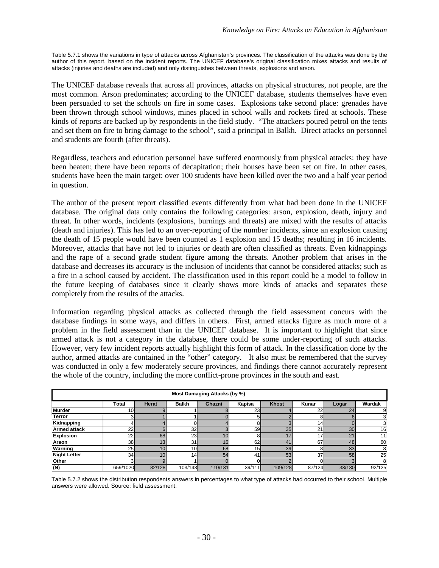<span id="page-35-0"></span>Table 5.7.1 shows the variations in type of attacks across Afghanistan's provinces. The classification of the attacks was done by the author of this report, based on the incident reports. The UNICEF database's original classification mixes attacks and results of attacks (injuries and deaths are included) and only distinguishes between threats, explosions and arson.

The UNICEF database reveals that across all provinces, attacks on physical structures, not people, are the most common. Arson predominates; according to the UNICEF database, students themselves have even been persuaded to set the schools on fire in some cases. Explosions take second place: grenades have been thrown through school windows, mines placed in school walls and rockets fired at schools. These kinds of reports are backed up by respondents in the field study. "The attackers poured petrol on the tents and set them on fire to bring damage to the school", said a principal in Balkh. Direct attacks on personnel and students are fourth (after threats).

Regardless, teachers and education personnel have suffered enormously from physical attacks: they have been beaten; there have been reports of decapitation; their houses have been set on fire. In other cases, students have been the main target: over 100 students have been killed over the two and a half year period in question.

The author of the present report classified events differently from what had been done in the UNICEF database. The original data only contains the following categories: arson, explosion, death, injury and threat. In other words, incidents (explosions, burnings and threats) are mixed with the results of attacks (death and injuries). This has led to an over-reporting of the number incidents, since an explosion causing the death of 15 people would have been counted as 1 explosion and 15 deaths; resulting in 16 incidents. Moreover, attacks that have not led to injuries or death are often classified as threats. Even kidnappings and the rape of a second grade student figure among the threats. Another problem that arises in the database and decreases its accuracy is the inclusion of incidents that cannot be considered attacks; such as a fire in a school caused by accident. The classification used in this report could be a model to follow in the future keeping of databases since it clearly shows more kinds of attacks and separates these completely from the results of the attacks.

Information regarding physical attacks as collected through the field assessment concurs with the database findings in some ways, and differs in others. First, armed attacks figure as much more of a problem in the field assessment than in the UNICEF database. It is important to highlight that since armed attack is not a category in the database, there could be some under-reporting of such attacks. However, very few incident reports actually highlight this form of attack. In the classification done by the author, armed attacks are contained in the "other" category. It also must be remembered that the survey was conducted in only a few moderately secure provinces, and findings there cannot accurately represent the whole of the country, including the more conflict-prone provinces in the south and east.

| Most Damaging Attacks (by %) |                 |                 |                 |         |                 |              |                 |        |                 |  |  |  |  |
|------------------------------|-----------------|-----------------|-----------------|---------|-----------------|--------------|-----------------|--------|-----------------|--|--|--|--|
|                              | Total           | <b>Herat</b>    | <b>Balkh</b>    | Ghazni  | Kapisa          | <b>Khost</b> | Kunar           | Logar  | Wardak          |  |  |  |  |
| <b>Murder</b>                | 10 <sub>h</sub> |                 |                 |         | 23              |              | 22              | 24     |                 |  |  |  |  |
| <b>Terror</b>                |                 |                 |                 |         | 5               |              |                 |        |                 |  |  |  |  |
| Kidnapping                   |                 |                 |                 |         | 8               |              | 14 <sub>1</sub> |        |                 |  |  |  |  |
| <b>Armed attack</b>          | 22              |                 | 32 <sub>l</sub> |         | 59              | 35           | 21              | 30     | 16 <sub>1</sub> |  |  |  |  |
| <b>Explosion</b>             | 22              | 68              | 23              | 10      | 8               | 17           | 17              | 21     |                 |  |  |  |  |
| Arson                        | 38 <sup>1</sup> | 13              | 31              | 16      | 62              | 41           | 67              | 48     | 60              |  |  |  |  |
| Warning                      | 25 <sub>l</sub> | 10              | 10 <sub>1</sub> | 68      | 15 <sub>h</sub> | 39           | 8               | 33     | 8               |  |  |  |  |
| <b>Night Letter</b>          | 34              | 10 <sub>1</sub> | 14              | 54      | 41              | 53           | 37 <sup>1</sup> | 58     | 25              |  |  |  |  |
| Other                        | зI              |                 |                 |         |                 |              |                 |        | 8               |  |  |  |  |
| (N)                          | 659/1020        | 82/128          | 103/143         | 110/131 | 39/111          | 109/128      | 87/124          | 33/130 | 92/125          |  |  |  |  |

Table 5.7.2 shows the distribution respondents answers in percentages to what type of attacks had occurred to their school. Multiple answers were allowed. Source: field assessment.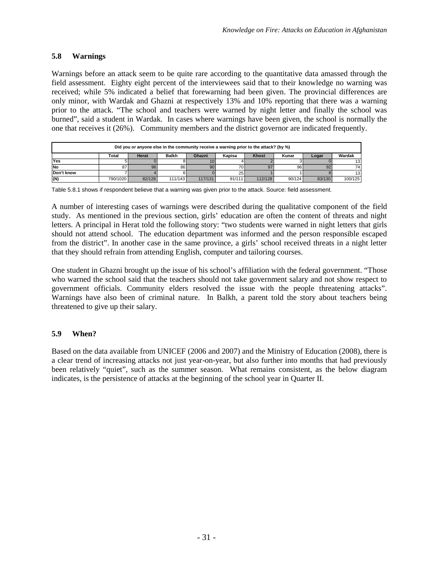## **5.8 Warnings**

Warnings before an attack seem to be quite rare according to the quantitative data amassed through the field assessment. Eighty eight percent of the interviewees said that to their knowledge no warning was received; while 5% indicated a belief that forewarning had been given. The provincial differences are only minor, with Wardak and Ghazni at respectively 13% and 10% reporting that there was a warning prior to the attack. "The school and teachers were warned by night letter and finally the school was burned", said a student in Wardak. In cases where warnings have been given, the school is normally the one that receives it (26%). Community members and the district governor are indicated frequently.

| Did you or anyone else in the community receive a warning prior to the attack? (by %) |          |              |              |                 |        |              |        |        |         |  |  |
|---------------------------------------------------------------------------------------|----------|--------------|--------------|-----------------|--------|--------------|--------|--------|---------|--|--|
|                                                                                       | Total    | <b>Herat</b> | <b>Balkh</b> | Ghazni          | Kapisa | <b>Khost</b> | Kunar  | Logar  | Wardak  |  |  |
| Yes                                                                                   |          |              |              |                 |        |              |        |        | 13      |  |  |
| <b>No</b>                                                                             | 87       | 96           | 86           | 90 <sub>l</sub> | 70     | 97           | 961    |        | 74      |  |  |
| Don't know                                                                            |          |              |              |                 | 25     |              |        |        | 13      |  |  |
| (N)                                                                                   | 790/1020 | 82/128       | 111/143      | 117/131         | 91/111 | 112/128      | 90/124 | 83/130 | 100/125 |  |  |

Table 5.8.1 shows if respondent believe that a warning was given prior to the attack. Source: field assessment.

A number of interesting cases of warnings were described during the qualitative component of the field study. As mentioned in the previous section, girls' education are often the content of threats and night letters. A principal in Herat told the following story: "two students were warned in night letters that girls should not attend school. The education department was informed and the person responsible escaped from the district". In another case in the same province, a girls' school received threats in a night letter that they should refrain from attending English, computer and tailoring courses.

One student in Ghazni brought up the issue of his school's affiliation with the federal government. "Those who warned the school said that the teachers should not take government salary and not show respect to government officials. Community elders resolved the issue with the people threatening attacks". Warnings have also been of criminal nature. In Balkh, a parent told the story about teachers being threatened to give up their salary.

# **5.9 When?**

Based on the data available from UNICEF (2006 and 2007) and the Ministry of Education (2008), there is a clear trend of increasing attacks not just year-on-year, but also further into months that had previously been relatively "quiet", such as the summer season. What remains consistent, as the below diagram indicates, is the persistence of attacks at the beginning of the school year in Quarter II.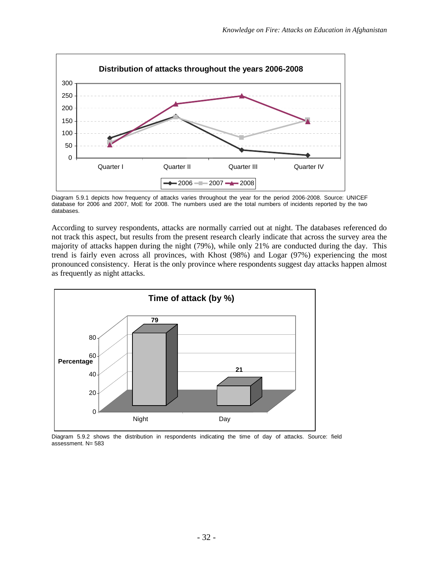

Diagram 5.9.1 depicts how frequency of attacks varies throughout the year for the period 2006-2008. Source: UNICEF database for 2006 and 2007, MoE for 2008. The numbers used are the total numbers of incidents reported by the two databases.

According to survey respondents, attacks are normally carried out at night. The databases referenced do not track this aspect, but results from the present research clearly indicate that across the survey area the majority of attacks happen during the night (79%), while only 21% are conducted during the day. This trend is fairly even across all provinces, with Khost (98%) and Logar (97%) experiencing the most pronounced consistency. Herat is the only province where respondents suggest day attacks happen almost as frequently as night attacks.



Diagram 5.9.2 shows the distribution in respondents indicating the time of day of attacks. Source: field assessment. N= 583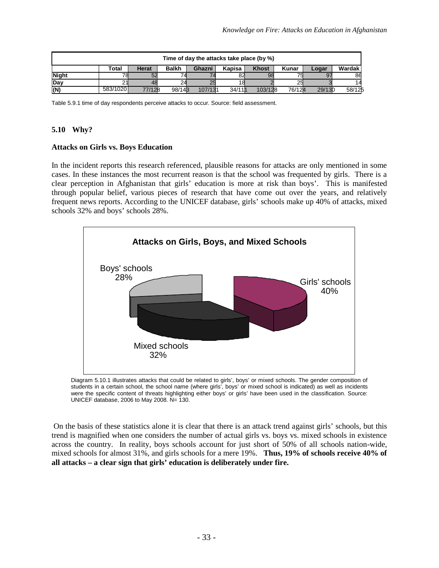| Time of day the attacks take place (by %) |                                                                                                       |        |        |         |        |         |        |        |        |  |  |
|-------------------------------------------|-------------------------------------------------------------------------------------------------------|--------|--------|---------|--------|---------|--------|--------|--------|--|--|
|                                           | Wardak<br><b>Khost</b><br><b>Balkh</b><br>Kunar<br>Kapisa<br><b>Herat</b><br>Total<br>Ghazni<br>Logar |        |        |         |        |         |        |        |        |  |  |
| <b>Night</b>                              |                                                                                                       | 52     |        |         |        | 98      |        |        | 86     |  |  |
| Day                                       |                                                                                                       |        |        |         |        |         |        |        |        |  |  |
| (N)                                       | 583/1020                                                                                              | 77/128 | 98/143 | 107/131 | 34/111 | 103/128 | 76/124 | 29/130 | 58/125 |  |  |

Table 5.9.1 time of day respondents perceive attacks to occur. Source: field assessment.

## **5.10 Why?**

#### **Attacks on Girls vs. Boys Education**

In the incident reports this research referenced, plausible reasons for attacks are only mentioned in some cases. In these instances the most recurrent reason is that the school was frequented by girls. There is a clear perception in Afghanistan that girls' education is more at risk than boys'. This is manifested through popular belief, various pieces of research that have come out over the years, and relatively frequent news reports. According to the UNICEF database, girls' schools make up 40% of attacks, mixed schools 32% and boys' schools 28%.



Diagram 5.10.1 illustrates attacks that could be related to girls', boys' or mixed schools. The gender composition of students in a certain school, the school name (where girls', boys' or mixed school is indicated) as well as incidents were the specific content of threats highlighting either boys' or girls' have been used in the classification. Source: UNICEF database, 2006 to May 2008. N= 130.

On the basis of these statistics alone it is clear that there is an attack trend against girls' schools, but this trend is magnified when one considers the number of actual girls vs. boys vs. mixed schools in existence across the country. In reality, boys schools account for just short of 50% of all schools nation-wide, mixed schools for almost 31%, and girls schools for a mere 19%. **Thus, 19% of schools receive 40% of all attacks – a clear sign that girls' education is deliberately under fire.**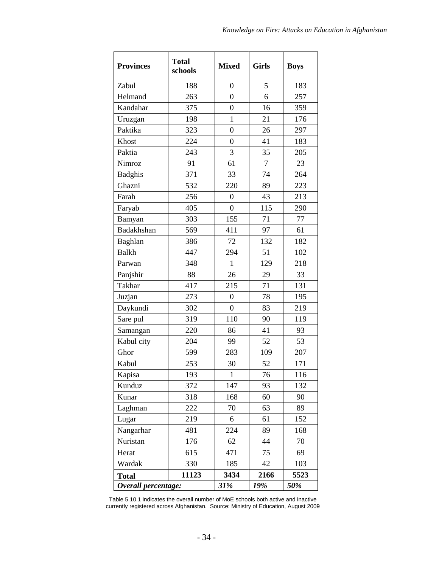| <b>Provinces</b>    | <b>Total</b><br>schools | <b>Mixed</b>     | <b>Girls</b> | <b>Boys</b> |
|---------------------|-------------------------|------------------|--------------|-------------|
| Zabul               | 188                     | $\boldsymbol{0}$ | 5            | 183         |
| Helmand             | 263                     | $\overline{0}$   | 6            | 257         |
| Kandahar            | 375                     | $\theta$         | 16           | 359         |
| Uruzgan             | 198                     | $\mathbf{1}$     | 21           | 176         |
| Paktika             | 323                     | $\mathbf{0}$     | 26           | 297         |
| Khost               | 224                     | 0                | 41           | 183         |
| Paktia              | 243                     | 3                | 35           | 205         |
| Nimroz              | 91                      | 61               | 7            | 23          |
| <b>Badghis</b>      | 371                     | 33               | 74           | 264         |
| Ghazni              | 532                     | 220              | 89           | 223         |
| Farah               | 256                     | 0                | 43           | 213         |
| Faryab              | 405                     | $\overline{0}$   | 115          | 290         |
| Bamyan              | 303                     | 155              | 71           | 77          |
| Badakhshan          | 569                     | 411              | 97           | 61          |
| Baghlan             | 386                     | 72               | 132          | 182         |
| <b>Balkh</b>        | 447                     | 294              | 51           | 102         |
| Parwan              | 348                     | $\mathbf{1}$     | 129          | 218         |
| Panjshir            | 88                      | 26               | 29           | 33          |
| Takhar              | 417                     | 215              | 71           | 131         |
| Juzjan              | 273                     | 0                | 78           | 195         |
| Daykundi            | 302                     | $\overline{0}$   | 83           | 219         |
| Sare pul            | 319                     | 110              | 90           | 119         |
| Samangan            | 220                     | 86               | 41           | 93          |
| Kabul city          | 204                     | 99               | 52           | 53          |
| Ghor                | 599                     | 283              | 109          | 207         |
| Kabul               | 253                     | 30               | 52           | 171         |
| Kapisa              | 193                     | 1                | 76           | 116         |
| Kunduz              | 372                     | 147              | 93           | 132         |
| Kunar               | 318                     | 168              | 60           | 90          |
| Laghman             | 222                     | 70               | 63           | 89          |
| Lugar               | 219                     | 6                | 61           | 152         |
| Nangarhar           | 481                     | 224              | 89           | 168         |
| Nuristan            | 176                     | 62               | 44           | 70          |
| Herat               | 615                     | 471              | 75           | 69          |
| Wardak              | 330                     | 185              | 42           | 103         |
| <b>Total</b>        | 11123                   | 3434             | 2166         | 5523        |
| Overall percentage: |                         | 31%              | 19%          | 50%         |

Table 5.10.1 indicates the overall number of MoE schools both active and inactive currently registered across Afghanistan. Source: Ministry of Education, August 2009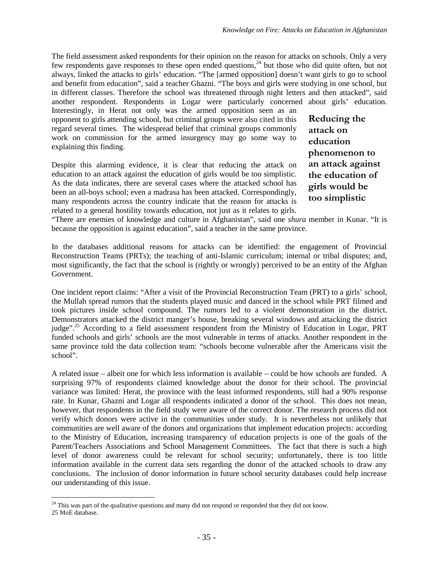The field assessment asked respondents for their opinion on the reason for attacks on schools. Only a very few respondents gave responses to these open ended questions,<sup>[24](#page-40-0)</sup> but those who did quite often, but not always, linked the attacks to girls' education. "The [armed opposition] doesn't want girls to go to school and benefit from education", said a teacher Ghazni. "The boys and girls were studying in one school, but in different classes. Therefore the school was threatened through night letters and then attacked", said another respondent. Respondents in Logar were particularly concerned about girls' education. Interestingly, in Herat not only was the armed opposition seen as an

opponent to girls attending school, but criminal groups were also cited in this regard several times. The widespread belief that criminal groups commonly work on commission for the armed insurgency may go some way to explaining this finding.

Despite this alarming evidence, it is clear that reducing the attack on education to an attack against the education of girls would be too simplistic. As the data indicates, there are several cases where the attacked school has been an all-boys school; even a madrasa has been attacked. Correspondingly, many respondents across the country indicate that the reason for attacks is related to a general hostility towards education, not just as it relates to girls. **Reducing the attack on education phenomenon to an attack against the education of girls would be too simplistic**

"There are enemies of knowledge and culture in Afghanistan", said one *shura* member in Kunar. "It is because the opposition is against education", said a teacher in the same province.

In the databases additional reasons for attacks can be identified: the engagement of Provincial Reconstruction Teams (PRTs); the teaching of anti-Islamic curriculum; internal or tribal disputes; and, most significantly, the fact that the school is (rightly or wrongly) perceived to be an entity of the Afghan Government.

One incident report claims: "After a visit of the Provincial Reconstruction Team (PRT) to a girls' school, the Mullah spread rumors that the students played music and danced in the school while PRT filmed and took pictures inside school compound. The rumors led to a violent demonstration in the district. Demonstrators attacked the district manger's house, breaking several windows and attacking the district judge".<sup>[25](#page-40-1)</sup> According to a field assessment respondent from the Ministry of Education in Logar, PRT funded schools and girls' schools are the most vulnerable in terms of attacks. Another respondent in the same province told the data collection team: "schools become vulnerable after the Americans visit the school".

A related issue – albeit one for which less information is available – could be how schools are funded. A surprising 97% of respondents claimed knowledge about the donor for their school. The provincial variance was limited: Herat, the province with the least informed respondents, still had a 90% response rate. In Kunar, Ghazni and Logar all respondents indicated a donor of the school. This does not mean, however, that respondents in the field study were aware of the correct donor. The research process did not verify which donors were active in the communities under study. It is nevertheless not unlikely that communities are well aware of the donors and organizations that implement education projects: according to the Ministry of Education, increasing transparency of education projects is one of the goals of the Parent/Teachers Associations and School Management Committees. The fact that there is such a high level of donor awareness could be relevant for school security; unfortunately, there is too little information available in the current data sets regarding the donor of the attacked schools to draw any conclusions. The inclusion of donor information in future school security databases could help increase our understanding of this issue.

<span id="page-40-1"></span><span id="page-40-0"></span><sup>&</sup>lt;sup>24</sup> This was part of the qualitative questions and many did not respond or responded that they did not know. 25 MoE database.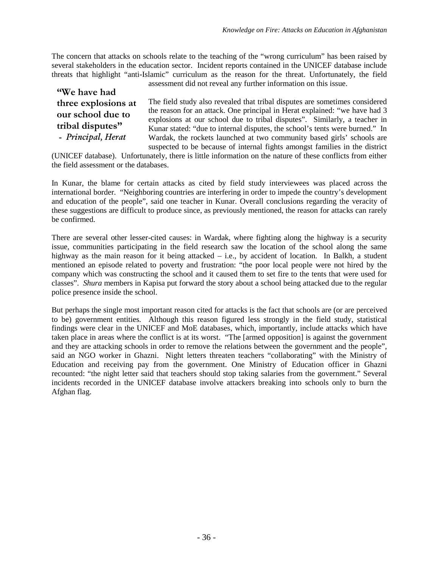The concern that attacks on schools relate to the teaching of the "wrong curriculum" has been raised by several stakeholders in the education sector. Incident reports contained in the UNICEF database include threats that highlight "anti-Islamic" curriculum as the reason for the threat. Unfortunately, the field assessment did not reveal any further information on this issue.

**"We have had three explosions at our school due to tribal disputes" -** *Principal, Herat*

The field study also revealed that tribal disputes are sometimes considered the reason for an attack. One principal in Herat explained: "we have had 3 explosions at our school due to tribal disputes". Similarly, a teacher in Kunar stated: "due to internal disputes, the school's tents were burned." In Wardak, the rockets launched at two community based girls' schools are suspected to be because of internal fights amongst families in the district

(UNICEF database). Unfortunately, there is little information on the nature of these conflicts from either the field assessment or the databases.

In Kunar, the blame for certain attacks as cited by field study interviewees was placed across the international border. "Neighboring countries are interfering in order to impede the country's development and education of the people", said one teacher in Kunar. Overall conclusions regarding the veracity of these suggestions are difficult to produce since, as previously mentioned, the reason for attacks can rarely be confirmed.

There are several other lesser-cited causes: in Wardak, where fighting along the highway is a security issue, communities participating in the field research saw the location of the school along the same highway as the main reason for it being attacked – i.e., by accident of location. In Balkh, a student mentioned an episode related to poverty and frustration: "the poor local people were not hired by the company which was constructing the school and it caused them to set fire to the tents that were used for classes". *Shura* members in Kapisa put forward the story about a school being attacked due to the regular police presence inside the school.

But perhaps the single most important reason cited for attacks is the fact that schools are (or are perceived to be) government entities. Although this reason figured less strongly in the field study, statistical findings were clear in the UNICEF and MoE databases, which, importantly, include attacks which have taken place in areas where the conflict is at its worst. "The [armed opposition] is against the government and they are attacking schools in order to remove the relations between the government and the people", said an NGO worker in Ghazni. Night letters threaten teachers "collaborating" with the Ministry of Education and receiving pay from the government. One Ministry of Education officer in Ghazni recounted: "the night letter said that teachers should stop taking salaries from the government." Several incidents recorded in the UNICEF database involve attackers breaking into schools only to burn the Afghan flag.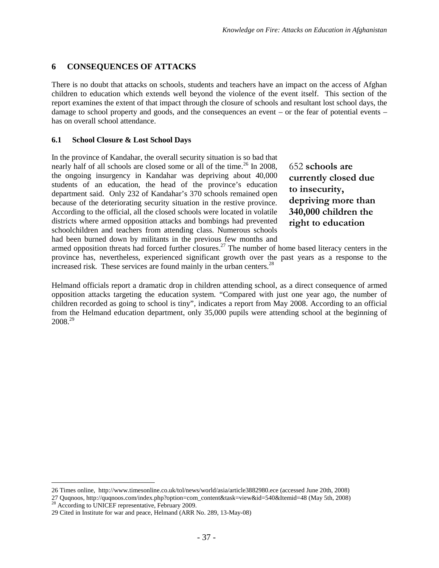# **6 CONSEQUENCES OF ATTACKS**

There is no doubt that attacks on schools, students and teachers have an impact on the access of Afghan children to education which extends well beyond the violence of the event itself. This section of the report examines the extent of that impact through the closure of schools and resultant lost school days, the damage to school property and goods, and the consequences an event – or the fear of potential events – has on overall school attendance.

## **6.1 School Closure & Lost School Days**

In the province of Kandahar, the overall security situation is so bad that nearly half of all schools are closed some or all of the time.<sup>26</sup> In [20](#page-42-0)08, the ongoing insurgency in Kandahar was depriving about 40,000 students of an education, the head of the province's education department said. Only 232 of Kandahar's 370 schools remained open because of the deteriorating security situation in the restive province. According to the official, all the closed schools were located in volatile districts where armed opposition attacks and bombings had prevented schoolchildren and teachers from attending class. Numerous schools had been burned down by militants in the previous few months and

652 **schools are currently closed due to insecurity, depriving more than 340,000 children the right to education**

armed opposition threats had forced further closures.<sup>[27](#page-42-1)</sup> The number of home based literacy centers in the province has, nevertheless, experienced significant growth over the past years as a response to the increased risk. These services are found mainly in the urban centers. $^{28}$  $^{28}$  $^{28}$ 

Helmand officials report a dramatic drop in children attending school, as a direct consequence of armed opposition attacks targeting the education system. "Compared with just one year ago, the number of children recorded as going to school is tiny", indicates a report from May 2008. According to an official from the Helmand education department, only 35,000 pupils were attending school at the beginning of 2008. [29](#page-42-3)

<span id="page-42-1"></span><span id="page-42-0"></span><sup>26</sup> Times online, http://www.timesonline.co.uk/tol/news/world/asia/article3882980.ece (accessed June 20th, 2008)

<span id="page-42-2"></span><sup>27</sup> Quqnoos, http://quqnoos.com/index.php?option=com\_content&task=view&id=540&Itemid=48 (May 5th, 2008)  $28$  According to UNICEF representative, February 2009.

<span id="page-42-3"></span><sup>29</sup> Cited in Institute for war and peace, Helmand (ARR No. 289, 13-May-08)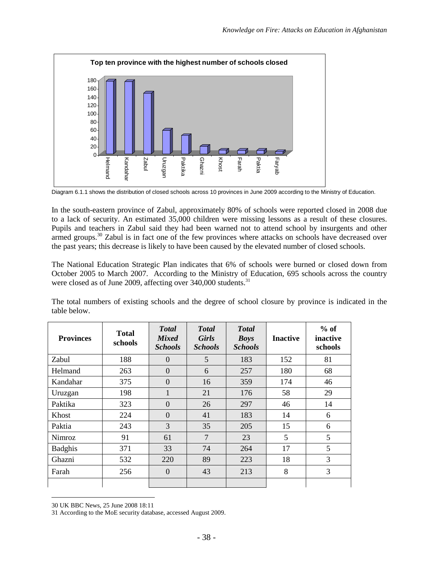

Diagram 6.1.1 shows the distribution of closed schools across 10 provinces in June 2009 according to the Ministry of Education.

In the south-eastern province of Zabul, approximately 80% of schools were reported closed in 2008 due to a lack of security. An estimated 35,000 children were missing lessons as a result of these closures. Pupils and teachers in Zabul said they had been warned not to attend school by insurgents and other armed groups.<sup>[30](#page-43-0)</sup> Zabul is in fact one of the few provinces where attacks on schools have decreased over the past years; this decrease is likely to have been caused by the elevated number of closed schools.

The National Education Strategic Plan indicates that 6% of schools were burned or closed down from October 2005 to March 2007. According to the Ministry of Education, 695 schools across the country were closed as of June 2009, affecting over 340,000 students.<sup>[31](#page-43-1)</sup>

The total numbers of existing schools and the degree of school closure by province is indicated in the table below.

| <b>Provinces</b> | <b>Total</b><br>schools | <b>T</b> otal<br><b>Mixed</b><br><b>Schools</b> | <b>T</b> otal<br><b>Girls</b><br><b>Schools</b> | <b>T</b> otal<br><b>Boys</b><br><b>Schools</b> | <b>Inactive</b> | $%$ of<br>inactive<br>schools |
|------------------|-------------------------|-------------------------------------------------|-------------------------------------------------|------------------------------------------------|-----------------|-------------------------------|
| Zabul            | 188                     | $\Omega$                                        | 5                                               | 183                                            | 152             | 81                            |
| Helmand          | 263                     | $\Omega$                                        | 6                                               | 257                                            | 180             | 68                            |
| Kandahar         | 375                     | $\Omega$                                        | 16                                              | 359                                            | 174             | 46                            |
| Uruzgan          | 198                     | 1                                               | 21                                              | 176                                            | 58              | 29                            |
| Paktika          | 323                     | $\Omega$                                        | 26                                              | 297                                            | 46              | 14                            |
| Khost            | 224                     | $\Omega$                                        | 41                                              | 183                                            | 14              | 6                             |
| Paktia           | 243                     | 3                                               | 35                                              | 205                                            | 15              | 6                             |
| <b>Nimroz</b>    | 91                      | 61                                              | $\overline{7}$                                  | 23                                             | 5               | 5                             |
| <b>Badghis</b>   | 371                     | 33                                              | 74                                              | 264                                            | 17              | 5                             |
| Ghazni           | 532                     | 220                                             | 89                                              | 223                                            | 18              | 3                             |
| Farah            | 256                     | $\Omega$                                        | 43                                              | 213                                            | 8               | 3                             |
|                  |                         |                                                 |                                                 |                                                |                 |                               |

<span id="page-43-1"></span><span id="page-43-0"></span><sup>30</sup> UK BBC News, 25 June 2008 18:11

<sup>31</sup> According to the MoE security database, accessed August 2009.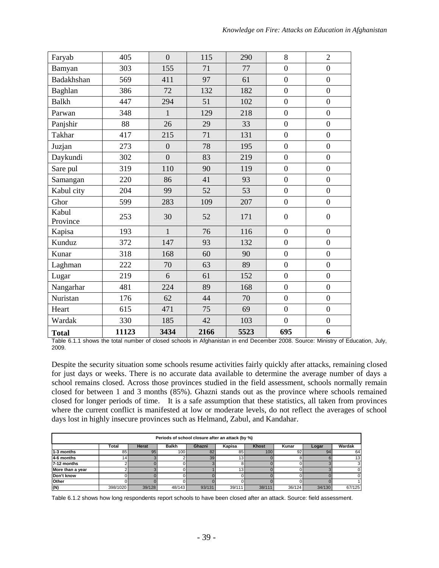| Faryab            | 405   | $\overline{0}$   | 115  | 290  | 8                | $\overline{2}$   |
|-------------------|-------|------------------|------|------|------------------|------------------|
| Bamyan            | 303   | 155              | 71   | 77   | $\overline{0}$   | $\overline{0}$   |
| Badakhshan        | 569   | 411              | 97   | 61   | $\boldsymbol{0}$ | $\overline{0}$   |
| Baghlan           | 386   | 72               | 132  | 182  | $\overline{0}$   | $\overline{0}$   |
| <b>Balkh</b>      | 447   | 294              | 51   | 102  | $\overline{0}$   | $\overline{0}$   |
| Parwan            | 348   | $\mathbf{1}$     | 129  | 218  | $\overline{0}$   | $\overline{0}$   |
| Panjshir          | 88    | 26               | 29   | 33   | $\overline{0}$   | $\overline{0}$   |
| <b>Takhar</b>     | 417   | 215              | 71   | 131  | $\boldsymbol{0}$ | $\overline{0}$   |
| Juzjan            | 273   | $\boldsymbol{0}$ | 78   | 195  | $\boldsymbol{0}$ | $\overline{0}$   |
| Daykundi          | 302   | $\overline{0}$   | 83   | 219  | $\overline{0}$   | $\boldsymbol{0}$ |
| Sare pul          | 319   | 110              | 90   | 119  | $\overline{0}$   | $\overline{0}$   |
| Samangan          | 220   | 86               | 41   | 93   | $\overline{0}$   | $\overline{0}$   |
| Kabul city        | 204   | 99               | 52   | 53   | $\overline{0}$   | $\overline{0}$   |
| Ghor              | 599   | 283              | 109  | 207  | $\boldsymbol{0}$ | $\boldsymbol{0}$ |
| Kabul<br>Province | 253   | 30               | 52   | 171  | $\boldsymbol{0}$ | $\boldsymbol{0}$ |
| Kapisa            | 193   | $\mathbf{1}$     | 76   | 116  | $\boldsymbol{0}$ | $\overline{0}$   |
| Kunduz            | 372   | 147              | 93   | 132  | $\boldsymbol{0}$ | $\overline{0}$   |
| Kunar             | 318   | 168              | 60   | 90   | $\overline{0}$   | $\overline{0}$   |
| Laghman           | 222   | 70               | 63   | 89   | $\overline{0}$   | $\overline{0}$   |
| Lugar             | 219   | 6                | 61   | 152  | $\overline{0}$   | $\overline{0}$   |
| Nangarhar         | 481   | 224              | 89   | 168  | $\overline{0}$   | $\overline{0}$   |
| Nuristan          | 176   | 62               | 44   | 70   | $\overline{0}$   | $\overline{0}$   |
| Heart             | 615   | 471              | 75   | 69   | $\boldsymbol{0}$ | $\boldsymbol{0}$ |
| Wardak            | 330   | 185              | 42   | 103  | $\overline{0}$   | $\overline{0}$   |
| <b>Total</b>      | 11123 | 3434             | 2166 | 5523 | 695              | 6                |

Table 6.1.1 shows the total number of closed schools in Afghanistan in end December 2008. Source: Ministry of Education, July, 2009.

Despite the security situation some schools resume activities fairly quickly after attacks, remaining closed for just days or weeks. There is no accurate data available to determine the average number of days a school remains closed. Across those provinces studied in the field assessment, schools normally remain closed for between 1 and 3 months (85%). Ghazni stands out as the province where schools remained closed for longer periods of time. It is a safe assumption that these statistics, all taken from provinces where the current conflict is manifested at low or moderate levels, do not reflect the averages of school days lost in highly insecure provinces such as Helmand, Zabul, and Kandahar.

| Periods of school closure after an attack (by %) |                                                                                                       |        |                  |        |                 |        |        |        |        |  |  |  |
|--------------------------------------------------|-------------------------------------------------------------------------------------------------------|--------|------------------|--------|-----------------|--------|--------|--------|--------|--|--|--|
|                                                  | Total<br><b>Herat</b><br><b>Balkh</b><br>Kapisa<br><b>Khost</b><br>Wardak<br>Ghazni<br>Kunar<br>Logar |        |                  |        |                 |        |        |        |        |  |  |  |
| 1-3 months                                       | 85                                                                                                    | 95     | 100 <sup>1</sup> | 82     | 85              | 100    | 921    | 94     | 64     |  |  |  |
| 4-6 months                                       | 14 <sup>1</sup>                                                                                       |        |                  | 39     | 13 <sup>1</sup> |        |        |        | 13     |  |  |  |
| $7-12$ months                                    |                                                                                                       |        |                  |        |                 |        |        |        |        |  |  |  |
| More than a year                                 |                                                                                                       |        |                  |        | 13 <sub>1</sub> |        |        |        |        |  |  |  |
| Don't know                                       |                                                                                                       |        |                  |        |                 |        |        |        |        |  |  |  |
| Other                                            |                                                                                                       |        |                  |        |                 |        |        |        |        |  |  |  |
| (N)                                              | 398/1020                                                                                              | 39/128 | 48/143           | 93/131 | 39/111          | 38/111 | 36/124 | 34/130 | 67/125 |  |  |  |

Table 6.1.2 shows how long respondents report schools to have been closed after an attack. Source: field assessment.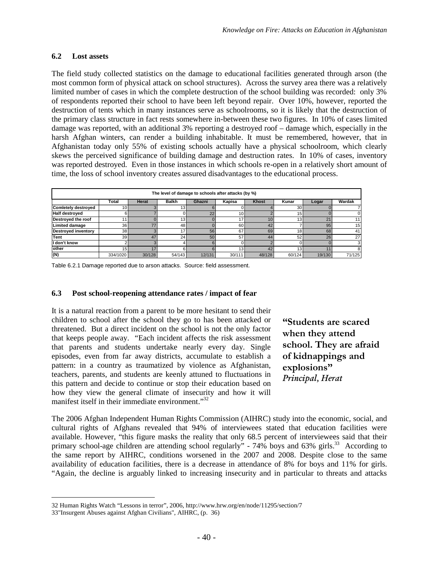### **6.2 Lost assets**

The field study collected statistics on the damage to educational facilities generated through arson (the most common form of physical attack on school structures). Across the survey area there was a relatively limited number of cases in which the complete destruction of the school building was recorded: only 3% of respondents reported their school to have been left beyond repair. Over 10%, however, reported the destruction of tents which in many instances serve as schoolrooms, so it is likely that the destruction of the primary class structure in fact rests somewhere in-between these two figures. In 10% of cases limited damage was reported, with an additional 3% reporting a destroyed roof – damage which, especially in the harsh Afghan winters, can render a building inhabitable. It must be remembered, however, that in Afghanistan today only 55% of existing schools actually have a physical schoolroom, which clearly skews the perceived significance of building damage and destruction rates. In 10% of cases, inventory was reported destroyed. Even in those instances in which schools re-open in a relatively short amount of time, the loss of school inventory creates assured disadvantages to the educational process.

|                            | The level of damage to schools after attacks (by %)                                                   |        |                 |        |                 |        |                 |                |                 |  |  |  |
|----------------------------|-------------------------------------------------------------------------------------------------------|--------|-----------------|--------|-----------------|--------|-----------------|----------------|-----------------|--|--|--|
|                            | Total<br><b>Balkh</b><br>Ghazni<br><b>Khost</b><br>Wardak<br><b>Herat</b><br>Kapisa<br>Kunar<br>Logar |        |                 |        |                 |        |                 |                |                 |  |  |  |
| <b>Comletely destroyed</b> | 10 I                                                                                                  |        | 13 <sub>1</sub> |        |                 |        | 30 <sup>1</sup> |                |                 |  |  |  |
| <b>Half destroyed</b>      |                                                                                                       |        |                 | 22     | 10 <sup>1</sup> |        | 15              |                |                 |  |  |  |
| Destroyed the roof         |                                                                                                       |        | 13 <sub>l</sub> |        | 17              | 10     | 13 <sub>1</sub> | 2 <sub>1</sub> |                 |  |  |  |
| <b>Limited damage</b>      | 36                                                                                                    | 77     | 48              |        | 60              | 42     |                 | 95             | 15 <sup>1</sup> |  |  |  |
| <b>Destroyed inventory</b> | 38                                                                                                    |        | 17              | 56     | 67              | 69     | 18 <sup>1</sup> | 68             | 41              |  |  |  |
| Tent                       | 39                                                                                                    | 47     | 24              | 50     | 57              | 44     | 52              | 26             | 27              |  |  |  |
| I don't know               |                                                                                                       |        |                 |        |                 |        |                 |                |                 |  |  |  |
| other                      | 15                                                                                                    | 17     |                 |        | 13 <sub>1</sub> | 42     | 13 <sub>1</sub> |                |                 |  |  |  |
| (N)                        | 334/1020                                                                                              | 30/128 | 54/143          | 12/131 | 30/111          | 48/128 | 60/124          | 19/130         | 71/125          |  |  |  |

Table 6.2.1 Damage reported due to arson attacks. Source: field assessment.

### **6.3 Post school-reopening attendance rates / impact of fear**

It is a natural reaction from a parent to be more hesitant to send their children to school after the school they go to has been attacked or threatened. But a direct incident on the school is not the only factor that keeps people away. "Each incident affects the risk assessment that parents and students undertake nearly every day. Single episodes, even from far away districts, accumulate to establish a pattern: in a country as traumatized by violence as Afghanistan, teachers, parents, and students are keenly attuned to fluctuations in this pattern and decide to continue or stop their education based on how they view the general climate of insecurity and how it will manifest itself in their immediate environment."<sup>[32](#page-45-0)</sup>

**"Students are scared when they attend school. They are afraid of kidnappings and explosions"** *Principal, Herat*

The 2006 Afghan Independent Human Rights Commission (AIHRC) study into the economic, social, and cultural rights of Afghans revealed that 94% of interviewees stated that education facilities were available. However, "this figure masks the reality that only 68.5 percent of interviewees said that their primary school-age children are attending school regularly" - 74% boys and 63% girls.<sup>[33](#page-45-1)</sup> According to the same report by AIHRC, conditions worsened in the 2007 and 2008. Despite close to the same availability of education facilities, there is a decrease in attendance of 8% for boys and 11% for girls. "Again, the decline is arguably linked to increasing insecurity and in particular to threats and attacks

<span id="page-45-1"></span><span id="page-45-0"></span><sup>32</sup> Human Rights Watch "Lessons in terror", 2006, http://www.hrw.org/en/node/11295/section/7

<sup>33&</sup>quot;Insurgent Abuses against Afghan Civilians", AIHRC, (p. 36)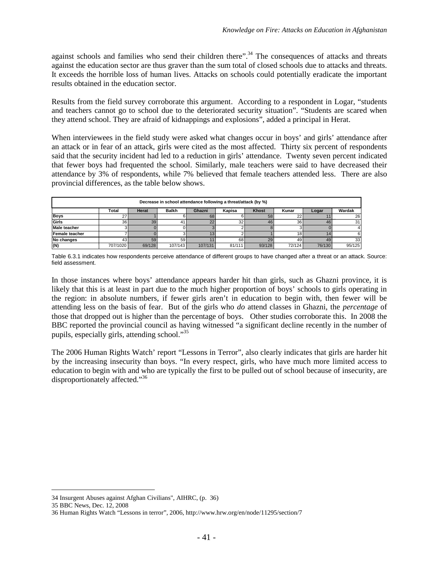against schools and families who send their children there".<sup>[34](#page-46-0)</sup> The consequences of attacks and threats against the education sector are thus graver than the sum total of closed schools due to attacks and threats. It exceeds the horrible loss of human lives. Attacks on schools could potentially eradicate the important results obtained in the education sector.

Results from the field survey corroborate this argument. According to a respondent in Logar, "students and teachers cannot go to school due to the deteriorated security situation". "Students are scared when they attend school. They are afraid of kidnappings and explosions", added a principal in Herat.

When interviewees in the field study were asked what changes occur in boys' and girls' attendance after an attack or in fear of an attack, girls were cited as the most affected. Thirty six percent of respondents said that the security incident had led to a reduction in girls' attendance. Twenty seven percent indicated that fewer boys had frequented the school. Similarly, male teachers were said to have decreased their attendance by 3% of respondents, while 7% believed that female teachers attended less. There are also provincial differences, as the table below shows.

|                                                                                                       | Decrease in school attendance following a threat/attack (by %) |        |                 |          |        |        |                 |        |        |  |  |
|-------------------------------------------------------------------------------------------------------|----------------------------------------------------------------|--------|-----------------|----------|--------|--------|-----------------|--------|--------|--|--|
| Wardak<br>Total<br><b>Balkh</b><br>Kapisa<br>Kunar<br><b>Herat</b><br>Ghazni<br><b>Khost</b><br>Logar |                                                                |        |                 |          |        |        |                 |        |        |  |  |
| <b>Boys</b>                                                                                           |                                                                |        |                 | 68       |        | 58     | n<br>∠∠         |        | 26     |  |  |
| Girls                                                                                                 | 36                                                             | 39     | 41              | $\Omega$ | 32     | 46     | 36 <sub>l</sub> | 46     | 31     |  |  |
| <b>Male teacher</b>                                                                                   |                                                                |        |                 |          |        |        |                 |        |        |  |  |
| Female teacher                                                                                        |                                                                |        |                 |          |        |        | 18 <sub>1</sub> |        |        |  |  |
| No changes                                                                                            | 43                                                             | 59     | 59 <sub>l</sub> |          | 68     | 29     | 49              | 49     | 33     |  |  |
| (N)                                                                                                   | 707/1020                                                       | 69/128 | 107/143         | 107/131  | 81/111 | 93/128 | 72/124          | 76/130 | 95/125 |  |  |

Table 6.3.1 indicates how respondents perceive attendance of different groups to have changed after a threat or an attack. Source: field assessment.

In those instances where boys' attendance appears harder hit than girls, such as Ghazni province, it is likely that this is at least in part due to the much higher proportion of boys' schools to girls operating in the region: in absolute numbers, if fewer girls aren't in education to begin with, then fewer will be attending less on the basis of fear. But of the girls who *do* attend classes in Ghazni, the *percentage* of those that dropped out is higher than the percentage of boys. Other studies corroborate this. In 2008 the BBC reported the provincial council as having witnessed "a significant decline recently in the number of pupils, especially girls, attending school."[35](#page-46-1)

The 2006 Human Rights Watch' report "Lessons in Terror", also clearly indicates that girls are harder hit by the increasing insecurity than boys. "In every respect, girls, who have much more limited access to education to begin with and who are typically the first to be pulled out of school because of insecurity, are disproportionately affected."<sup>[36](#page-46-2)</sup>

<span id="page-46-1"></span><span id="page-46-0"></span><sup>34</sup> Insurgent Abuses against Afghan Civilians", AIHRC, (p. 36)

<span id="page-46-2"></span><sup>35</sup> BBC News, Dec. 12, 2008

<sup>36</sup> Human Rights Watch "Lessons in terror", 2006, http://www.hrw.org/en/node/11295/section/7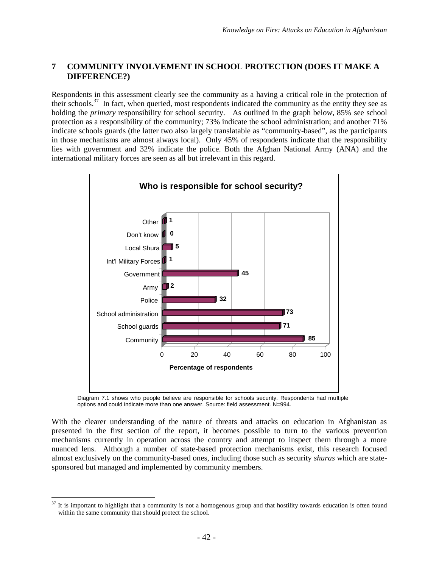# **7 COMMUNITY INVOLVEMENT IN SCHOOL PROTECTION (DOES IT MAKE A DIFFERENCE?)**

Respondents in this assessment clearly see the community as a having a critical role in the protection of their schools.<sup>[37](#page-47-0)</sup> In fact, when queried, most respondents indicated the community as the entity they see as holding the *primary* responsibility for school security. As outlined in the graph below, 85% see school protection as a responsibility of the community; 73% indicate the school administration; and another 71% indicate schools guards (the latter two also largely translatable as "community-based", as the participants in those mechanisms are almost always local). Only 45% of respondents indicate that the responsibility lies with government and 32% indicate the police. Both the Afghan National Army (ANA) and the international military forces are seen as all but irrelevant in this regard.



Diagram 7.1 shows who people believe are responsible for schools security. Respondents had multiple options and could indicate more than one answer. Source: field assessment. N=994.

With the clearer understanding of the nature of threats and attacks on education in Afghanistan as presented in the first section of the report, it becomes possible to turn to the various prevention mechanisms currently in operation across the country and attempt to inspect them through a more nuanced lens. Although a number of state-based protection mechanisms exist, this research focused almost exclusively on the community-based ones, including those such as security *shuras* which are statesponsored but managed and implemented by community members.

<span id="page-47-0"></span> $37$  It is important to highlight that a community is not a homogenous group and that hostility towards education is often found within the same community that should protect the school.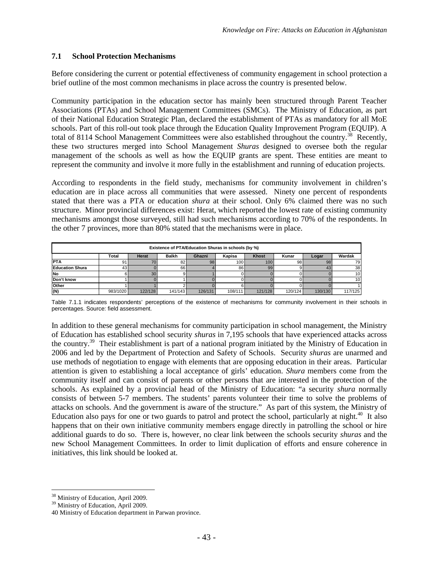### **7.1 School Protection Mechanisms**

Before considering the current or potential effectiveness of community engagement in school protection a brief outline of the most common mechanisms in place across the country is presented below.

Community participation in the education sector has mainly been structured through Parent Teacher Associations (PTAs) and School Management Committees (SMCs). The Ministry of Education, as part of their National Education Strategic Plan, declared the establishment of PTAs as mandatory for all MoE schools. Part of this roll-out took place through the Education Quality Improvement Program (EQUIP). A total of 8114 School Management Committees were also established throughout the country.<sup>[38](#page-48-0)</sup> Recently, these two structures merged into School Management *Shuras* designed to oversee both the regular management of the schools as well as how the EQUIP grants are spent. These entities are meant to represent the community and involve it more fully in the establishment and running of education projects.

According to respondents in the field study, mechanisms for community involvement in children's education are in place across all communities that were assessed. Ninety one percent of respondents stated that there was a PTA or education *shura* at their school. Only 6% claimed there was no such structure. Minor provincial differences exist: Herat, which reported the lowest rate of existing community mechanisms amongst those surveyed, still had such mechanisms according to 70% of the respondents. In the other 7 provinces, more than 80% stated that the mechanisms were in place.

| Existence of PTA/Education Shuras in schools (by %) |                                                                                                |         |         |         |         |         |         |         |                 |  |  |
|-----------------------------------------------------|------------------------------------------------------------------------------------------------|---------|---------|---------|---------|---------|---------|---------|-----------------|--|--|
|                                                     | Wardak<br><b>Balkh</b><br><b>Khost</b><br>Kunar<br>Total<br>Herat<br>Ghazni<br>Kapisa<br>Logar |         |         |         |         |         |         |         |                 |  |  |
| <b>PTA</b>                                          | 91                                                                                             |         | 82      | 98      | 100     | 100     | 98      | 98      | 79              |  |  |
| <b>Education Shura</b>                              | 43                                                                                             |         | 66      |         | 86      | 99      |         | 43      | 38 <sup>1</sup> |  |  |
| <b>No</b>                                           |                                                                                                | 30      |         |         |         |         |         |         | 10              |  |  |
| Don't know                                          |                                                                                                |         |         |         |         |         |         |         |                 |  |  |
| Other                                               |                                                                                                |         |         |         |         |         |         |         |                 |  |  |
| (N)                                                 | 983/1020                                                                                       | 122/128 | 141/143 | 126/131 | 108/111 | 121/128 | 120/124 | 130/130 | 117/125         |  |  |

Table 7.1.1 indicates respondents' perceptions of the existence of mechanisms for community involvement in their schools in percentages. Source: field assessment.

In addition to these general mechanisms for community participation in school management, the Ministry of Education has established school security *shuras* in 7,195 schools that have experienced attacks across the country.[39](#page-48-1) Their establishment is part of a national program initiated by the Ministry of Education in 2006 and led by the Department of Protection and Safety of Schools. Security *shuras* are unarmed and use methods of negotiation to engage with elements that are opposing education in their areas. Particular attention is given to establishing a local acceptance of girls' education. *Shura* members come from the community itself and can consist of parents or other persons that are interested in the protection of the schools. As explained by a provincial head of the Ministry of Education: "a security *shura* normally consists of between 5-7 members. The students' parents volunteer their time to solve the problems of attacks on schools. And the government is aware of the structure." As part of this system, the Ministry of Education also pays for one or two guards to patrol and protect the school, particularly at night.<sup>[40](#page-48-2)</sup> It also happens that on their own initiative community members engage directly in patrolling the school or hire additional guards to do so. There is, however, no clear link between the schools security *shuras* and the new School Management Committees. In order to limit duplication of efforts and ensure coherence in initiatives, this link should be looked at.

<span id="page-48-1"></span><span id="page-48-0"></span><sup>&</sup>lt;sup>38</sup> Ministry of Education, April 2009.

<span id="page-48-2"></span><sup>&</sup>lt;sup>39</sup> Ministry of Education, April 2009.

<sup>40</sup> Ministry of Education department in Parwan province.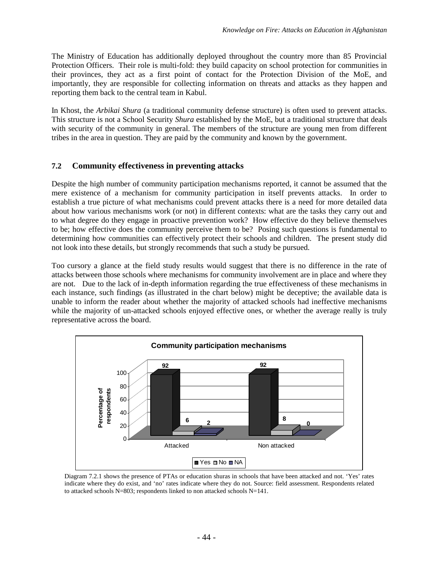The Ministry of Education has additionally deployed throughout the country more than 85 Provincial Protection Officers. Their role is multi-fold: they build capacity on school protection for communities in their provinces, they act as a first point of contact for the Protection Division of the MoE, and importantly, they are responsible for collecting information on threats and attacks as they happen and reporting them back to the central team in Kabul.

In Khost, the *Arbikai Shura* (a traditional community defense structure) is often used to prevent attacks. This structure is not a School Security *Shura* established by the MoE, but a traditional structure that deals with security of the community in general. The members of the structure are young men from different tribes in the area in question. They are paid by the community and known by the government.

## **7.2 Community effectiveness in preventing attacks**

Despite the high number of community participation mechanisms reported, it cannot be assumed that the mere existence of a mechanism for community participation in itself prevents attacks. In order to establish a true picture of what mechanisms could prevent attacks there is a need for more detailed data about how various mechanisms work (or not) in different contexts: what are the tasks they carry out and to what degree do they engage in proactive prevention work? How effective do they believe themselves to be; how effective does the community perceive them to be? Posing such questions is fundamental to determining how communities can effectively protect their schools and children. The present study did not look into these details, but strongly recommends that such a study be pursued.

Too cursory a glance at the field study results would suggest that there is no difference in the rate of attacks between those schools where mechanisms for community involvement are in place and where they are not. Due to the lack of in-depth information regarding the true effectiveness of these mechanisms in each instance, such findings (as illustrated in the chart below) might be deceptive; the available data is unable to inform the reader about whether the majority of attacked schools had ineffective mechanisms while the majority of un-attacked schools enjoyed effective ones, or whether the average really is truly representative across the board.



Diagram 7.2.1 shows the presence of PTAs or education shuras in schools that have been attacked and not. 'Yes' rates indicate where they do exist, and 'no' rates indicate where they do not. Source: field assessment. Respondents related to attacked schools N=803; respondents linked to non attacked schools N=141.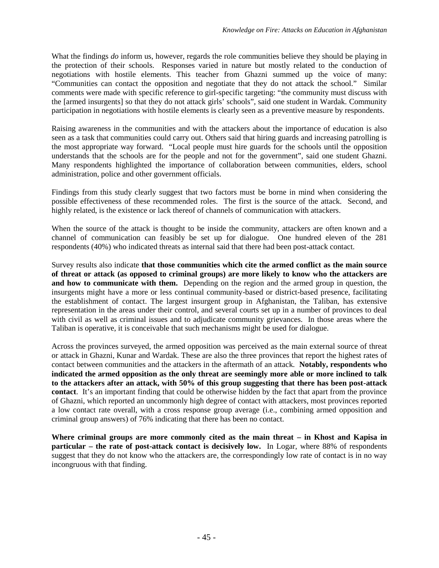What the findings *do* inform us, however, regards the role communities believe they should be playing in the protection of their schools. Responses varied in nature but mostly related to the conduction of negotiations with hostile elements. This teacher from Ghazni summed up the voice of many: "Communities can contact the opposition and negotiate that they do not attack the school." Similar comments were made with specific reference to girl-specific targeting: "the community must discuss with the [armed insurgents] so that they do not attack girls' schools", said one student in Wardak. Community participation in negotiations with hostile elements is clearly seen as a preventive measure by respondents.

Raising awareness in the communities and with the attackers about the importance of education is also seen as a task that communities could carry out. Others said that hiring guards and increasing patrolling is the most appropriate way forward. "Local people must hire guards for the schools until the opposition understands that the schools are for the people and not for the government", said one student Ghazni. Many respondents highlighted the importance of collaboration between communities, elders, school administration, police and other government officials.

Findings from this study clearly suggest that two factors must be borne in mind when considering the possible effectiveness of these recommended roles. The first is the source of the attack. Second, and highly related, is the existence or lack thereof of channels of communication with attackers.

When the source of the attack is thought to be inside the community, attackers are often known and a channel of communication can feasibly be set up for dialogue. One hundred eleven of the 281 respondents (40%) who indicated threats as internal said that there had been post-attack contact.

Survey results also indicate **that those communities which cite the armed conflict as the main source of threat or attack (as opposed to criminal groups) are more likely to know who the attackers are and how to communicate with them.** Depending on the region and the armed group in question, the insurgents might have a more or less continual community-based or district-based presence, facilitating the establishment of contact. The largest insurgent group in Afghanistan, the Taliban, has extensive representation in the areas under their control, and several courts set up in a number of provinces to deal with civil as well as criminal issues and to adjudicate community grievances. In those areas where the Taliban is operative, it is conceivable that such mechanisms might be used for dialogue.

Across the provinces surveyed, the armed opposition was perceived as the main external source of threat or attack in Ghazni, Kunar and Wardak. These are also the three provinces that report the highest rates of contact between communities and the attackers in the aftermath of an attack. **Notably, respondents who indicated the armed opposition as the only threat are seemingly more able or more inclined to talk to the attackers after an attack, with 50% of this group suggesting that there has been post-attack contact**. It's an important finding that could be otherwise hidden by the fact that apart from the province of Ghazni, which reported an uncommonly high degree of contact with attackers, most provinces reported a low contact rate overall, with a cross response group average (i.e., combining armed opposition and criminal group answers) of 76% indicating that there has been no contact.

**Where criminal groups are more commonly cited as the main threat – in Khost and Kapisa in particular** – the rate of post-attack contact is decisively low. In Logar, where 88% of respondents suggest that they do not know who the attackers are, the correspondingly low rate of contact is in no way incongruous with that finding.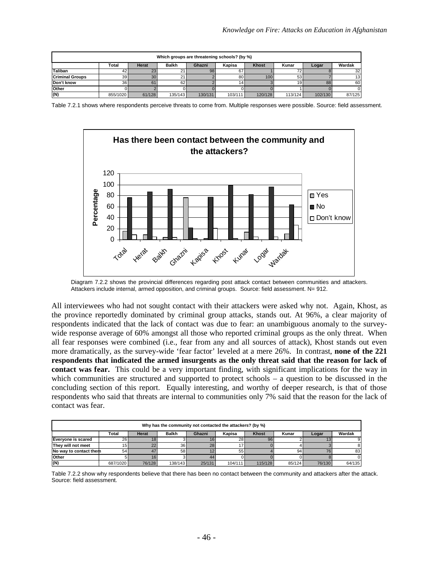| Which groups are threatening schools? (by %)                                                          |                 |        |         |         |         |         |                 |         |                 |  |
|-------------------------------------------------------------------------------------------------------|-----------------|--------|---------|---------|---------|---------|-----------------|---------|-----------------|--|
| Wardak<br><b>Balkh</b><br><b>Khost</b><br><b>Herat</b><br>Kapisa<br>Kunar<br>Total<br>Ghazni<br>Logar |                 |        |         |         |         |         |                 |         |                 |  |
| Taliban                                                                                               | 42 I            | 23     | 21      | 98      | 67      |         |                 |         | 32 <sub>l</sub> |  |
| <b>Criminal Groups</b>                                                                                | 39 <sub>l</sub> | 30     | 211     |         | 80      | 100     | 53              |         | 13 <sub>1</sub> |  |
| Don't know                                                                                            | 36 I            | 61     | 62      |         | 14      |         | 19 <sup>1</sup> | 88      | 60              |  |
| Other                                                                                                 |                 |        |         |         |         |         |                 |         |                 |  |
| (N)                                                                                                   | 855/1020        | 61/128 | 135/143 | 130/131 | 103/111 | 120/128 | 113/124         | 102/130 | 87/125          |  |

Table 7.2.1 shows where respondents perceive threats to come from. Multiple responses were possible. Source: field assessment.



Diagram 7.2.2 shows the provincial differences regarding post attack contact between communities and attackers. Attackers include internal, armed opposition, and criminal groups. Source: field assessment. N= 912.

All interviewees who had not sought contact with their attackers were asked why not. Again, Khost, as the province reportedly dominated by criminal group attacks, stands out. At 96%, a clear majority of respondents indicated that the lack of contact was due to fear: an unambiguous anomaly to the surveywide response average of 60% amongst all those who reported criminal groups as the only threat. When all fear responses were combined (i.e., fear from any and all sources of attack), Khost stands out even more dramatically, as the survey-wide 'fear factor' leveled at a mere 26%. In contrast, **none of the 221 respondents that indicated the armed insurgents as the only threat said that the reason for lack of contact was fear.** This could be a very important finding, with significant implications for the way in which communities are structured and supported to protect schools – a question to be discussed in the concluding section of this report. Equally interesting, and worthy of deeper research, is that of those respondents who said that threats are internal to communities only 7% said that the reason for the lack of contact was fear.

|                                                                                                | Why has the community not contacted the attackers? (by %) |        |                 |        |         |         |        |        |        |  |  |
|------------------------------------------------------------------------------------------------|-----------------------------------------------------------|--------|-----------------|--------|---------|---------|--------|--------|--------|--|--|
| Wardak<br>Herat<br><b>Balkh</b><br><b>Khost</b><br>Kapisa<br>Kunar<br>Total<br>Ghazni<br>Logar |                                                           |        |                 |        |         |         |        |        |        |  |  |
| <b>Everyone is scared</b>                                                                      | 26                                                        |        |                 |        | 28      | 96      |        |        |        |  |  |
| They will not meet                                                                             |                                                           | 22     | 36 <sup>1</sup> | 28     |         |         |        |        |        |  |  |
| No way to contact them                                                                         | 54                                                        | 47     | 58 <sub>1</sub> |        | 55      |         | 94     | 76     | 83     |  |  |
| Other                                                                                          |                                                           |        |                 | 44     |         |         |        |        |        |  |  |
| (N)                                                                                            | 687/1020                                                  | 76/128 | 138/143         | 25/131 | 104/111 | 115/128 | 85/124 | 76/130 | 64/135 |  |  |

Table 7.2.2 show why respondents believe that there has been no contact between the community and attackers after the attack. Source: field assessment.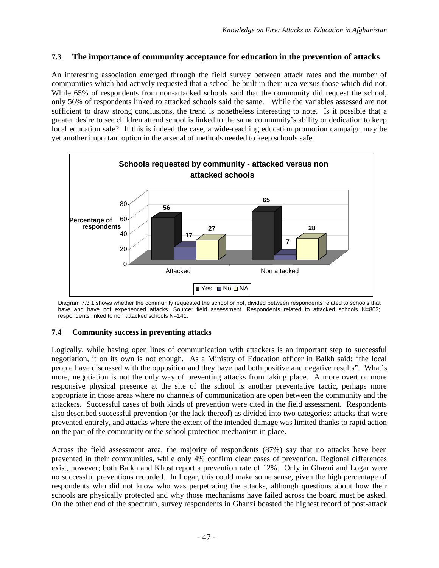# **7.3 The importance of community acceptance for education in the prevention of attacks**

An interesting association emerged through the field survey between attack rates and the number of communities which had actively requested that a school be built in their area versus those which did not. While 65% of respondents from non-attacked schools said that the community did request the school, only 56% of respondents linked to attacked schools said the same. While the variables assessed are not sufficient to draw strong conclusions, the trend is nonetheless interesting to note. Is it possible that a greater desire to see children attend school is linked to the same community's ability or dedication to keep local education safe? If this is indeed the case, a wide-reaching education promotion campaign may be yet another important option in the arsenal of methods needed to keep schools safe.



Diagram 7.3.1 shows whether the community requested the school or not, divided between respondents related to schools that have and have not experienced attacks. Source: field assessment. Respondents related to attacked schools N=803; respondents linked to non attacked schools N=141.

## **7.4 Community success in preventing attacks**

Logically, while having open lines of communication with attackers is an important step to successful negotiation, it on its own is not enough. As a Ministry of Education officer in Balkh said: "the local people have discussed with the opposition and they have had both positive and negative results". What's more, negotiation is not the only way of preventing attacks from taking place. A more overt or more responsive physical presence at the site of the school is another preventative tactic, perhaps more appropriate in those areas where no channels of communication are open between the community and the attackers. Successful cases of both kinds of prevention were cited in the field assessment. Respondents also described successful prevention (or the lack thereof) as divided into two categories: attacks that were prevented entirely, and attacks where the extent of the intended damage was limited thanks to rapid action on the part of the community or the school protection mechanism in place.

Across the field assessment area, the majority of respondents (87%) say that no attacks have been prevented in their communities, while only 4% confirm clear cases of prevention. Regional differences exist, however; both Balkh and Khost report a prevention rate of 12%. Only in Ghazni and Logar were no successful preventions recorded. In Logar, this could make some sense, given the high percentage of respondents who did not know who was perpetrating the attacks, although questions about how their schools are physically protected and why those mechanisms have failed across the board must be asked. On the other end of the spectrum, survey respondents in Ghanzi boasted the highest record of post-attack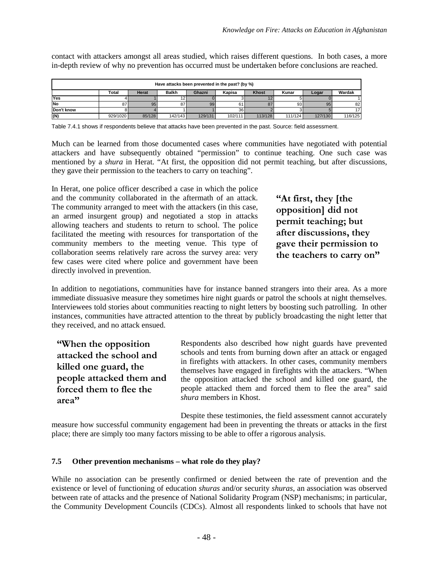contact with attackers amongst all areas studied, which raises different questions. In both cases, a more in-depth review of why no prevention has occurred must be undertaken before conclusions are reached.

| Have attacks been prevented in the past? (by %) |                                                                                                |        |         |         |                 |         |         |         |         |  |  |
|-------------------------------------------------|------------------------------------------------------------------------------------------------|--------|---------|---------|-----------------|---------|---------|---------|---------|--|--|
|                                                 | <b>Khost</b><br><b>Balkh</b><br>Wardak<br>Kunar<br>Total<br>Kapisa<br>Herat<br>Ghazni<br>Logar |        |         |         |                 |         |         |         |         |  |  |
| Yes                                             |                                                                                                |        |         |         |                 |         |         |         |         |  |  |
| <b>No</b>                                       | n <sub>7</sub>                                                                                 | 95     | 87      | 99      |                 |         | 93      | 95      | 82      |  |  |
| Don't know                                      |                                                                                                |        |         |         | 36 <sub>1</sub> |         |         |         |         |  |  |
| (N)                                             | 929/1020                                                                                       | 85/128 | 142/143 | 129/131 | 102/111         | 113/128 | 111/124 | 127/130 | 116/125 |  |  |

Table 7.4.1 shows if respondents believe that attacks have been prevented in the past. Source: field assessment.

Much can be learned from those documented cases where communities have negotiated with potential attackers and have subsequently obtained "permission" to continue teaching. One such case was mentioned by a *shura* in Herat. "At first, the opposition did not permit teaching, but after discussions, they gave their permission to the teachers to carry on teaching".

In Herat, one police officer described a case in which the police and the community collaborated in the aftermath of an attack. The community arranged to meet with the attackers (in this case, an armed insurgent group) and negotiated a stop in attacks allowing teachers and students to return to school. The police facilitated the meeting with resources for transportation of the community members to the meeting venue. This type of collaboration seems relatively rare across the survey area: very few cases were cited where police and government have been directly involved in prevention.

**"At first, they [the opposition] did not permit teaching; but after discussions, they gave their permission to the teachers to carry on"**

In addition to negotiations, communities have for instance banned strangers into their area. As a more immediate dissuasive measure they sometimes hire night guards or patrol the schools at night themselves. Interviewees told stories about communities reacting to night letters by boosting such patrolling. In other instances, communities have attracted attention to the threat by publicly broadcasting the night letter that they received, and no attack ensued.

**"When the opposition attacked the school and killed one guard, the people attacked them and forced them to flee the area"**

Respondents also described how night guards have prevented schools and tents from burning down after an attack or engaged in firefights with attackers. In other cases, community members themselves have engaged in firefights with the attackers. "When the opposition attacked the school and killed one guard, the people attacked them and forced them to flee the area" said *shura* members in Khost.

Despite these testimonies, the field assessment cannot accurately measure how successful community engagement had been in preventing the threats or attacks in the first place; there are simply too many factors missing to be able to offer a rigorous analysis.

### **7.5 Other prevention mechanisms – what role do they play?**

While no association can be presently confirmed or denied between the rate of prevention and the existence or level of functioning of education *shuras* and/or security *shuras*, an association was observed between rate of attacks and the presence of National Solidarity Program (NSP) mechanisms; in particular, the Community Development Councils (CDCs). Almost all respondents linked to schools that have not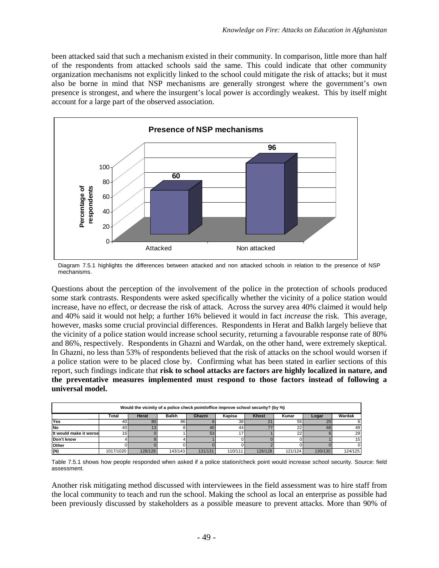been attacked said that such a mechanism existed in their community. In comparison, little more than half of the respondents from attacked schools said the same. This could indicate that other community organization mechanisms not explicitly linked to the school could mitigate the risk of attacks; but it must also be borne in mind that NSP mechanisms are generally strongest where the government's own presence is strongest, and where the insurgent's local power is accordingly weakest. This by itself might account for a large part of the observed association.



Diagram 7.5.1 highlights the differences between attacked and non attacked schools in relation to the presence of NSP mechanisms.

Questions about the perception of the involvement of the police in the protection of schools produced some stark contrasts. Respondents were asked specifically whether the vicinity of a police station would increase, have no effect, or decrease the risk of attack. Across the survey area 40% claimed it would help and 40% said it would not help; a further 16% believed it would in fact *increase* the risk. This average, however, masks some crucial provincial differences. Respondents in Herat and Balkh largely believe that the vicinity of a police station would increase school security, returning a favourable response rate of 80% and 86%, respectively. Respondents in Ghazni and Wardak, on the other hand, were extremely skeptical. In Ghazni, no less than 53% of respondents believed that the risk of attacks on the school would worsen if a police station were to be placed close by. Confirming what has been stated in earlier sections of this report, such findings indicate that **risk to school attacks are factors are highly localized in nature, and the preventative measures implemented must respond to those factors instead of following a universal model.**

| Would the vicinity of a police check point/office improve school security? (by %) |           |         |              |         |         |              |         |         |         |  |  |
|-----------------------------------------------------------------------------------|-----------|---------|--------------|---------|---------|--------------|---------|---------|---------|--|--|
|                                                                                   | Total     | Herat   | <b>Balkh</b> | Ghazni  | Kapisa  | <b>Khost</b> | Kunar   | Logar   | Wardak  |  |  |
| Yes                                                                               | 40 I      | 80      | 86           |         | 38      |              | 55      | 25      |         |  |  |
| <b>No</b>                                                                         | 40 l      |         |              | 40      | 44      |              | 22      | 68      | 49      |  |  |
| It would make it worse                                                            | 16        |         |              | 53      |         |              | 22      |         | 29      |  |  |
| Don't know                                                                        |           |         |              |         |         |              |         |         | 15      |  |  |
| Other                                                                             |           |         |              |         |         |              |         |         |         |  |  |
| (N)                                                                               | 1017/1020 | 128/128 | 143/143      | 131/131 | 110/111 | 126/128      | 121/124 | 130/130 | 124/125 |  |  |

Table 7.5.1 shows how people responded when asked if a police station/check point would increase school security. Source: field assessment.

Another risk mitigating method discussed with interviewees in the field assessment was to hire staff from the local community to teach and run the school. Making the school as local an enterprise as possible had been previously discussed by stakeholders as a possible measure to prevent attacks. More than 90% of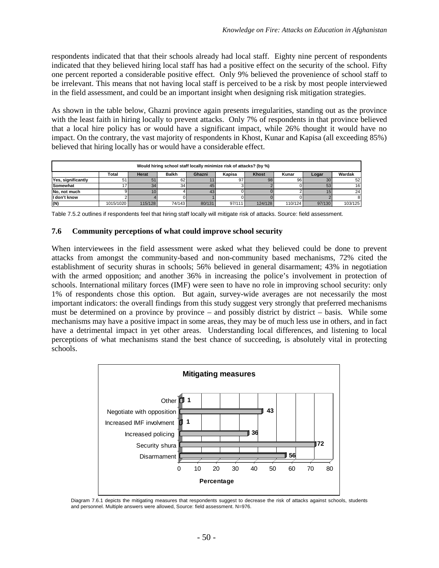respondents indicated that that their schools already had local staff. Eighty nine percent of respondents indicated that they believed hiring local staff has had a positive effect on the security of the school. Fifty one percent reported a considerable positive effect. Only 9% believed the provenience of school staff to be irrelevant. This means that not having local staff is perceived to be a risk by most people interviewed in the field assessment, and could be an important insight when designing risk mitigation strategies.

As shown in the table below, Ghazni province again presents irregularities, standing out as the province with the least faith in hiring locally to prevent attacks. Only 7% of respondents in that province believed that a local hire policy has or would have a significant impact, while 26% thought it would have no impact. On the contrary, the vast majority of respondents in Khost, Kunar and Kapisa (all exceeding 85%) believed that hiring locally has or would have a considerable effect.

| Would hiring school staff locally minimize risk of attacks? (by %) |           |         |              |        |        |              |         |        |         |  |  |
|--------------------------------------------------------------------|-----------|---------|--------------|--------|--------|--------------|---------|--------|---------|--|--|
|                                                                    | Total     | Herat   | <b>Balkh</b> | Ghazni | Kapisa | <b>Khost</b> | Kunar   | Logar  | Wardak  |  |  |
| Yes, significantly                                                 | 51        | 51      | 62           |        | 97     | 98           | 96      | 30     | 52      |  |  |
| Somewhat                                                           |           | 34      | 34           | 45     |        |              |         | 53     | 16      |  |  |
| No. not much                                                       |           |         |              | 43     |        |              |         |        | 24      |  |  |
| I don't know                                                       |           |         |              |        |        |              |         |        |         |  |  |
| (N)                                                                | 1015/1020 | 115/128 | 74/143       | 80/131 | 97/111 | 124/128      | 110/124 | 97/130 | 103/125 |  |  |

Table 7.5.2 outlines if respondents feel that hiring staff locally will mitigate risk of attacks. Source: field assessment.

#### **7.6 Community perceptions of what could improve school security**

When interviewees in the field assessment were asked what they believed could be done to prevent attacks from amongst the community-based and non-community based mechanisms, 72% cited the establishment of security shuras in schools; 56% believed in general disarmament; 43% in negotiation with the armed opposition; and another 36% in increasing the police's involvement in protection of schools. International military forces (IMF) were seen to have no role in improving school security: only 1% of respondents chose this option. But again, survey-wide averages are not necessarily the most important indicators: the overall findings from this study suggest very strongly that preferred mechanisms must be determined on a province by province – and possibly district by district – basis. While some mechanisms may have a positive impact in some areas, they may be of much less use in others, and in fact have a detrimental impact in yet other areas. Understanding local differences, and listening to local perceptions of what mechanisms stand the best chance of succeeding, is absolutely vital in protecting schools.



Diagram 7.6.1 depicts the mitigating measures that respondents suggest to decrease the risk of attacks against schools, students and personnel. Multiple answers were allowed, Source: field assessment. N=976.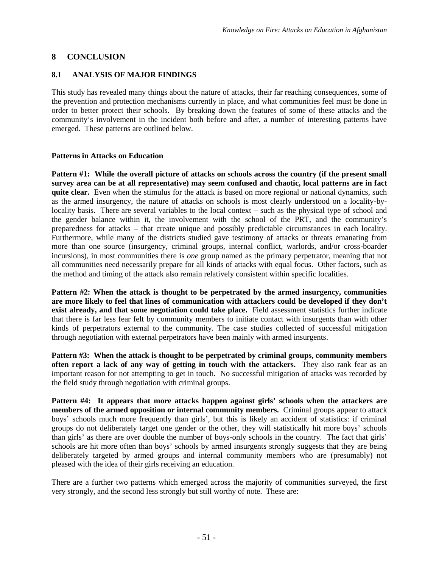# **8 CONCLUSION**

# **8.1 ANALYSIS OF MAJOR FINDINGS**

This study has revealed many things about the nature of attacks, their far reaching consequences, some of the prevention and protection mechanisms currently in place, and what communities feel must be done in order to better protect their schools. By breaking down the features of some of these attacks and the community's involvement in the incident both before and after, a number of interesting patterns have emerged. These patterns are outlined below.

## **Patterns in Attacks on Education**

**Pattern #1: While the overall picture of attacks on schools across the country (if the present small survey area can be at all representative) may seem confused and chaotic, local patterns are in fact quite clear.** Even when the stimulus for the attack is based on more regional or national dynamics, such as the armed insurgency, the nature of attacks on schools is most clearly understood on a locality-bylocality basis. There are several variables to the local context – such as the physical type of school and the gender balance within it, the involvement with the school of the PRT, and the community's preparedness for attacks – that create unique and possibly predictable circumstances in each locality. Furthermore, while many of the districts studied gave testimony of attacks or threats emanating from more than one source (insurgency, criminal groups, internal conflict, warlords, and/or cross-boarder incursions), in most communities there is *one* group named as the primary perpetrator, meaning that not all communities need necessarily prepare for all kinds of attacks with equal focus. Other factors, such as the method and timing of the attack also remain relatively consistent within specific localities.

**Pattern #2: When the attack is thought to be perpetrated by the armed insurgency, communities are more likely to feel that lines of communication with attackers could be developed if they don't exist already, and that some negotiation could take place.** Field assessment statistics further indicate that there is far less fear felt by community members to initiate contact with insurgents than with other kinds of perpetrators external to the community. The case studies collected of successful mitigation through negotiation with external perpetrators have been mainly with armed insurgents.

**Pattern #3: When the attack is thought to be perpetrated by criminal groups, community members often report a lack of any way of getting in touch with the attackers.** They also rank fear as an important reason for not attempting to get in touch. No successful mitigation of attacks was recorded by the field study through negotiation with criminal groups.

**Pattern #4: It appears that more attacks happen against girls' schools when the attackers are members of the armed opposition or internal community members.** Criminal groups appear to attack boys' schools much more frequently than girls', but this is likely an accident of statistics: if criminal groups do not deliberately target one gender or the other, they will statistically hit more boys' schools than girls' as there are over double the number of boys-only schools in the country. The fact that girls' schools are hit more often than boys' schools by armed insurgents strongly suggests that they are being deliberately targeted by armed groups and internal community members who are (presumably) not pleased with the idea of their girls receiving an education.

There are a further two patterns which emerged across the majority of communities surveyed, the first very strongly, and the second less strongly but still worthy of note. These are: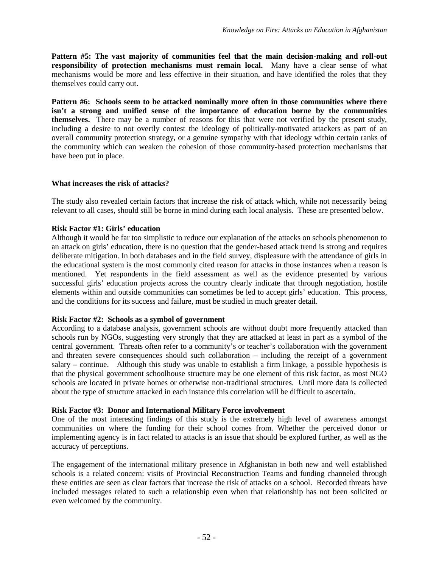**Pattern #5: The vast majority of communities feel that the main decision-making and roll-out responsibility of protection mechanisms must remain local.** Many have a clear sense of what mechanisms would be more and less effective in their situation, and have identified the roles that they themselves could carry out.

**Pattern #6: Schools seem to be attacked nominally more often in those communities where there isn't a strong and unified sense of the importance of education borne by the communities themselves.** There may be a number of reasons for this that were not verified by the present study, including a desire to not overtly contest the ideology of politically-motivated attackers as part of an overall community protection strategy, or a genuine sympathy with that ideology within certain ranks of the community which can weaken the cohesion of those community-based protection mechanisms that have been put in place.

### **What increases the risk of attacks?**

The study also revealed certain factors that increase the risk of attack which, while not necessarily being relevant to all cases, should still be borne in mind during each local analysis. These are presented below.

## **Risk Factor #1: Girls' education**

Although it would be far too simplistic to reduce our explanation of the attacks on schools phenomenon to an attack on girls' education, there is no question that the gender-based attack trend is strong and requires deliberate mitigation. In both databases and in the field survey, displeasure with the attendance of girls in the educational system is the most commonly cited reason for attacks in those instances when a reason is mentioned. Yet respondents in the field assessment as well as the evidence presented by various successful girls' education projects across the country clearly indicate that through negotiation, hostile elements within and outside communities can sometimes be led to accept girls' education. This process, and the conditions for its success and failure, must be studied in much greater detail.

### **Risk Factor #2: Schools as a symbol of government**

According to a database analysis, government schools are without doubt more frequently attacked than schools run by NGOs, suggesting very strongly that they are attacked at least in part as a symbol of the central government. Threats often refer to a community's or teacher's collaboration with the government and threaten severe consequences should such collaboration – including the receipt of a government salary – continue. Although this study was unable to establish a firm linkage, a possible hypothesis is that the physical government schoolhouse structure may be one element of this risk factor, as most NGO schools are located in private homes or otherwise non-traditional structures. Until more data is collected about the type of structure attacked in each instance this correlation will be difficult to ascertain.

### **Risk Factor #3: Donor and International Military Force involvement**

One of the most interesting findings of this study is the extremely high level of awareness amongst communities on where the funding for their school comes from. Whether the perceived donor or implementing agency is in fact related to attacks is an issue that should be explored further, as well as the accuracy of perceptions.

The engagement of the international military presence in Afghanistan in both new and well established schools is a related concern: visits of Provincial Reconstruction Teams and funding channeled through these entities are seen as clear factors that increase the risk of attacks on a school. Recorded threats have included messages related to such a relationship even when that relationship has not been solicited or even welcomed by the community.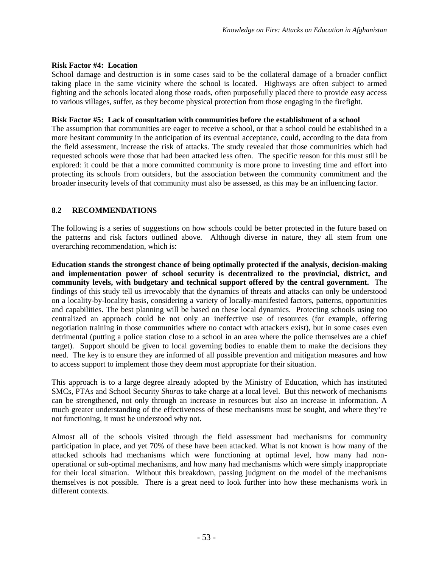## **Risk Factor #4: Location**

School damage and destruction is in some cases said to be the collateral damage of a broader conflict taking place in the same vicinity where the school is located. Highways are often subject to armed fighting and the schools located along those roads, often purposefully placed there to provide easy access to various villages, suffer, as they become physical protection from those engaging in the firefight.

## **Risk Factor #5: Lack of consultation with communities before the establishment of a school**

The assumption that communities are eager to receive a school, or that a school could be established in a more hesitant community in the anticipation of its eventual acceptance, could, according to the data from the field assessment, increase the risk of attacks. The study revealed that those communities which had requested schools were those that had been attacked less often. The specific reason for this must still be explored: it could be that a more committed community is more prone to investing time and effort into protecting its schools from outsiders, but the association between the community commitment and the broader insecurity levels of that community must also be assessed, as this may be an influencing factor.

# **8.2 RECOMMENDATIONS**

The following is a series of suggestions on how schools could be better protected in the future based on the patterns and risk factors outlined above. Although diverse in nature, they all stem from one overarching recommendation, which is:

**Education stands the strongest chance of being optimally protected if the analysis, decision-making and implementation power of school security is decentralized to the provincial, district, and community levels, with budgetary and technical support offered by the central government.** The findings of this study tell us irrevocably that the dynamics of threats and attacks can only be understood on a locality-by-locality basis, considering a variety of locally-manifested factors, patterns, opportunities and capabilities. The best planning will be based on these local dynamics. Protecting schools using too centralized an approach could be not only an ineffective use of resources (for example, offering negotiation training in those communities where no contact with attackers exist), but in some cases even detrimental (putting a police station close to a school in an area where the police themselves are a chief target). Support should be given to local governing bodies to enable them to make the decisions they need. The key is to ensure they are informed of all possible prevention and mitigation measures and how to access support to implement those they deem most appropriate for their situation.

This approach is to a large degree already adopted by the Ministry of Education, which has instituted SMCs, PTAs and School Security *Shuras* to take charge at a local level. But this network of mechanisms can be strengthened, not only through an increase in resources but also an increase in information. A much greater understanding of the effectiveness of these mechanisms must be sought, and where they're not functioning, it must be understood why not.

Almost all of the schools visited through the field assessment had mechanisms for community participation in place, and yet 70% of these have been attacked. What is not known is how many of the attacked schools had mechanisms which were functioning at optimal level, how many had nonoperational or sub-optimal mechanisms, and how many had mechanisms which were simply inappropriate for their local situation. Without this breakdown, passing judgment on the model of the mechanisms themselves is not possible. There is a great need to look further into how these mechanisms work in different contexts.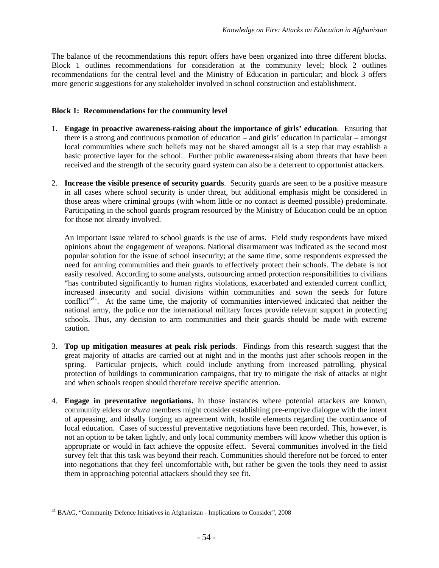The balance of the recommendations this report offers have been organized into three different blocks. Block 1 outlines recommendations for consideration at the community level; block 2 outlines recommendations for the central level and the Ministry of Education in particular; and block 3 offers more generic suggestions for any stakeholder involved in school construction and establishment.

#### **Block 1: Recommendations for the community level**

- 1. **Engage in proactive awareness-raising about the importance of girls' education**. Ensuring that there is a strong and continuous promotion of education – and girls' education in particular – amongst local communities where such beliefs may not be shared amongst all is a step that may establish a basic protective layer for the school. Further public awareness-raising about threats that have been received and the strength of the security guard system can also be a deterrent to opportunist attackers.
- 2. **Increase the visible presence of security guards**. Security guards are seen to be a positive measure in all cases where school security is under threat, but additional emphasis might be considered in those areas where criminal groups (with whom little or no contact is deemed possible) predominate. Participating in the school guards program resourced by the Ministry of Education could be an option for those not already involved.

An important issue related to school guards is the use of arms. Field study respondents have mixed opinions about the engagement of weapons. National disarmament was indicated as the second most popular solution for the issue of school insecurity; at the same time, some respondents expressed the need for arming communities and their guards to effectively protect their schools. The debate is not easily resolved. According to some analysts, outsourcing armed protection responsibilities to civilians "has contributed significantly to human rights violations, exacerbated and extended current conflict, increased insecurity and social divisions within communities and sown the seeds for future conflict<sup>"[41](#page-59-0)</sup>. At the same time, the majority of communities interviewed indicated that neither the national army, the police nor the international military forces provide relevant support in protecting schools. Thus, any decision to arm communities and their guards should be made with extreme caution.

- 3. **Top up mitigation measures at peak risk periods**. Findings from this research suggest that the great majority of attacks are carried out at night and in the months just after schools reopen in the spring. Particular projects, which could include anything from increased patrolling, physical protection of buildings to communication campaigns, that try to mitigate the risk of attacks at night and when schools reopen should therefore receive specific attention.
- 4. **Engage in preventative negotiations.** In those instances where potential attackers are known, community elders or *shura* members might consider establishing pre-emptive dialogue with the intent of appeasing, and ideally forging an agreement with, hostile elements regarding the continuance of local education. Cases of successful preventative negotiations have been recorded. This, however, is not an option to be taken lightly, and only local community members will know whether this option is appropriate or would in fact achieve the opposite effect. Several communities involved in the field survey felt that this task was beyond their reach. Communities should therefore not be forced to enter into negotiations that they feel uncomfortable with, but rather be given the tools they need to assist them in approaching potential attackers should they see fit.

<span id="page-59-0"></span><sup>41</sup> BAAG, "Community Defence Initiatives in Afghanistan - Implications to Consider", 2008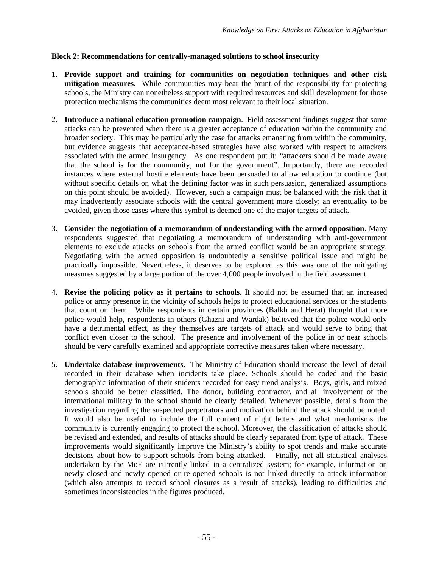### **Block 2: Recommendations for centrally-managed solutions to school insecurity**

- 1. **Provide support and training for communities on negotiation techniques and other risk** mitigation measures. While communities may bear the brunt of the responsibility for protecting schools, the Ministry can nonetheless support with required resources and skill development for those protection mechanisms the communities deem most relevant to their local situation.
- 2. **Introduce a national education promotion campaign**. Field assessment findings suggest that some attacks can be prevented when there is a greater acceptance of education within the community and broader society. This may be particularly the case for attacks emanating from within the community, but evidence suggests that acceptance-based strategies have also worked with respect to attackers associated with the armed insurgency. As one respondent put it: "attackers should be made aware that the school is for the community, not for the government". Importantly, there are recorded instances where external hostile elements have been persuaded to allow education to continue (but without specific details on what the defining factor was in such persuasion, generalized assumptions on this point should be avoided). However, such a campaign must be balanced with the risk that it may inadvertently associate schools with the central government more closely: an eventuality to be avoided, given those cases where this symbol is deemed one of the major targets of attack.
- 3. **Consider the negotiation of a memorandum of understanding with the armed opposition**. Many respondents suggested that negotiating a memorandum of understanding with anti-government elements to exclude attacks on schools from the armed conflict would be an appropriate strategy. Negotiating with the armed opposition is undoubtedly a sensitive political issue and might be practically impossible. Nevertheless, it deserves to be explored as this was one of the mitigating measures suggested by a large portion of the over 4,000 people involved in the field assessment.
- 4. **Revise the policing policy as it pertains to schools**. It should not be assumed that an increased police or army presence in the vicinity of schools helps to protect educational services or the students that count on them. While respondents in certain provinces (Balkh and Herat) thought that more police would help, respondents in others (Ghazni and Wardak) believed that the police would only have a detrimental effect, as they themselves are targets of attack and would serve to bring that conflict even closer to the school. The presence and involvement of the police in or near schools should be very carefully examined and appropriate corrective measures taken where necessary.
- 5. **Undertake database improvements**. The Ministry of Education should increase the level of detail recorded in their database when incidents take place. Schools should be coded and the basic demographic information of their students recorded for easy trend analysis. Boys, girls, and mixed schools should be better classified. The donor, building contractor, and all involvement of the international military in the school should be clearly detailed. Whenever possible, details from the investigation regarding the suspected perpetrators and motivation behind the attack should be noted. It would also be useful to include the full content of night letters and what mechanisms the community is currently engaging to protect the school. Moreover, the classification of attacks should be revised and extended, and results of attacks should be clearly separated from type of attack. These improvements would significantly improve the Ministry's ability to spot trends and make accurate decisions about how to support schools from being attacked. Finally, not all statistical analyses undertaken by the MoE are currently linked in a centralized system; for example, information on newly closed and newly opened or re-opened schools is not linked directly to attack information (which also attempts to record school closures as a result of attacks), leading to difficulties and sometimes inconsistencies in the figures produced.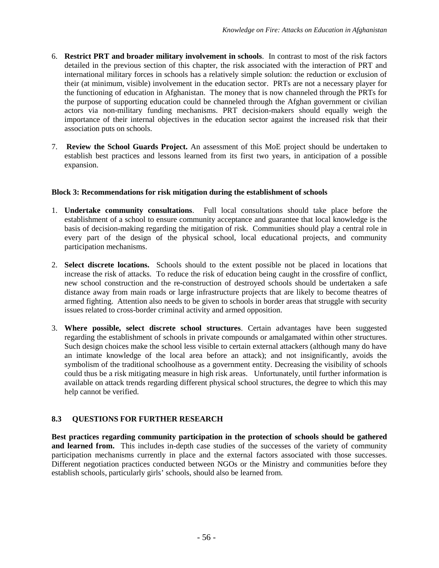- 6. **Restrict PRT and broader military involvement in schools**. In contrast to most of the risk factors detailed in the previous section of this chapter, the risk associated with the interaction of PRT and international military forces in schools has a relatively simple solution: the reduction or exclusion of their (at minimum, visible) involvement in the education sector. PRTs are not a necessary player for the functioning of education in Afghanistan. The money that is now channeled through the PRTs for the purpose of supporting education could be channeled through the Afghan government or civilian actors via non-military funding mechanisms. PRT decision-makers should equally weigh the importance of their internal objectives in the education sector against the increased risk that their association puts on schools.
- 7. **Review the School Guards Project.** An assessment of this MoE project should be undertaken to establish best practices and lessons learned from its first two years, in anticipation of a possible expansion.

## **Block 3: Recommendations for risk mitigation during the establishment of schools**

- 1. **Undertake community consultations**. Full local consultations should take place before the establishment of a school to ensure community acceptance and guarantee that local knowledge is the basis of decision-making regarding the mitigation of risk. Communities should play a central role in every part of the design of the physical school, local educational projects, and community participation mechanisms.
- 2. **Select discrete locations.** Schools should to the extent possible not be placed in locations that increase the risk of attacks. To reduce the risk of education being caught in the crossfire of conflict, new school construction and the re-construction of destroyed schools should be undertaken a safe distance away from main roads or large infrastructure projects that are likely to become theatres of armed fighting. Attention also needs to be given to schools in border areas that struggle with security issues related to cross-border criminal activity and armed opposition.
- 3. **Where possible, select discrete school structures**. Certain advantages have been suggested regarding the establishment of schools in private compounds or amalgamated within other structures. Such design choices make the school less visible to certain external attackers (although many do have an intimate knowledge of the local area before an attack); and not insignificantly, avoids the symbolism of the traditional schoolhouse as a government entity. Decreasing the visibility of schools could thus be a risk mitigating measure in high risk areas. Unfortunately, until further information is available on attack trends regarding different physical school structures, the degree to which this may help cannot be verified.

## **8.3 QUESTIONS FOR FURTHER RESEARCH**

**Best practices regarding community participation in the protection of schools should be gathered** and learned from. This includes in-depth case studies of the successes of the variety of community participation mechanisms currently in place and the external factors associated with those successes. Different negotiation practices conducted between NGOs or the Ministry and communities before they establish schools, particularly girls' schools, should also be learned from.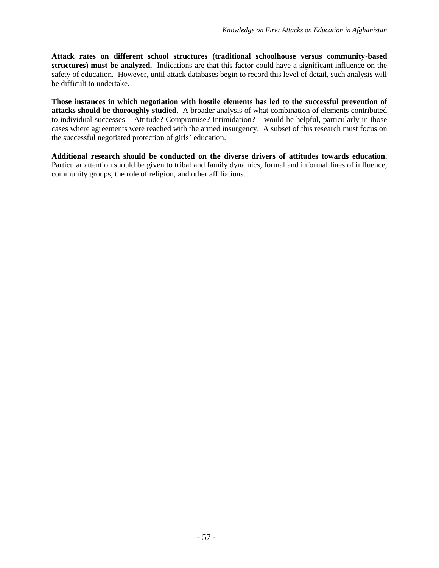**Attack rates on different school structures (traditional schoolhouse versus community-based structures) must be analyzed.** Indications are that this factor could have a significant influence on the safety of education. However, until attack databases begin to record this level of detail, such analysis will be difficult to undertake.

**Those instances in which negotiation with hostile elements has led to the successful prevention of attacks should be thoroughly studied.** A broader analysis of what combination of elements contributed to individual successes – Attitude? Compromise? Intimidation? – would be helpful, particularly in those cases where agreements were reached with the armed insurgency. A subset of this research must focus on the successful negotiated protection of girls' education.

**Additional research should be conducted on the diverse drivers of attitudes towards education.** Particular attention should be given to tribal and family dynamics, formal and informal lines of influence, community groups, the role of religion, and other affiliations.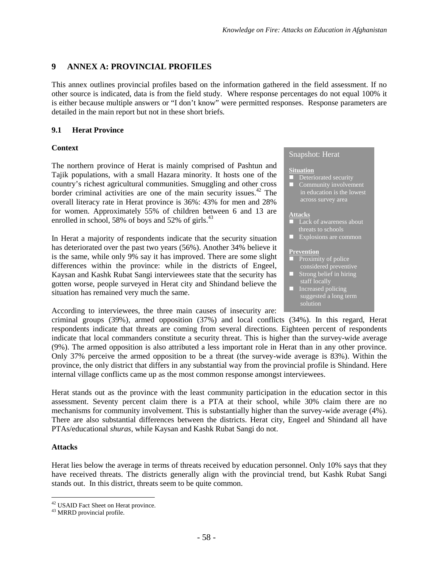# **9 ANNEX A: PROVINCIAL PROFILES**

This annex outlines provincial profiles based on the information gathered in the field assessment. If no other source is indicated, data is from the field study. Where response percentages do not equal 100% it is either because multiple answers or "I don't know" were permitted responses. Response parameters are detailed in the main report but not in these short briefs.

## **9.1 Herat Province**

## **Context**

The northern province of Herat is mainly comprised of Pashtun and Tajik populations, with a small Hazara minority. It hosts one of the country's richest agricultural communities. Smuggling and other cross bordercriminal activities are one of the main security iss[ues](#page-63-0).<sup>42</sup> The overall literacy rate in Herat province is 36%: 43% for men and 28% for women. Approximately 55% of children between 6 and 13 are enrolledin school, 58% of boys and 52% of girls[.](#page-63-1) $43$ 

In Herat a majority of respondents indicate that the security situation has deteriorated over the past two years (56%). Another 34% believe it is the same, while only 9% say it has improved. There are some slight differences within the province: while in the districts of Engeel, Kaysan and Kashk Rubat Sangi interviewees state that the security has gotten worse, people surveyed in Herat city and Shindand believe the situation has remained very much the same.

According to interviewees, the three main causes of insecurity are:

## Snapshot: Herat

#### **Situation**

- Deteriorated security
- **Community involvement** in education is the lowest

#### **Attacks**

- **Lack of awareness about** threats to schools
- **Explosions are common**

#### **Prevention**

- $\blacksquare$  Proximity of police considered preventive  $\blacksquare$  Strong belief in hiring
- staff locally **Increased policing** suggested a long term solution

criminal groups (39%), armed opposition (37%) and local conflicts (34%). In this regard, Herat respondents indicate that threats are coming from several directions. Eighteen percent of respondents indicate that local commanders constitute a security threat. This is higher than the survey-wide average (9%). The armed opposition is also attributed a less important role in Herat than in any other province. Only 37% perceive the armed opposition to be a threat (the survey-wide average is 83%). Within the province, the only district that differs in any substantial way from the provincial profile is Shindand. Here internal village conflicts came up as the most common response amongst interviewees.

Herat stands out as the province with the least community participation in the education sector in this assessment. Seventy percent claim there is a PTA at their school, while 30% claim there are no mechanisms for community involvement. This is substantially higher than the survey-wide average (4%). There are also substantial differences between the districts. Herat city, Engeel and Shindand all have PTAs/educational *shuras*, while Kaysan and Kashk Rubat Sangi do not.

### **Attacks**

Herat lies below the average in terms of threats received by education personnel. Only 10% says that they have received threats. The districts generally align with the provincial trend, but Kashk Rubat Sangi stands out. In this district, threats seem to be quite common.

<span id="page-63-1"></span><span id="page-63-0"></span><sup>&</sup>lt;sup>42</sup> USAID Fact Sheet on Herat province.

<sup>43</sup> MRRD provincial profile.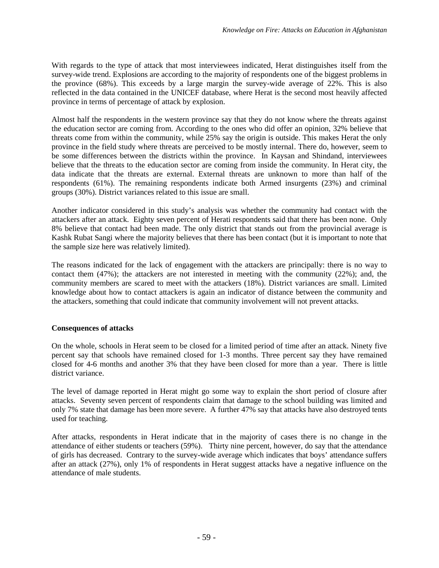With regards to the type of attack that most interviewees indicated, Herat distinguishes itself from the survey-wide trend. Explosions are according to the majority of respondents one of the biggest problems in the province (68%). This exceeds by a large margin the survey-wide average of 22%. This is also reflected in the data contained in the UNICEF database, where Herat is the second most heavily affected province in terms of percentage of attack by explosion.

Almost half the respondents in the western province say that they do not know where the threats against the education sector are coming from. According to the ones who did offer an opinion, 32% believe that threats come from within the community, while 25% say the origin is outside. This makes Herat the only province in the field study where threats are perceived to be mostly internal. There do, however, seem to be some differences between the districts within the province. In Kaysan and Shindand, interviewees believe that the threats to the education sector are coming from inside the community. In Herat city, the data indicate that the threats are external. External threats are unknown to more than half of the respondents (61%). The remaining respondents indicate both Armed insurgents (23%) and criminal groups (30%). District variances related to this issue are small.

Another indicator considered in this study's analysis was whether the community had contact with the attackers after an attack. Eighty seven percent of Herati respondents said that there has been none. Only 8% believe that contact had been made. The only district that stands out from the provincial average is Kashk Rubat Sangi where the majority believes that there has been contact (but it is important to note that the sample size here was relatively limited).

The reasons indicated for the lack of engagement with the attackers are principally: there is no way to contact them (47%); the attackers are not interested in meeting with the community (22%); and, the community members are scared to meet with the attackers (18%). District variances are small. Limited knowledge about how to contact attackers is again an indicator of distance between the community and the attackers, something that could indicate that community involvement will not prevent attacks.

### **Consequences of attacks**

On the whole, schools in Herat seem to be closed for a limited period of time after an attack. Ninety five percent say that schools have remained closed for 1-3 months. Three percent say they have remained closed for 4-6 months and another 3% that they have been closed for more than a year. There is little district variance.

The level of damage reported in Herat might go some way to explain the short period of closure after attacks. Seventy seven percent of respondents claim that damage to the school building was limited and only 7% state that damage has been more severe. A further 47% say that attacks have also destroyed tents used for teaching.

After attacks, respondents in Herat indicate that in the majority of cases there is no change in the attendance of either students or teachers (59%). Thirty nine percent, however, do say that the attendance of girls has decreased. Contrary to the survey-wide average which indicates that boys' attendance suffers after an attack (27%), only 1% of respondents in Herat suggest attacks have a negative influence on the attendance of male students.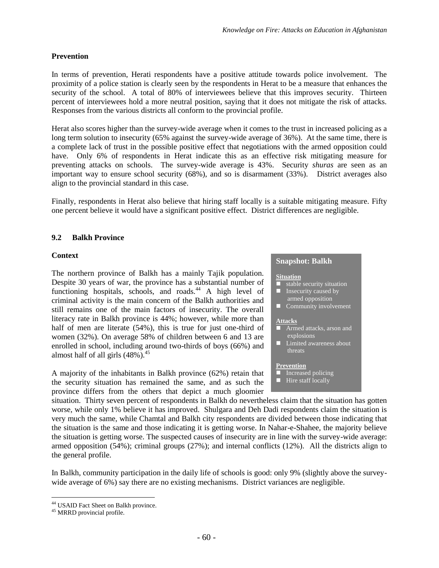### **Prevention**

In terms of prevention, Herati respondents have a positive attitude towards police involvement. The proximity of a police station is clearly seen by the respondents in Herat to be a measure that enhances the security of the school. A total of 80% of interviewees believe that this improves security. Thirteen percent of interviewees hold a more neutral position, saying that it does not mitigate the risk of attacks. Responses from the various districts all conform to the provincial profile.

Herat also scores higher than the survey-wide average when it comes to the trust in increased policing as a long term solution to insecurity (65% against the survey-wide average of 36%). At the same time, there is a complete lack of trust in the possible positive effect that negotiations with the armed opposition could have. Only 6% of respondents in Herat indicate this as an effective risk mitigating measure for preventing attacks on schools. The survey-wide average is 43%. Security *shuras* are seen as an important way to ensure school security (68%), and so is disarmament (33%). District averages also align to the provincial standard in this case.

Finally, respondents in Herat also believe that hiring staff locally is a suitable mitigating measure. Fifty one percent believe it would have a significant positive effect. District differences are negligible.

## **9.2 Balkh Province**

### **Context**

The northern province of Balkh has a mainly Tajik population. Despite 30 years of war, the province has a substantial number of functioninghospitals, schools, and ro[ads](#page-65-0).<sup>44</sup> A high level of criminal activity is the main concern of the Balkh authorities and still remains one of the main factors of insecurity. The overall literacy rate in Balkh province is 44%; however, while more than half of men are literate (54%), this is true for just one-third of women (32%)*.* On average 58% of children between 6 and 13 are enrolled in school, including around two-thirds of boys (66%) and almost half of all girls (48%)*.* [45](#page-65-1)

A majority of the inhabitants in Balkh province (62%) retain that the security situation has remained the same, and as such the province differs from the others that depict a much gloomier

#### **Snapshot: Balkh**

#### **Situation**

- $\overline{\phantom{a}}$  stable security situation
- **I** Insecurity caused by
- armed opposition Community involvement

#### **Attacks**

- Armed attacks, arson and explosions
- Limited awareness about threats

#### **Prevention**

- Increased policing
- $\blacksquare$  Hire staff locally

situation. Thirty seven percent of respondents in Balkh do nevertheless claim that the situation has gotten worse, while only 1% believe it has improved. Shulgara and Deh Dadi respondents claim the situation is very much the same, while Chamtal and Balkh city respondents are divided between those indicating that the situation is the same and those indicating it is getting worse. In Nahar-e-Shahee, the majority believe the situation is getting worse. The suspected causes of insecurity are in line with the survey-wide average: armed opposition (54%); criminal groups (27%); and internal conflicts (12%). All the districts align to the general profile.

In Balkh, community participation in the daily life of schools is good: only 9% (slightly above the surveywide average of 6%) say there are no existing mechanisms. District variances are negligible.

<span id="page-65-1"></span><span id="page-65-0"></span><sup>44</sup> USAID Fact Sheet on Balkh province.

<sup>45</sup> MRRD provincial profile.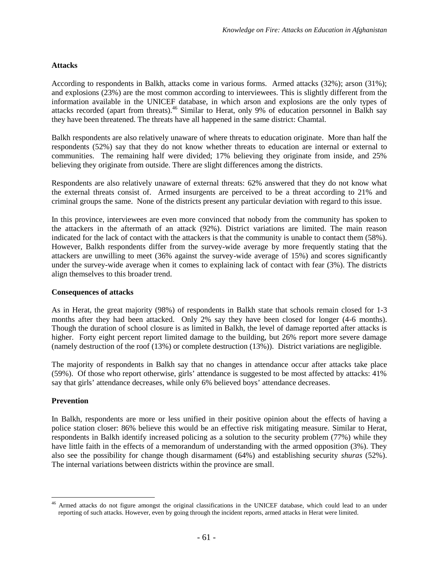## **Attacks**

According to respondents in Balkh, attacks come in various forms. Armed attacks (32%); arson (31%); and explosions (23%) are the most common according to interviewees. This is slightly different from the information available in the UNICEF database, in which arson and explosions are the only types of attacks recorded (apart from threats).<sup>[46](#page-66-0)</sup> Similar to Herat, only 9% of education personnel in Balkh say they have been threatened. The threats have all happened in the same district: Chamtal.

Balkh respondents are also relatively unaware of where threats to education originate. More than half the respondents (52%) say that they do not know whether threats to education are internal or external to communities. The remaining half were divided; 17% believing they originate from inside, and 25% believing they originate from outside. There are slight differences among the districts.

Respondents are also relatively unaware of external threats: 62% answered that they do not know what the external threats consist of. Armed insurgents are perceived to be a threat according to 21% and criminal groups the same. None of the districts present any particular deviation with regard to this issue.

In this province, interviewees are even more convinced that nobody from the community has spoken to the attackers in the aftermath of an attack (92%). District variations are limited. The main reason indicated for the lack of contact with the attackers is that the community is unable to contact them (58%). However, Balkh respondents differ from the survey-wide average by more frequently stating that the attackers are unwilling to meet (36% against the survey-wide average of 15%) and scores significantly under the survey-wide average when it comes to explaining lack of contact with fear (3%). The districts align themselves to this broader trend.

### **Consequences of attacks**

As in Herat, the great majority (98%) of respondents in Balkh state that schools remain closed for 1-3 months after they had been attacked. Only 2% say they have been closed for longer (4-6 months). Though the duration of school closure is as limited in Balkh, the level of damage reported after attacks is higher. Forty eight percent report limited damage to the building, but 26% report more severe damage (namely destruction of the roof (13%) or complete destruction (13%)). District variations are negligible.

The majority of respondents in Balkh say that no changes in attendance occur after attacks take place (59%). Of those who report otherwise, girls' attendance is suggested to be most affected by attacks: 41% say that girls' attendance decreases, while only 6% believed boys' attendance decreases.

### **Prevention**

In Balkh, respondents are more or less unified in their positive opinion about the effects of having a police station closer: 86% believe this would be an effective risk mitigating measure. Similar to Herat, respondents in Balkh identify increased policing as a solution to the security problem (77%) while they have little faith in the effects of a memorandum of understanding with the armed opposition (3%). They also see the possibility for change though disarmament (64%) and establishing security *shuras* (52%). The internal variations between districts within the province are small.

<span id="page-66-0"></span><sup>&</sup>lt;sup>46</sup> Armed attacks do not figure amongst the original classifications in the UNICEF database, which could lead to an under reporting of such attacks. However, even by going through the incident reports, armed attacks in Herat were limited.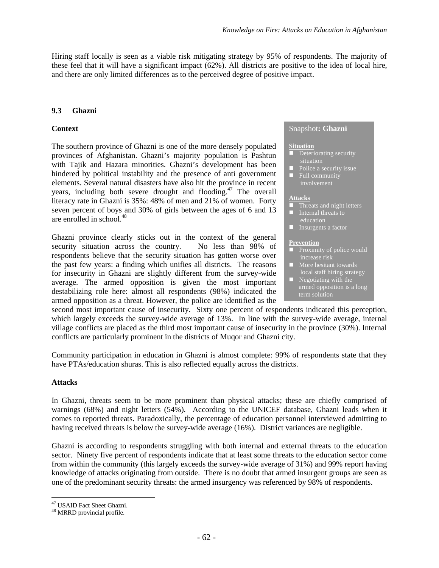Hiring staff locally is seen as a viable risk mitigating strategy by 95% of respondents. The majority of these feel that it will have a significant impact (62%). All districts are positive to the idea of local hire, and there are only limited differences as to the perceived degree of positive impact.

## **9.3 Ghazni**

## **Context**

The southern province of Ghazni is one of the more densely populated provinces of Afghanistan. Ghazni's majority population is Pashtun with Tajik and Hazara minorities. Ghazni's development has been hindered by political instability and the presence of anti government elements. Several natural disasters have also hit the province in recent years,inclu[din](#page-67-0)g both severe drought and flooding.<sup>47</sup> The overall literacy rate in Ghazni is 35%: 48% of men and 21% of women. Forty seven percent of boys and 30% of girls between the ages of 6 and 13 are enrolled in school.<sup>[48](#page-67-1)</sup>

Ghazni province clearly sticks out in the context of the general security situation across the country. No less than 98% of respondents believe that the security situation has gotten worse over the past few years: a finding which unifies all districts. The reasons for insecurity in Ghazni are slightly different from the survey-wide average. The armed opposition is given the most important destabilizing role here: almost all respondents (98%) indicated the armed opposition as a threat. However, the police are identified as the

#### Snapshot**: Ghazni**

#### **Situation**

- **Deteriorating security** situation
- $\blacksquare$  Police a security issue **Full community** involvement

#### **Attacks**

- **Threats and night letters**
- Internal threats to education
- **Insurgents a factor**

#### **Prevention**

- **Proximity of police would** increase risk
- **More hesitant towards** local staff hiring strategy  $\blacksquare$  Negotiating with the armed opposition is a long term solution

second most important cause of insecurity. Sixty one percent of respondents indicated this perception, which largely exceeds the survey-wide average of 13%. In line with the survey-wide average, internal village conflicts are placed as the third most important cause of insecurity in the province (30%). Internal conflicts are particularly prominent in the districts of Muqor and Ghazni city.

Community participation in education in Ghazni is almost complete: 99% of respondents state that they have PTAs/education shuras. This is also reflected equally across the districts.

### **Attacks**

In Ghazni, threats seem to be more prominent than physical attacks; these are chiefly comprised of warnings (68%) and night letters (54%). According to the UNICEF database, Ghazni leads when it comes to reported threats. Paradoxically, the percentage of education personnel interviewed admitting to having received threats is below the survey-wide average (16%). District variances are negligible.

Ghazni is according to respondents struggling with both internal and external threats to the education sector. Ninety five percent of respondents indicate that at least some threats to the education sector come from within the community (this largely exceeds the survey-wide average of 31%) and 99% report having knowledge of attacks originating from outside. There is no doubt that armed insurgent groups are seen as one of the predominant security threats: the armed insurgency was referenced by 98% of respondents.

<span id="page-67-1"></span><span id="page-67-0"></span><sup>47</sup> USAID Fact Sheet Ghazni.

<sup>48</sup> MRRD provincial profile.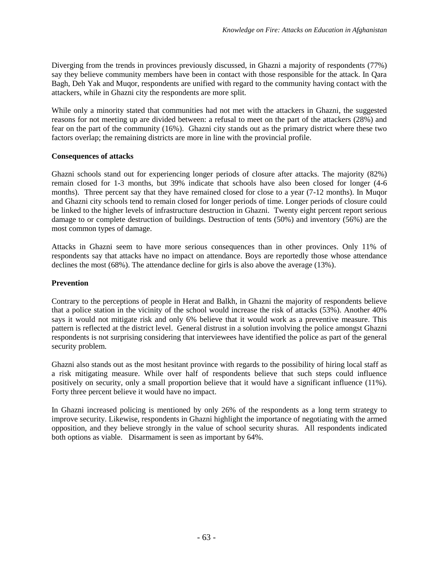Diverging from the trends in provinces previously discussed, in Ghazni a majority of respondents (77%) say they believe community members have been in contact with those responsible for the attack. In Qara Bagh, Deh Yak and Muqor, respondents are unified with regard to the community having contact with the attackers, while in Ghazni city the respondents are more split.

While only a minority stated that communities had not met with the attackers in Ghazni, the suggested reasons for not meeting up are divided between: a refusal to meet on the part of the attackers (28%) and fear on the part of the community (16%). Ghazni city stands out as the primary district where these two factors overlap; the remaining districts are more in line with the provincial profile.

## **Consequences of attacks**

Ghazni schools stand out for experiencing longer periods of closure after attacks. The majority (82%) remain closed for 1-3 months, but 39% indicate that schools have also been closed for longer (4-6 months). Three percent say that they have remained closed for close to a year (7-12 months). In Mugor and Ghazni city schools tend to remain closed for longer periods of time. Longer periods of closure could be linked to the higher levels of infrastructure destruction in Ghazni. Twenty eight percent report serious damage to or complete destruction of buildings. Destruction of tents (50%) and inventory (56%) are the most common types of damage.

Attacks in Ghazni seem to have more serious consequences than in other provinces. Only 11% of respondents say that attacks have no impact on attendance. Boys are reportedly those whose attendance declines the most (68%). The attendance decline for girls is also above the average (13%).

### **Prevention**

Contrary to the perceptions of people in Herat and Balkh, in Ghazni the majority of respondents believe that a police station in the vicinity of the school would increase the risk of attacks (53%). Another 40% says it would not mitigate risk and only 6% believe that it would work as a preventive measure. This pattern is reflected at the district level. General distrust in a solution involving the police amongst Ghazni respondents is not surprising considering that interviewees have identified the police as part of the general security problem.

Ghazni also stands out as the most hesitant province with regards to the possibility of hiring local staff as a risk mitigating measure. While over half of respondents believe that such steps could influence positively on security, only a small proportion believe that it would have a significant influence (11%). Forty three percent believe it would have no impact.

In Ghazni increased policing is mentioned by only 26% of the respondents as a long term strategy to improve security. Likewise, respondents in Ghazni highlight the importance of negotiating with the armed opposition, and they believe strongly in the value of school security shuras. All respondents indicated both options as viable. Disarmament is seen as important by 64%.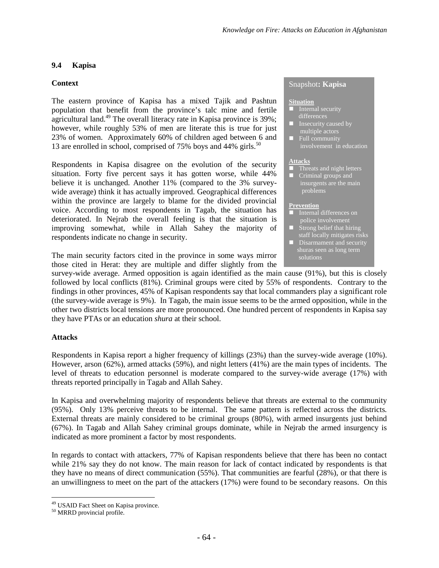## **9.4 Kapisa**

### **Context**

The eastern province of Kapisa has a mixed Tajik and Pashtun population that benefit from the province's talc mine and fertile agriculturalland.<sup>49</sup> The overall literacy rate in Kapisa province is  $39\%$ ; however, while roughly 53% of men are literate this is true for just 23% of women. Approximately 60% of children aged between 6 and 13are enrolled in school, comprised of 75% boys and 44% girls.<sup>50</sup>

Respondents in Kapisa disagree on the evolution of the security situation. Forty five percent says it has gotten worse, while 44% believe it is unchanged. Another 11% (compared to the 3% surveywide average) think it has actually improved. Geographical differences within the province are largely to blame for the divided provincial voice. According to most respondents in Tagab, the situation has deteriorated. In Nejrab the overall feeling is that the situation is improving somewhat, while in Allah Sahey the majority of respondents indicate no change in security.

The main security factors cited in the province in some ways mirror those cited in Herat: they are multiple and differ slightly from the

#### Snapshot**: Kapisa**

#### **Situation**

- Internal security differences
- Insecurity caused by multiple actors
- $\blacksquare$  Full community involvement in education

#### **Attacks**

**Threats and night letters Criminal groups and** insurgents are the main problems

#### **Prevention**

- Internal differences on police involvement
- Strong belief that hiring staff locally mitigates risks
- Disarmament and security shuras seen as long term solutions

survey-wide average. Armed opposition is again identified as the main cause (91%), but this is closely followed by local conflicts (81%). Criminal groups were cited by 55% of respondents. Contrary to the findings in other provinces, 45% of Kapisan respondents say that local commanders play a significant role (the survey-wide average is 9%). In Tagab, the main issue seems to be the armed opposition, while in the other two districts local tensions are more pronounced. One hundred percent of respondents in Kapisa say they have PTAs or an education *shura* at their school.

#### **Attacks**

Respondents in Kapisa report a higher frequency of killings (23%) than the survey-wide average (10%). However, arson (62%), armed attacks (59%), and night letters (41%) are the main types of incidents. The level of threats to education personnel is moderate compared to the survey-wide average (17%) with threats reported principally in Tagab and Allah Sahey.

In Kapisa and overwhelming majority of respondents believe that threats are external to the community (95%). Only 13% perceive threats to be internal. The same pattern is reflected across the districts. External threats are mainly considered to be criminal groups (80%), with armed insurgents just behind (67%). In Tagab and Allah Sahey criminal groups dominate, while in Nejrab the armed insurgency is indicated as more prominent a factor by most respondents.

In regards to contact with attackers, 77% of Kapisan respondents believe that there has been no contact while 21% say they do not know. The main reason for lack of contact indicated by respondents is that they have no means of direct communication (55%). That communities are fearful (28%), or that there is an unwillingness to meet on the part of the attackers (17%) were found to be secondary reasons. On this

<span id="page-69-1"></span><span id="page-69-0"></span><sup>&</sup>lt;sup>49</sup> USAID Fact Sheet on Kapisa province.

<sup>50</sup> MRRD provincial profile.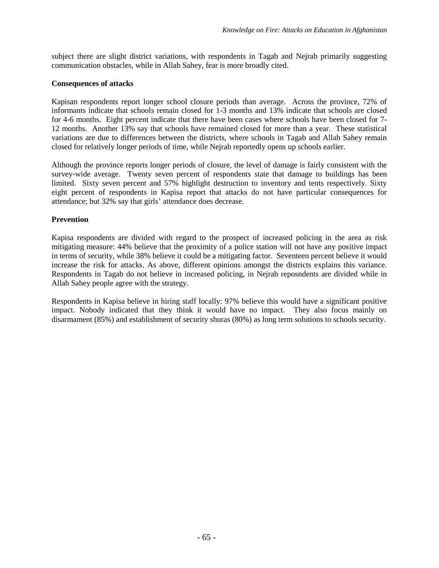subject there are slight district variations, with respondents in Tagab and Nejrab primarily suggesting communication obstacles, while in Allah Sahey, fear is more broadly cited.

## **Consequences of attacks**

Kapisan respondents report longer school closure periods than average. Across the province, 72% of informants indicate that schools remain closed for 1-3 months and 13% indicate that schools are closed for 4-6 months. Eight percent indicate that there have been cases where schools have been closed for 7- 12 months. Another 13% say that schools have remained closed for more than a year. These statistical variations are due to differences between the districts, where schools in Tagab and Allah Sahey remain closed for relatively longer periods of time, while Nejrab reportedly opens up schools earlier.

Although the province reports longer periods of closure, the level of damage is fairly consistent with the survey-wide average. Twenty seven percent of respondents state that damage to buildings has been limited. Sixty seven percent and 57% highlight destruction to inventory and tents respectively. Sixty eight percent of respondents in Kapisa report that attacks do not have particular consequences for attendance; but 32% say that girls' attendance does decrease.

## **Prevention**

Kapisa respondents are divided with regard to the prospect of increased policing in the area as risk mitigating measure: 44% believe that the proximity of a police station will not have any positive impact in terms of security, while 38% believe it could be a mitigating factor. Seventeen percent believe it would increase the risk for attacks. As above, different opinions amongst the districts explains this variance. Respondents in Tagab do not believe in increased policing, in Nejrab reposndents are divided while in Allah Sahey people agree with the strategy.

Respondents in Kapisa believe in hiring staff locally: 97% believe this would have a significant positive impact. Nobody indicated that they think it would have no impact. They also focus mainly on disarmament (85%) and establishment of security shuras (80%) as long term solutions to schools security.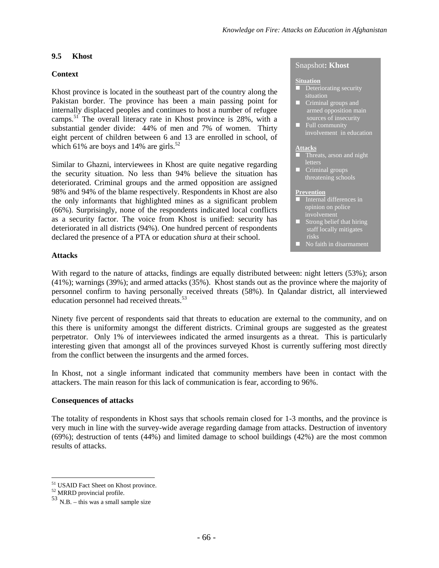### **9.5 Khost**

## **Context**

Khost province is located in the southeast part of the country along the Pakistan border. The province has been a main passing point for internally displaced peoples and continues to host a number of refugee camps.[51](#page-71-0) The overall literacy rate in Khost province is 28%, with a substantial gender divide: 44% of men and 7% of women. Thirty eight percent of children between 6 and 13 are enrolled in school, of which61% are boys and 14% are girls[.](#page-71-1) $52$ 

Similar to Ghazni, interviewees in Khost are quite negative regarding the security situation. No less than 94% believe the situation has deteriorated. Criminal groups and the armed opposition are assigned 98% and 94% of the blame respectively. Respondents in Khost are also the only informants that highlighted mines as a significant problem (66%). Surprisingly, none of the respondents indicated local conflicts as a security factor. The voice from Khost is unified: security has deteriorated in all districts (94%). One hundred percent of respondents declared the presence of a PTA or education *shura* at their school.

#### Snapshot**: Khost**

#### **Situation**

- $\blacksquare$  Deteriorating security situation
- **Criminal groups and** armed opposition main sources of insecurity
- **Full community** involvement in education

#### **Attacks**

- **Threats, arson and night** letters
- **Criminal groups** threatening schools

#### **Prevention**

- $\blacksquare$  Internal differences in opinion on police involvement
- $\blacksquare$  Strong belief that hiring staff locally mitigates risks
- No faith in disarmament

### **Attacks**

With regard to the nature of attacks, findings are equally distributed between: night letters (53%); arson (41%); warnings (39%); and armed attacks (35%). Khost stands out as the province where the majority of personnel confirm to having personally received threats (58%). In Qalandar district, all interviewed education personnel had received threats.<sup>5</sup>

Ninety five percent of respondents said that threats to education are external to the community, and on this there is uniformity amongst the different districts. Criminal groups are suggested as the greatest perpetrator. Only 1% of interviewees indicated the armed insurgents as a threat. This is particularly interesting given that amongst all of the provinces surveyed Khost is currently suffering most directly from the conflict between the insurgents and the armed forces.

In Khost, not a single informant indicated that community members have been in contact with the attackers. The main reason for this lack of communication is fear, according to 96%.

#### **Consequences of attacks**

The totality of respondents in Khost says that schools remain closed for 1-3 months, and the province is very much in line with the survey-wide average regarding damage from attacks. Destruction of inventory (69%); destruction of tents (44%) and limited damage to school buildings (42%) are the most common results of attacks.

<span id="page-71-1"></span><span id="page-71-0"></span><sup>51</sup> USAID Fact Sheet on Khost province.

<span id="page-71-2"></span><sup>52</sup> MRRD provincial profile.

 $53$  N.B. – this was a small sample size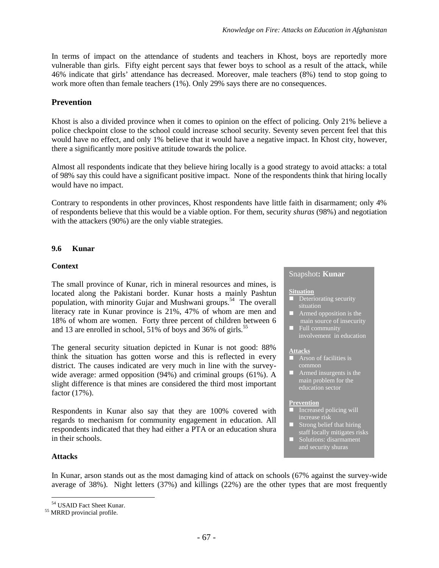In terms of impact on the attendance of students and teachers in Khost, boys are reportedly more vulnerable than girls. Fifty eight percent says that fewer boys to school as a result of the attack, while 46% indicate that girls' attendance has decreased. Moreover, male teachers (8%) tend to stop going to work more often than female teachers (1%). Only 29% says there are no consequences.

# **Prevention**

Khost is also a divided province when it comes to opinion on the effect of policing. Only 21% believe a police checkpoint close to the school could increase school security. Seventy seven percent feel that this would have no effect, and only 1% believe that it would have a negative impact. In Khost city, however, there a significantly more positive attitude towards the police.

Almost all respondents indicate that they believe hiring locally is a good strategy to avoid attacks: a total of 98% say this could have a significant positive impact. None of the respondents think that hiring locally would have no impact.

Contrary to respondents in other provinces, Khost respondents have little faith in disarmament; only 4% of respondents believe that this would be a viable option. For them, security *shuras* (98%) and negotiation with the attackers (90%) are the only viable strategies.

# **9.6 Kunar**

# **Context**

The small province of Kunar, rich in mineral resources and mines, is located along the Pakistani border. Kunar hosts a mainly Pashtun population, with minority Gujar and Mushwani groups.<sup>[54](#page-72-0)</sup> The overall literacy rate in Kunar province is 21%, 47% of whom are men and 18% of whom are women. Forty three percent of children between 6 and 13 are enrolled in school, 51% of boys and 36% ofgirls*.* 55

The general security situation depicted in Kunar is not good: 88% think the situation has gotten worse and this is reflected in every district. The causes indicated are very much in line with the surveywide average: armed opposition (94%) and criminal groups (61%). A slight difference is that mines are considered the third most important factor (17%).

Respondents in Kunar also say that they are 100% covered with regards to mechanism for community engagement in education. All respondents indicated that they had either a PTA or an education shura in their schools.

### **Attacks**

In Kunar, arson stands out as the most damaging kind of attack on schools (67% against the survey-wide average of 38%). Night letters (37%) and killings (22%) are the other types that are most frequently

#### Snapshot**: Kunar**

#### **Situation**

- $\blacksquare$  Deteriorating security situation
- **Armed opposition is the** main source of insecurity
- **Full community** involvement in education

#### **Attacks**

- **Arson of facilities is** common
- $\blacksquare$  Armed insurgents is the main problem for the education sector

#### **Prevention**

- Increased policing will
- Strong belief that hiring staff locally mitigates risks
- Solutions: disarmament and security shuras

<span id="page-72-1"></span><span id="page-72-0"></span><sup>54</sup> USAID Fact Sheet Kunar.

<sup>55</sup> MRRD provincial profile.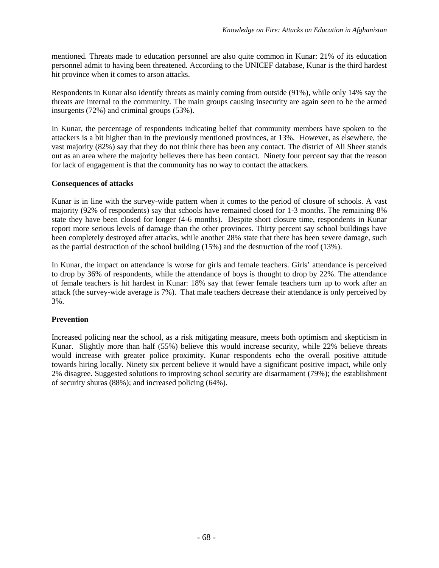mentioned. Threats made to education personnel are also quite common in Kunar: 21% of its education personnel admit to having been threatened. According to the UNICEF database, Kunar is the third hardest hit province when it comes to arson attacks.

Respondents in Kunar also identify threats as mainly coming from outside (91%), while only 14% say the threats are internal to the community. The main groups causing insecurity are again seen to be the armed insurgents (72%) and criminal groups (53%).

In Kunar, the percentage of respondents indicating belief that community members have spoken to the attackers is a bit higher than in the previously mentioned provinces, at 13%. However, as elsewhere, the vast majority (82%) say that they do not think there has been any contact. The district of Ali Sheer stands out as an area where the majority believes there has been contact. Ninety four percent say that the reason for lack of engagement is that the community has no way to contact the attackers.

## **Consequences of attacks**

Kunar is in line with the survey-wide pattern when it comes to the period of closure of schools. A vast majority (92% of respondents) say that schools have remained closed for 1-3 months. The remaining 8% state they have been closed for longer (4-6 months). Despite short closure time, respondents in Kunar report more serious levels of damage than the other provinces. Thirty percent say school buildings have been completely destroyed after attacks, while another 28% state that there has been severe damage, such as the partial destruction of the school building (15%) and the destruction of the roof (13%).

In Kunar, the impact on attendance is worse for girls and female teachers. Girls' attendance is perceived to drop by 36% of respondents, while the attendance of boys is thought to drop by 22%. The attendance of female teachers is hit hardest in Kunar: 18% say that fewer female teachers turn up to work after an attack (the survey-wide average is 7%). That male teachers decrease their attendance is only perceived by 3%.

# **Prevention**

Increased policing near the school, as a risk mitigating measure, meets both optimism and skepticism in Kunar. Slightly more than half (55%) believe this would increase security, while 22% believe threats would increase with greater police proximity. Kunar respondents echo the overall positive attitude towards hiring locally. Ninety six percent believe it would have a significant positive impact, while only 2% disagree. Suggested solutions to improving school security are disarmament (79%); the establishment of security shuras (88%); and increased policing (64%).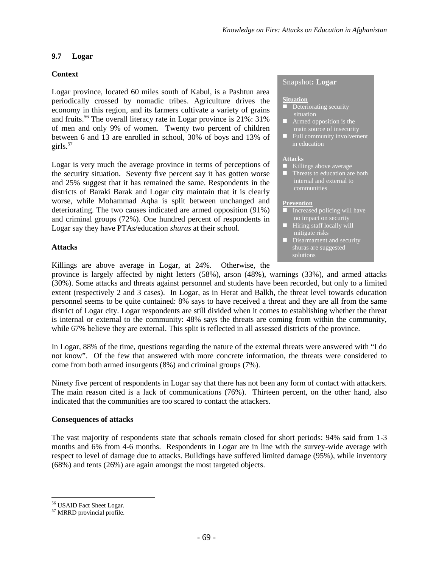### **9.7 Logar**

### **Context**

Logar province, located 60 miles south of Kabul, is a Pashtun area periodically crossed by nomadic tribes. Agriculture drives the economy in this region, and its farmers cultivate a variety of grains and fruits.<sup>[56](#page-74-0)</sup> The overall literacy rate in Logar province is  $21\%$ : 31% of men and only 9% of women. Twenty two percent of children between 6 and 13 are enrolled in school, 30% of boys and 13% of girls. $57$ 

Logar is very much the average province in terms of perceptions of the security situation. Seventy five percent say it has gotten worse and 25% suggest that it has remained the same. Respondents in the districts of Baraki Barak and Logar city maintain that it is clearly worse, while Mohammad Aqha is split between unchanged and deteriorating. The two causes indicated are armed opposition (91%) and criminal groups (72%). One hundred percent of respondents in Logar say they have PTAs/education *shuras* at their school.

#### Snapshot**: Logar**

#### **Situation**

- **Deteriorating security**
- **Armed opposition is the**
- **Full community involvement** in education

#### **Attacks**

- Killings above average
- **Threats to education are both** internal and external to communities

#### **Prevention**

- $\blacksquare$  Increased policing will have no impact on security
- $\blacksquare$  Hiring staff locally will mitigate risks
- **Disarmament and security** shuras are suggested solutions

#### **Attacks**

Killings are above average in Logar, at 24%. Otherwise, the

province is largely affected by night letters (58%), arson (48%), warnings (33%), and armed attacks (30%). Some attacks and threats against personnel and students have been recorded, but only to a limited extent (respectively 2 and 3 cases). In Logar, as in Herat and Balkh, the threat level towards education personnel seems to be quite contained: 8% says to have received a threat and they are all from the same district of Logar city. Logar respondents are still divided when it comes to establishing whether the threat is internal or external to the community: 48% says the threats are coming from within the community, while 67% believe they are external. This split is reflected in all assessed districts of the province.

In Logar, 88% of the time, questions regarding the nature of the external threats were answered with "I do not know". Of the few that answered with more concrete information, the threats were considered to come from both armed insurgents (8%) and criminal groups (7%).

Ninety five percent of respondents in Logar say that there has not been any form of contact with attackers. The main reason cited is a lack of communications (76%). Thirteen percent, on the other hand, also indicated that the communities are too scared to contact the attackers.

### **Consequences of attacks**

The vast majority of respondents state that schools remain closed for short periods: 94% said from 1-3 months and 6% from 4-6 months. Respondents in Logar are in line with the survey-wide average with respect to level of damage due to attacks. Buildings have suffered limited damage (95%), while inventory (68%) and tents (26%) are again amongst the most targeted objects.

<span id="page-74-1"></span><span id="page-74-0"></span><sup>56</sup> USAID Fact Sheet Logar.

<sup>57</sup> MRRD provincial profile.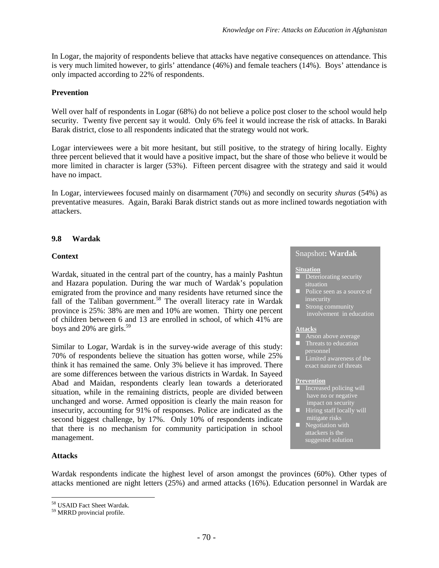In Logar, the majority of respondents believe that attacks have negative consequences on attendance. This is very much limited however, to girls' attendance (46%) and female teachers (14%). Boys' attendance is only impacted according to 22% of respondents.

### **Prevention**

Well over half of respondents in Logar (68%) do not believe a police post closer to the school would help security. Twenty five percent say it would. Only 6% feel it would increase the risk of attacks. In Baraki Barak district, close to all respondents indicated that the strategy would not work.

Logar interviewees were a bit more hesitant, but still positive, to the strategy of hiring locally. Eighty three percent believed that it would have a positive impact, but the share of those who believe it would be more limited in character is larger (53%). Fifteen percent disagree with the strategy and said it would have no impact.

In Logar, interviewees focused mainly on disarmament (70%) and secondly on security *shuras* (54%) as preventative measures. Again, Baraki Barak district stands out as more inclined towards negotiation with attackers.

## **9.8 Wardak**

### **Context**

Wardak, situated in the central part of the country, has a mainly Pashtun and Hazara population. During the war much of Wardak's population emigrated from the province and many residents have returned since the fall of the Taliban governmen[t.](#page-75-0)<sup>58</sup> The overall literacy rate in Wardak province is 25%: 38% are men and 10% are women. Thirty one percent of children between 6 and 13 are enrolled in school, of which 41% are boysand 20% are girls.<sup>59</sup>

Similar to Logar, Wardak is in the survey-wide average of this study: 70% of respondents believe the situation has gotten worse, while 25% think it has remained the same. Only 3% believe it has improved. There are some differences between the various districts in Wardak. In Sayeed Abad and Maidan, respondents clearly lean towards a deteriorated situation, while in the remaining districts, people are divided between unchanged and worse. Armed opposition is clearly the main reason for insecurity, accounting for 91% of responses. Police are indicated as the second biggest challenge, by 17%. Only 10% of respondents indicate that there is no mechanism for community participation in school management.

### **Attacks**

Wardak respondents indicate the highest level of arson amongst the provinces (60%). Other types of attacks mentioned are night letters (25%) and armed attacks (16%). Education personnel in Wardak are

# Snapshot**: Wardak**

#### **Situation**

- Deteriorating security situation
- **Police seen as a source of** insecurity
- Strong community involvement in education

#### **Attacks**

- **Arson above average**  $\blacksquare$  Threats to education personnel
- $\blacksquare$  Limited awareness of the exact nature of threats

#### **Prevention**

- $\blacksquare$  Increased policing will have no or negative impact on security
- $\blacksquare$  Hiring staff locally will mitigate risks
- **Negotiation** with suggested solution

<span id="page-75-1"></span><span id="page-75-0"></span><sup>58</sup> USAID Fact Sheet Wardak.

<sup>59</sup> MRRD provincial profile.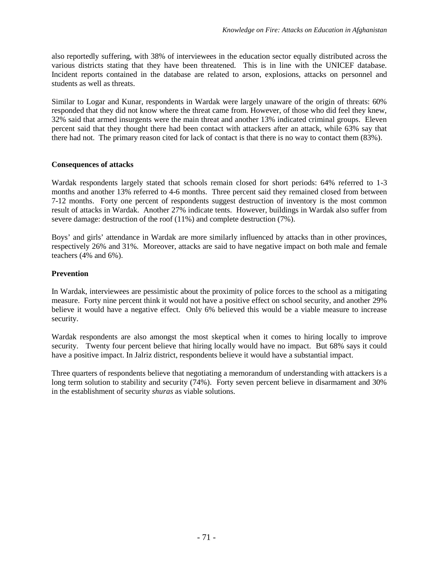also reportedly suffering, with 38% of interviewees in the education sector equally distributed across the various districts stating that they have been threatened. This is in line with the UNICEF database. Incident reports contained in the database are related to arson, explosions, attacks on personnel and students as well as threats.

Similar to Logar and Kunar, respondents in Wardak were largely unaware of the origin of threats: 60% responded that they did not know where the threat came from. However, of those who did feel they knew, 32% said that armed insurgents were the main threat and another 13% indicated criminal groups. Eleven percent said that they thought there had been contact with attackers after an attack, while 63% say that there had not. The primary reason cited for lack of contact is that there is no way to contact them (83%).

### **Consequences of attacks**

Wardak respondents largely stated that schools remain closed for short periods: 64% referred to 1-3 months and another 13% referred to 4-6 months. Three percent said they remained closed from between 7-12 months. Forty one percent of respondents suggest destruction of inventory is the most common result of attacks in Wardak. Another 27% indicate tents. However, buildings in Wardak also suffer from severe damage: destruction of the roof (11%) and complete destruction (7%).

Boys' and girls' attendance in Wardak are more similarly influenced by attacks than in other provinces, respectively 26% and 31%. Moreover, attacks are said to have negative impact on both male and female teachers (4% and 6%).

### **Prevention**

In Wardak, interviewees are pessimistic about the proximity of police forces to the school as a mitigating measure. Forty nine percent think it would not have a positive effect on school security, and another 29% believe it would have a negative effect. Only 6% believed this would be a viable measure to increase security.

Wardak respondents are also amongst the most skeptical when it comes to hiring locally to improve security. Twenty four percent believe that hiring locally would have no impact. But 68% says it could have a positive impact. In Jalriz district, respondents believe it would have a substantial impact.

Three quarters of respondents believe that negotiating a memorandum of understanding with attackers is a long term solution to stability and security (74%). Forty seven percent believe in disarmament and 30% in the establishment of security *shuras* as viable solutions.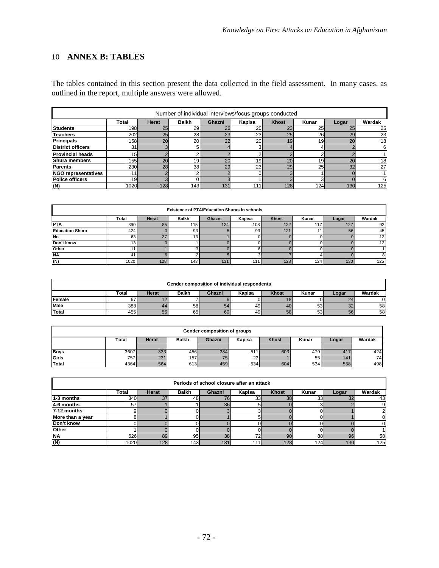# 10 **ANNEX B: TABLES**

The tables contained in this section present the data collected in the field assessment. In many cases, as outlined in the report, multiple answers were allowed.

| Number of individual interviews/focus groups conducted |                 |              |                 |        |                 |                 |                 |       |          |  |  |
|--------------------------------------------------------|-----------------|--------------|-----------------|--------|-----------------|-----------------|-----------------|-------|----------|--|--|
|                                                        | Total           | <b>Herat</b> | <b>Balkh</b>    | Ghazni | Kapisa          | <b>Khost</b>    | Kunar           | Logar | Wardak   |  |  |
| <b>Students</b>                                        | 198             | 25           | 29              | 26     | 20              | 23              | 25              | 25    | 25       |  |  |
| <b>Teachers</b>                                        | 202             | 25           | 28              | 23     | 23              | 25              | 26              | 29    | 23       |  |  |
| <b>Principals</b>                                      | <b>158</b>      | 20           | 20 <sub>l</sub> | 22     | 20 <sub>l</sub> | 19              | 19 <sup>l</sup> | 20    | 18       |  |  |
| <b>District officers</b>                               | 31              |              | 51              |        |                 |                 |                 |       | 6        |  |  |
| Provincial heads                                       | 15 <sub>h</sub> |              |                 |        |                 |                 |                 |       |          |  |  |
| <b>Shura members</b>                                   | 155             | 20           | 19 <sup>l</sup> | 20     | 19 <sub>l</sub> | 20 <sub>1</sub> | 19 <sup>l</sup> | 20    | 18       |  |  |
| <b>Parents</b>                                         | 230I            | 28           | 38 <sup>l</sup> | 29     | 23I             | 29              | 25              | 32    | 27       |  |  |
| <b>NGO representatives</b>                             | 11              |              | $\sim$          |        |                 |                 |                 |       |          |  |  |
| <b>Police officers</b>                                 | 19              |              |                 |        |                 |                 |                 |       | $6 \mid$ |  |  |
| (N)                                                    | 1020            | 128          | 143I            | 131    | 111             | 128             | 124             | 130   | 125      |  |  |

| <b>Existence of PTA/Education Shuras in schools</b>                                     |      |     |                 |     |                  |     |     |     |                   |  |  |
|-----------------------------------------------------------------------------------------|------|-----|-----------------|-----|------------------|-----|-----|-----|-------------------|--|--|
| Wardak<br>Total<br>Kapisa<br>Khost<br>Kunar<br><b>Balkh</b><br>Ghazni<br>Herat<br>Logar |      |     |                 |     |                  |     |     |     |                   |  |  |
| <b>PTA</b>                                                                              | 890  | 85  | 115             | 124 | 108 <sup>1</sup> | 122 | 117 | 127 | 92                |  |  |
| <b>Education Shura</b>                                                                  | 424  |     | 93              |     | 93               | 121 |     | 56  | 45                |  |  |
| <b>No</b>                                                                               | 63   | 37  | 13 <sub>1</sub> |     |                  |     |     |     | $12 \overline{ }$ |  |  |
| Don't know                                                                              | 13   |     |                 |     |                  |     |     |     | 12                |  |  |
| Other                                                                                   |      |     |                 |     |                  |     |     |     |                   |  |  |
| <b>NA</b>                                                                               | 41   |     |                 |     |                  |     |     |     |                   |  |  |
| (N)                                                                                     | 1020 | 128 | 143             | 131 | 111              | 128 | 124 | 130 | 125               |  |  |

| Gender composition of individual respondents |       |              |              |        |        |              |       |       |        |  |  |
|----------------------------------------------|-------|--------------|--------------|--------|--------|--------------|-------|-------|--------|--|--|
|                                              | Total | <b>Herat</b> | <b>Balkh</b> | Ghazni | Kapisa | <b>Khost</b> | Kunar | Logar | Wardak |  |  |
| Female                                       | 67    |              |              |        |        |              |       | 24    |        |  |  |
| <b>Male</b>                                  | 388   | 44           | 58           | 54     | 49     | 40           | 53    | -SZ.  | 58     |  |  |
| Total                                        | 455 l | 56           | 65           | 60     | 49     | 58           | 53    | 56    | 58     |  |  |

| Gender composition of groups |                                                                                                |     |      |     |     |     |      |     |                 |  |  |
|------------------------------|------------------------------------------------------------------------------------------------|-----|------|-----|-----|-----|------|-----|-----------------|--|--|
|                              | <b>Khost</b><br>Wardak<br><b>Balkh</b><br>Kapisa<br>Ghazni<br>Herat<br>Kunar<br>Total<br>Logar |     |      |     |     |     |      |     |                 |  |  |
|                              |                                                                                                |     |      |     |     |     |      |     |                 |  |  |
| <b>Boys</b>                  | 3607                                                                                           | 333 | 4561 | 384 | 511 | 603 | 4791 | 417 | 424             |  |  |
| Girls                        | 757                                                                                            | 231 | 157  | 75  | 23  |     | 55   | 141 | 74 <sub>1</sub> |  |  |
| Total                        | 4364                                                                                           | 564 | 613  | 459 | 534 | 604 | 534  | 558 | 498             |  |  |

| Periods of school closure after an attack |                  |              |              |        |        |       |       |       |        |  |  |  |
|-------------------------------------------|------------------|--------------|--------------|--------|--------|-------|-------|-------|--------|--|--|--|
|                                           | Total            | <b>Herat</b> | <b>Balkh</b> | Ghazni | Kapisa | Khost | Kunar | Logar | Wardak |  |  |  |
| 1-3 months                                | 340 <sub>I</sub> | 37           | 48           |        | 33     | 38    | 33    | 32    | 43     |  |  |  |
| 4-6 months                                | 57               |              |              | 36     |        |       |       |       |        |  |  |  |
| 7-12 months                               |                  |              |              |        |        |       |       |       |        |  |  |  |
| More than a year                          |                  |              |              |        |        |       |       |       |        |  |  |  |
| Don't know                                |                  |              |              |        |        |       |       |       |        |  |  |  |
| <b>Other</b>                              |                  |              |              |        |        |       |       |       |        |  |  |  |
| <b>INA</b>                                | 626              | 89           | 95           | 38     | 72     | 90    | 88    | 96    | 58     |  |  |  |
| (N)                                       | 1020             | 128          | 143          | 131    | 1111   | 128   | 124   | 130   | 125    |  |  |  |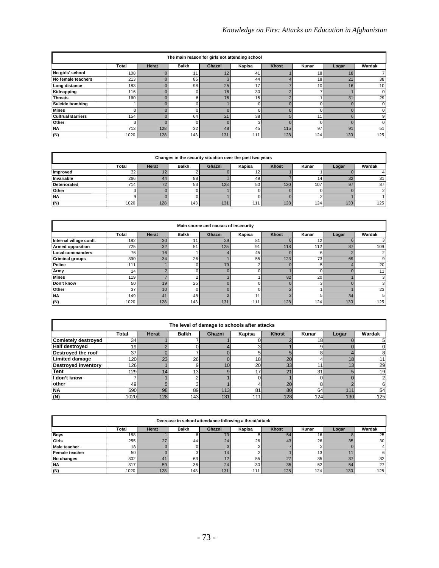| The main reason for girls not attending school |       |       |              |                |        |       |                 |                |        |  |  |  |
|------------------------------------------------|-------|-------|--------------|----------------|--------|-------|-----------------|----------------|--------|--|--|--|
|                                                | Total | Herat | <b>Balkh</b> | Ghazni         | Kapisa | Khost | Kunar           | Logar          | Wardak |  |  |  |
| No girls' school                               | 108   |       |              |                | 41     |       | 18              | 18             |        |  |  |  |
| No female teachers                             | 213   |       | 85           |                | 44     |       | 18              | 2 <sup>1</sup> | 38     |  |  |  |
| Long distance                                  | 183   |       | 98           | 25             | 17     |       | 10 <sub>1</sub> | 16             | 10     |  |  |  |
| Kidnapping                                     | 116   |       | 0            | 76             | 30     |       |                 |                |        |  |  |  |
| <b>Threats</b>                                 | 160   |       | 6            | 76             | 15     |       |                 | 31             | 29     |  |  |  |
| <b>Suicide bombing</b>                         |       |       | 0            |                |        |       |                 |                |        |  |  |  |
| <b>Mines</b>                                   | 0     |       |              |                |        |       |                 |                |        |  |  |  |
| <b>Cultrual Barriers</b>                       | 154   |       | 64           | 2 <sup>1</sup> | 38     |       | 11              |                |        |  |  |  |
| Other                                          | 3     |       | 0            |                | 3      |       |                 |                |        |  |  |  |
| <b>NA</b>                                      | 713   | 128   | 32           | 48             | 45     | 115   | 97              | 91             | 51     |  |  |  |
| (N)                                            | 1020  | 128   | 143          | 131            | 111    | 128   | 124             | 130            | 125    |  |  |  |

| Changes in the security situation over the past two years                               |                  |     |     |     |     |      |     |     |     |  |  |
|-----------------------------------------------------------------------------------------|------------------|-----|-----|-----|-----|------|-----|-----|-----|--|--|
| Total<br>Herat<br>Khost<br>Kunar<br>Wardak<br><b>Balkh</b><br>Ghazni<br>Kapisa<br>Logar |                  |     |     |     |     |      |     |     |     |  |  |
| Improved                                                                                | 32               |     |     |     |     |      |     |     |     |  |  |
| Invariable                                                                              | 266              | 44  | 88  |     | 49  |      | 141 | 32  | 31  |  |  |
| <b>Deteriorated</b>                                                                     | 714 <sub>h</sub> | 72  | 53  | 128 | 50  | 120. | 107 | 97  | 87  |  |  |
| Other                                                                                   |                  |     |     |     |     |      |     |     |     |  |  |
| <b>NA</b>                                                                               |                  |     |     |     |     |      |     |     |     |  |  |
| (N)                                                                                     | 1020             | 128 | 143 | 131 | 111 | 128  | 124 | 130 | 125 |  |  |

| Main source and causes of insecurity |       |                 |              |        |          |              |       |       |        |  |  |  |
|--------------------------------------|-------|-----------------|--------------|--------|----------|--------------|-------|-------|--------|--|--|--|
|                                      | Total | Herat           | <b>Balkh</b> | Ghazni | Kapisa   | <b>Khost</b> | Kunar | Logar | Wardak |  |  |  |
| Internal village confl.              | 182   | 30              | 11           | 39     | 81       |              | 12.   |       |        |  |  |  |
| <b>Armed opposition</b>              | 725   | 32              | 51           | 125    | 91       | 118          | 112   | 87    | 109    |  |  |  |
| <b>Local commanders</b>              | 76    | 16              |              |        | 45       |              | 6     |       |        |  |  |  |
| <b>Criminal groups</b>               | 390   | 34              | 26           |        | 55       | 123          | 73    | 69    |        |  |  |  |
| Police                               | 111   |                 |              | 79     | ╭        |              | 5     |       | 20     |  |  |  |
| Army                                 | 14    |                 |              |        |          |              |       |       | 11     |  |  |  |
| <b>Mines</b>                         | 119   |                 |              |        |          | 82           | 20    |       |        |  |  |  |
| Don't know                           | 50    | 19              | 25           |        |          |              | 3     |       |        |  |  |  |
| Other                                | 37    | 10 <sup>1</sup> |              |        | $\Omega$ | c            |       |       | 23     |  |  |  |
| <b>NA</b>                            | 149   | 41              | 48           |        | 44       | $\sim$       | 5     | 34    |        |  |  |  |
| (N)                                  | 1020  | 128             | 143          | 131    | 11'      | 128          | 124   | 130   | 125    |  |  |  |

| The level of damage to schools after attacks |              |       |                 |        |                 |                |       |       |        |  |  |  |
|----------------------------------------------|--------------|-------|-----------------|--------|-----------------|----------------|-------|-------|--------|--|--|--|
|                                              | <b>Total</b> | Herat | <b>Balkh</b>    | Ghazni | Kapisa          | <b>Khost</b>   | Kunar | Logar | Wardak |  |  |  |
| <b>Comletely destroyed</b>                   | 34           |       |                 |        |                 |                | 18    |       |        |  |  |  |
| <b>Half destroyed</b>                        | 19           |       |                 |        |                 |                |       |       |        |  |  |  |
| Destroyed the roof                           | 37           |       |                 |        |                 |                |       |       |        |  |  |  |
| <b>Limited damage</b>                        | <b>1201</b>  | 23    | 26              |        | 18              | 20             |       | 18    |        |  |  |  |
| <b>Destroyed inventory</b>                   | 126          |       | 9               |        | 20 <sub>l</sub> | 33             |       |       | 29     |  |  |  |
| <b>Tent</b>                                  | <b>1291</b>  | 14    | 13 <sub>1</sub> |        | 17              | 2 <sub>1</sub> | 31    |       | 19     |  |  |  |
| I don't know                                 |              |       |                 |        |                 |                |       |       |        |  |  |  |
| other                                        | 49           |       | 3               |        |                 | 20             |       |       |        |  |  |  |
| <b>NA</b>                                    | 690          | 98    | 89              | 113    | 81              | 80             | 64    | 111   | 54     |  |  |  |
| (N)                                          | 1020         | 128   | 143             | 131    | 111             | 128            | 124   | 130   | 125    |  |  |  |

| Decrease in school attendance following a threat/attack |                                                                                         |     |     |     |     |        |                  |     |     |  |  |  |
|---------------------------------------------------------|-----------------------------------------------------------------------------------------|-----|-----|-----|-----|--------|------------------|-----|-----|--|--|--|
|                                                         | Ghazni<br>Wardak<br><b>Balkh</b><br>Kapisa<br>Khost<br>Total<br>Kunar<br>Herat<br>Logar |     |     |     |     |        |                  |     |     |  |  |  |
| <b>Boys</b>                                             | 188 <sub>1</sub>                                                                        |     |     |     |     | 54     | 16 <sub>1</sub>  |     | 25  |  |  |  |
| Girls                                                   | 255                                                                                     | 27  | 44  | 24  | 26  | 43     | 26               | 35  | 30  |  |  |  |
| Male teacher                                            | 18 <sub>1</sub>                                                                         |     |     |     |     |        |                  |     |     |  |  |  |
| Female teacher                                          | 50                                                                                      |     |     |     |     |        | 13               |     |     |  |  |  |
| No changes                                              | 302                                                                                     | 41  | 63  |     | 55  | $\sim$ | 35               | 37  | 32  |  |  |  |
| <b>NA</b>                                               | 317                                                                                     | 59  | 36  | 24  | 30  | 35     | 52               | 54  | 27  |  |  |  |
| (N)                                                     | 1020                                                                                    | 128 | 143 | 131 | 111 | 128    | 124 <sub>1</sub> | 130 | 125 |  |  |  |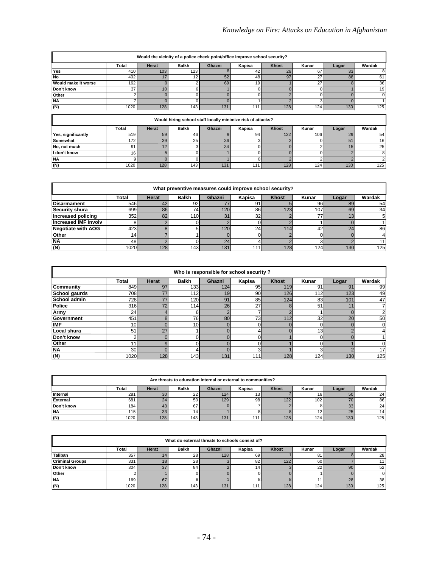| Would the vicinity of a police check point/office improve school security? |                                                             |           |              |                                       |                |             |              |                 |                |  |  |
|----------------------------------------------------------------------------|-------------------------------------------------------------|-----------|--------------|---------------------------------------|----------------|-------------|--------------|-----------------|----------------|--|--|
|                                                                            | Total                                                       | Herat     | <b>Balkh</b> | Ghazni                                | Kapisa         | Khost       | Kunar        | Logar           | Wardak         |  |  |
| Yes                                                                        | 410                                                         | 103       | 123          |                                       | 42             | 26          | 67           | 33              |                |  |  |
| <b>No</b>                                                                  | 402                                                         | 17        | 12           | 52                                    | 48             | 97          | 27           | 88              | 61             |  |  |
| Would make it worse<br>36<br>27<br>162<br>69<br>19                         |                                                             |           |              |                                       |                |             |              |                 |                |  |  |
| Don't know                                                                 | 37 <sup>2</sup>                                             | 10        | 6            |                                       |                |             |              |                 | 19             |  |  |
| Other                                                                      |                                                             |           |              |                                       |                |             |              |                 |                |  |  |
| <b>NA</b>                                                                  |                                                             |           |              |                                       |                |             |              |                 |                |  |  |
| (N)                                                                        | 1020                                                        | 128       | 143          | 131                                   | 111            | 128         | 124          | 130             | 125            |  |  |
|                                                                            |                                                             |           |              |                                       |                |             |              |                 |                |  |  |
|                                                                            | Would hiring school staff locally minimize risk of attacks? |           |              |                                       |                |             |              |                 |                |  |  |
|                                                                            | $T \sim 100$                                                | $11 - 22$ | $B = 11.1$   | $\mathbf{A}$ is a set of $\mathbf{A}$ | $10 - 10 = 10$ | $141. - 14$ | $\mathbf{1}$ | $1 - 1 - 1 = 1$ | $141 - 11 - 1$ |  |  |

|                    | Total | Herat            | <b>Balkh</b> | Ghazni | Kapisa | <b>Khost</b> | Kunar            | Logar | Wardak          |
|--------------------|-------|------------------|--------------|--------|--------|--------------|------------------|-------|-----------------|
| Yes, significantly | 519   | 59               | 46           |        | 94     | 122          | 106.             | 29    | 54              |
| Somewhat           | 172   | 39               | 25           | 36     |        |              |                  | эı    | 16 <sub>1</sub> |
| No. not much       | 9٬    |                  |              | 34     |        |              |                  |       | 25              |
| I don't know       | 16    |                  |              |        |        |              |                  |       |                 |
| <b>NA</b>          |       |                  |              |        |        |              |                  |       |                 |
| (N)                | 1020  | 128 <sub>1</sub> | 143          | 131    |        | 128          | 124 <sub>1</sub> | 130   | 125             |

| What preventive measures could improve school security? |                 |              |              |                  |                 |              |       |       |        |
|---------------------------------------------------------|-----------------|--------------|--------------|------------------|-----------------|--------------|-------|-------|--------|
|                                                         | <b>Total</b>    | <b>Herat</b> | <b>Balkh</b> | Ghazni           | Kapisa          | <b>Khost</b> | Kunar | Logar | Wardak |
| <b>Disarmament</b>                                      | 546I            |              | 92           |                  | 91 <sub>1</sub> |              | 96    | 89    | 54     |
| <b>Security shura</b>                                   | 699l            | 86           | 74           | 120 <sub>1</sub> | 86              | 123.         | 107   | 69    | 34     |
| Increased policing                                      | 352             | 82           | 110I         | 31               | 32              |              |       |       |        |
| Increased IMF involv                                    |                 |              |              |                  |                 |              |       |       |        |
| <b>Negotiate with AOG</b>                               | 423             |              |              | 120              | 24              | 114.         | 42    | c.    | 86     |
| <b>Other</b>                                            | 14 <sub>1</sub> |              |              |                  |                 |              |       |       |        |
| <b>NA</b>                                               | 48              |              |              |                  |                 |              |       |       |        |
| (N)                                                     | 1020            | 128          | 143          | 131              | 11              | 128          | 124   | 130   | 125    |

|               | Who is responsible for school security? |       |                  |                 |        |                  |                 |                |        |
|---------------|-----------------------------------------|-------|------------------|-----------------|--------|------------------|-----------------|----------------|--------|
|               | <b>Total</b>                            | Herat | <b>Balkh</b>     | Ghazni          | Kapisa | <b>Khost</b>     | Kunar           | Logar          | Wardak |
| Community     | 849                                     | 97    | 133 <sub>1</sub> | 124             | 95     | 119              | 91              | 9 <sup>′</sup> | 99     |
| School gaurds | 708                                     | 77    | 112              | 19 <sub>l</sub> | 90     | 126              | <b>112</b>      | 123            | 49     |
| School admin  | 728                                     | 77    | 120I             | 91              | 85     | 124              | 83              | 101            | 47     |
| <b>Police</b> | 316                                     | 72    | 114l             | 26              | 27     |                  | 51              |                |        |
| Army          | 24                                      |       | 6                |                 |        |                  |                 |                | ◠      |
| Government    | 451                                     |       | 76               | 80              | 73     | 112 <sub>1</sub> | 32 <sub>l</sub> | 20             | 50     |
| <b>IMF</b>    | 10 <sup>1</sup>                         |       | 10               |                 |        |                  |                 |                |        |
| Local shura   | 51                                      | 27    |                  |                 |        |                  | 13              |                |        |
| Don't know    |                                         |       |                  |                 |        |                  |                 |                |        |
| Other         | 11                                      | g     | 0                |                 | 0      |                  |                 |                |        |
| <b>NA</b>     | 30                                      |       | 4                |                 | 3      |                  |                 |                | 17     |
| (N)           | 1020                                    | 128   | 143              | 131             | 111    | 128              | 124             | 130            | 125    |

|                 | Are threats to education internal or external to communities? |              |                 |        |        |              |       |       |        |
|-----------------|---------------------------------------------------------------|--------------|-----------------|--------|--------|--------------|-------|-------|--------|
|                 | <b>Total</b>                                                  | <b>Herat</b> | <b>Balkh</b>    | Ghazni | Kapisa | <b>Khost</b> | Kunar | Logar | Wardak |
| Internal        | 281                                                           | 30           | 22              | 124    | 13     |              | 16    | 50    | 24     |
| <b>External</b> | 681                                                           | 24           | 50              | 129    | 98     | 122          | 102   |       | 86     |
| Don't know      | 184                                                           | 43           | 67              |        |        |              |       | 33    | 24     |
| <b>NA</b>       | 115 <sub>1</sub>                                              | 33           | 14 <sub>1</sub> |        |        |              | 12    | 25    | 14     |
| (N)             | 1020                                                          | 128          | 143             | 131    | 111.   | 128          | 124.  | 130   | 125    |

|                                                    | What do external threats to schools consist of? |     |                 |                  |       |       |        |     |     |
|----------------------------------------------------|-------------------------------------------------|-----|-----------------|------------------|-------|-------|--------|-----|-----|
| <b>Balkh</b><br>Ghazni<br>Kapisa<br>Total<br>Herat |                                                 |     |                 | Khost            | Kunar | Logar | Wardak |     |     |
| Taliban                                            | 357                                             |     | 28 <sub>1</sub> | 128 <sub>1</sub> | 69    |       | 81     |     | 28  |
| <b>Criminal Groups</b>                             | 331                                             | 18  | 28              |                  | 82    | 122   | 60     |     |     |
| Don't know                                         | 304                                             | 37  | 84              |                  | 14    |       | 22     | 90  | 52  |
| Other                                              |                                                 |     |                 |                  |       |       |        |     |     |
| <b>NA</b>                                          | 169                                             | 67  |                 |                  |       |       |        | 28  | 38  |
| (N)                                                | 1020                                            | 128 | 143             | 131              | 111   | 128   | 124.   | 130 | 125 |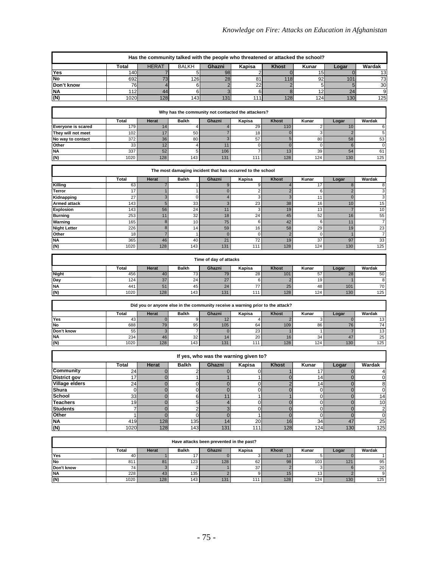|                                          | Has the community talked with the people who threatened or attacked the school? |                               |                         |                                          |                                                                                |                                |                   |                                  |                      |
|------------------------------------------|---------------------------------------------------------------------------------|-------------------------------|-------------------------|------------------------------------------|--------------------------------------------------------------------------------|--------------------------------|-------------------|----------------------------------|----------------------|
|                                          | <b>Total</b>                                                                    | <b>HERAT</b>                  | <b>BALKH</b>            | Ghazni                                   | Kapisa                                                                         | <b>Khost</b>                   | Kunar             | Logar                            | Wardak               |
| Yes                                      | 140                                                                             | 7                             | 5                       | 98                                       | 2                                                                              | $\mathbf 0$                    | 15                | $\overline{0}$                   | 13                   |
| No                                       | 692                                                                             | 73                            | 126                     | 28                                       | 81                                                                             | 118                            | 92                | 101                              | 73                   |
| Don't know                               | 76                                                                              | $\overline{4}$                | 6                       | $\overline{2}$                           | 22                                                                             | $\overline{2}$                 | 5                 | 5                                | 30                   |
| ΝA                                       | 112                                                                             | 44                            | 6                       | 3                                        | 6                                                                              | 8                              | 12                | 24                               | 9                    |
| (N)                                      | 1020                                                                            | 128                           | 143                     | 131                                      | 111                                                                            | 128                            | 124               | 130                              | 125                  |
|                                          |                                                                                 |                               |                         |                                          |                                                                                |                                |                   |                                  |                      |
|                                          |                                                                                 |                               |                         |                                          | Why has the community not contacted the attackers?                             |                                |                   |                                  |                      |
|                                          | Total<br>179                                                                    | Herat<br>14                   | Balkh<br>4              | Ghazni<br>$\overline{4}$                 | Kapisa<br>29                                                                   | Khost<br>110                   | Kunar<br>2        | Logar<br>10                      | Wardak<br>6          |
| Everyone is scared<br>They will not meet | 102                                                                             | 17                            | 50                      | $\overline{7}$                           | 18                                                                             | $\mathbf{0}$                   | 3                 | $\overline{c}$                   | 5                    |
| No way to contact                        | 372                                                                             | 36                            | 80                      | 3                                        | 57                                                                             | 5                              | 80                | 58                               | 53                   |
| Other                                    | 33                                                                              | 12                            | 4                       | 11                                       | $\pmb{0}$                                                                      | $\mathbf 0$                    | $\mathbf 0$       | $\,$ 6                           | $\mathbf 0$          |
| <b>NA</b>                                | 337                                                                             | 52                            | 5                       | 106                                      | $\overline{7}$                                                                 | 13                             | 39                | 54                               | 61                   |
| $\overline{\mathsf{z}}$                  | 1020                                                                            | 128                           | 143                     | 131                                      | 111                                                                            | 128                            | 124               | 130                              | 125                  |
|                                          |                                                                                 |                               |                         |                                          |                                                                                |                                |                   |                                  |                      |
|                                          |                                                                                 |                               |                         |                                          | The most damaging incident that has occurred to the school                     |                                |                   |                                  |                      |
| Killing                                  | Total<br>63                                                                     | Herat<br>7                    | Balkh<br>1              | Ghazni<br>9                              | Kapisa<br>9                                                                    | Khost<br>4                     | Kunar<br>17       | Logar<br>8                       | Wardak<br>8          |
| Terror                                   | 17                                                                              | $\mathbf{1}$                  | $\mathbf{1}$            | $\mathbf 0$                              | $\mathbf 2$                                                                    | $\overline{2}$                 | 6                 | $\overline{c}$                   | 3                    |
| Kidnapping                               | 27                                                                              | 3                             | $\mathbf 0$             | $\overline{\mathbf{4}}$                  | 3                                                                              | 3                              | 11                | $\mathbf 0$                      | 3                    |
| Armed attack                             | 143                                                                             | $\sqrt{5}$                    | 33                      | $\ensuremath{\mathsf{3}}$                | 23                                                                             | 38                             | 16                | 10                               | 15                   |
| Explosion                                | 143                                                                             | 56                            | 24                      | 11                                       | 3                                                                              | 19                             | 13                | $\overline{7}$                   | 10                   |
| <b>Burning</b>                           | 253                                                                             | 11                            | 32                      | 18                                       | 24                                                                             | 45                             | 52                | 16                               | 55                   |
| Warning                                  | 165                                                                             | $\bf8$                        | 10                      | 75                                       | 6                                                                              | 42                             | 6                 | 11                               | 7                    |
| <b>Night Letter</b><br>Other             | 226<br>18                                                                       | $\bf8$<br>$\overline{7}$      | 14<br>1                 | 59<br>$\mathbf 0$                        | 16<br>0                                                                        | 58<br>$\overline{c}$           | 29<br>$\mathbf 0$ | 19<br>1                          | 23<br>$\overline{7}$ |
| NA                                       | 365                                                                             | 46                            | 40                      | 21                                       | 72                                                                             | 19                             | 37                | 97                               | 33                   |
| (N)                                      | 1020                                                                            | 128                           | 143                     | 131                                      | 111                                                                            | 128                            | 124               | 130                              | 125                  |
|                                          |                                                                                 |                               |                         |                                          |                                                                                |                                |                   |                                  |                      |
|                                          |                                                                                 |                               |                         | Time of day of attacks                   |                                                                                |                                |                   |                                  |                      |
|                                          | Total                                                                           | Herat                         | <b>Balkh</b>            | Ghazni                                   | Kapisa                                                                         | <b>Khost</b>                   | Kunar             | Logar                            | Wardak               |
| Night                                    | 456                                                                             | 40                            | 73                      | 79                                       | 28                                                                             | 101                            | 57                | 28                               | 50                   |
| Day                                      | 124                                                                             | 37                            | 24                      | 27                                       | 6                                                                              | $\overline{2}$                 | 19                |                                  | 8                    |
| <b>NA</b>                                | 441<br>1020                                                                     | 51<br>128                     | 45<br>143               | 24<br>131                                | 77<br>111                                                                      | 25<br>128                      | 48<br>124         | 101<br>130                       | 70<br>125            |
| (N)                                      |                                                                                 |                               |                         |                                          |                                                                                |                                |                   |                                  |                      |
|                                          |                                                                                 |                               |                         |                                          | Did you or anyone else in the community receive a warning prior to the attack? |                                |                   |                                  |                      |
|                                          | Total                                                                           | Herat                         | Balkh                   | Ghazni                                   | Kapisa                                                                         | Khost                          | Kunar             | Logar                            | Wardak               |
| Yes                                      | 43                                                                              | $\mathbf 0$                   | 9                       | 12                                       | 4                                                                              | $\overline{2}$                 | 3                 | 0                                | 13                   |
| No                                       | 688                                                                             | 79                            | 95                      | 105                                      | 64                                                                             | 109                            | 86                | 76                               | 74                   |
| Don't know                               | 55                                                                              | 3                             | 7                       | $\mathbf{0}$                             | 23                                                                             |                                |                   |                                  | 13                   |
| <b>NA</b><br>(N)                         | 234<br>1020                                                                     | 46<br>128                     | 32<br>143               | 14<br>131                                | 20<br>111                                                                      | 16<br>128                      | 34<br>124         | 47<br>130                        | 25<br>125            |
|                                          |                                                                                 |                               |                         |                                          |                                                                                |                                |                   |                                  |                      |
|                                          |                                                                                 |                               |                         |                                          | If yes, who was the warning given to?                                          |                                |                   |                                  |                      |
|                                          | Total                                                                           | Herat                         | <b>Balkh</b>            | Ghazni                                   | Kapisa                                                                         | Khost                          | Kunar             | Logar                            | Wardak               |
| Community                                | 24                                                                              | $\mathbf 0$                   | $\overline{2}$          | $\overline{0}$                           | $\overline{0}$                                                                 | 1                              | 17                | $\overline{0}$                   | 4                    |
| <b>District gov</b>                      | 17                                                                              | $\pmb{0}$                     | $\mathbf{1}$            | 1                                        | $\mathbf{1}$                                                                   | $\overline{0}$                 | 14                | $\overline{0}$                   | $\overline{0}$       |
| <b>Village elders</b>                    | $\overline{24}$                                                                 | $\mathbf 0$                   | 0                       | $\overline{0}$                           | $\mathbf 0$                                                                    | $\overline{c}$                 | 14                | $\overline{0}$                   | $\bf{8}$             |
| Shura                                    | $\overline{0}$                                                                  | $\mathbf 0$                   | 0                       | $\overline{0}$                           | $\mathsf{O}\xspace$                                                            | $\overline{0}$<br>$\mathbf{1}$ | $\pmb{0}$         | $\overline{0}$                   | $\overline{0}$       |
| School<br><b>Teachers</b>                | 33<br>19                                                                        | $\mathbf 0$<br>$\overline{0}$ | 6<br>$\overline{5}$     | 11<br>$\overline{4}$                     | $\mathbf{1}$<br>$\mathbf 0$                                                    | $\mathbf 0$                    | 0<br>0            | $\overline{0}$<br>$\overline{0}$ | 14<br>10             |
| <b>Students</b>                          | 7                                                                               | $\mathbf 0$                   | $\overline{\mathbf{c}}$ | 3                                        | $\mathbf 0$                                                                    | $\overline{0}$                 | $\mathbf 0$       | $\overline{0}$                   | $\overline{2}$       |
| Other                                    | 1                                                                               | $\mathbf 0$                   | 0                       | $\overline{0}$                           | $\mathbf{1}$                                                                   | $\mathbf 0$                    | 0                 | $\overline{0}$                   | $\overline{0}$       |
| <b>NA</b>                                | 419                                                                             | 128                           | 135                     | 14                                       | 20                                                                             | 16                             | 34                | 47                               | 25                   |
| $\overline{\mathsf{N}}$                  | 1020                                                                            | 128                           | 143                     | 131                                      | 111                                                                            | 128                            | 124               | 130                              | 125                  |
|                                          |                                                                                 |                               |                         |                                          |                                                                                |                                |                   |                                  |                      |
|                                          |                                                                                 |                               |                         | Have attacks been prevented in the past? |                                                                                |                                |                   |                                  |                      |
|                                          | Total                                                                           | Herat                         | Balkh                   | Ghazni                                   | Kapisa                                                                         | Khost                          | Kunar             | Logar                            | Wardak               |
| Yes<br>No                                | 40<br>811                                                                       | 1<br>81                       | 17<br>123               | $\mathbf 0$<br>128                       | 3<br>62                                                                        | 13<br>98                       | 5<br>103          | $\mathbf 0$                      |                      |
| Don't know                               | 74                                                                              | $\overline{3}$                | 2                       | $\mathbf{1}$                             | $\overline{37}$                                                                | $\overline{2}$                 | 3                 | 121<br>6                         | 95<br>20             |
| <b>NA</b>                                | 228                                                                             | 43                            | 135                     | $\mathbf 2$                              | 9                                                                              | 15                             | 13                | $\overline{c}$                   | 9                    |
| (N)                                      | 1020                                                                            | 128                           | 143                     | 131                                      | 111                                                                            | 128                            | 124               | 130                              | 125                  |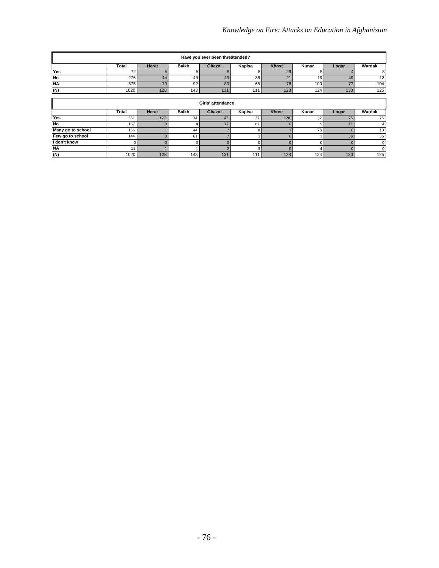| Have you ever been threatended? |                   |       |                 |        |        |       |                  |       |                  |
|---------------------------------|-------------------|-------|-----------------|--------|--------|-------|------------------|-------|------------------|
|                                 | Total             | Herat | <b>Balkh</b>    | Ghazni | Kapisa | Khost | Kunar            | Logar | Wardak           |
| Yes                             | 72 <sub>1</sub>   |       |                 |        |        | 29    |                  |       | 8                |
| No                              | 276               | 44    | 49              | 43     | 38     | 24    | 19 <sub>1</sub>  | 49    | 13               |
| <b>NA</b>                       | 675               | 79    | 92 <sub>1</sub> | 80     | 65     | 78    | 100 <sub>1</sub> |       | 104              |
| (N)                             | 1020              | 128   | 143             | 131    | 111    | 128   | 124              | 130   | 125 <sub>1</sub> |
|                                 |                   |       |                 |        |        |       |                  |       |                  |
|                                 | Girls' attendance |       |                 |        |        |       |                  |       |                  |

|                   | Total | <b>Herat</b> | <b>Balkh</b>     | Ghazni | Kapisa  | <b>Khost</b> | Kunar            | Logar | Wardak |
|-------------------|-------|--------------|------------------|--------|---------|--------------|------------------|-------|--------|
| <b>Yes</b>        | 551   | 127          | 34               | 43     |         | 128          | $\sim$<br>34     |       |        |
| No                | 167   |              |                  | 72     | b/      |              |                  | . .   |        |
| Many go to school | 155   |              | 44               |        |         |              |                  |       | 10     |
| Few go to school  | 144   |              | 61               |        |         |              |                  | 38    | 36     |
| I don't know      |       |              |                  |        |         |              |                  |       |        |
| <b>NA</b>         | ∸     |              |                  |        |         |              |                  |       |        |
| (N)               | 1020  | 128          | 143 <sub>1</sub> | 131    | $-44.4$ | 128          | 124 <sub>1</sub> | 130   | 125    |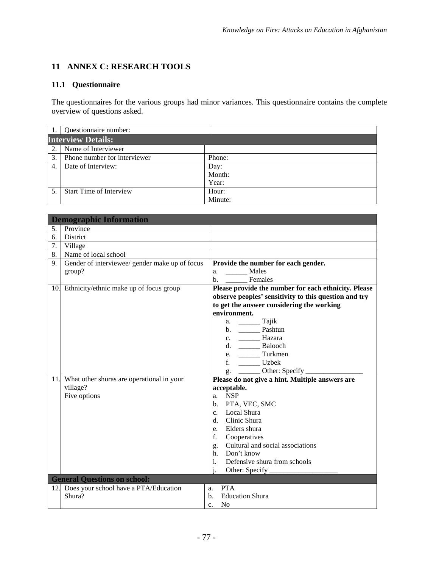# **11 ANNEX C: RESEARCH TOOLS**

# **11.1 Questionnaire**

The questionnaires for the various groups had minor variances. This questionnaire contains the complete overview of questions asked.

|    | Questionnaire number:          |         |  |  |  |  |
|----|--------------------------------|---------|--|--|--|--|
|    | <b>Interview Details:</b>      |         |  |  |  |  |
| 2. | Name of Interviewer            |         |  |  |  |  |
| 3. | Phone number for interviewer   | Phone:  |  |  |  |  |
| 4  | Date of Interview:             | Day:    |  |  |  |  |
|    |                                | Month:  |  |  |  |  |
|    |                                | Year:   |  |  |  |  |
|    | <b>Start Time of Interview</b> | Hour:   |  |  |  |  |
|    |                                | Minute: |  |  |  |  |

|     | <b>Demographic Information</b>                 |                                                       |
|-----|------------------------------------------------|-------------------------------------------------------|
| 5.  | Province                                       |                                                       |
| 6.  | District                                       |                                                       |
| 7.  | Village                                        |                                                       |
| 8.  | Name of local school                           |                                                       |
| 9.  | Gender of interviewee/ gender make up of focus | Provide the number for each gender.                   |
|     | group?                                         | Males<br>a.                                           |
|     |                                                | b. _____ Females                                      |
|     | 10. Ethnicity/ethnic make up of focus group    | Please provide the number for each ethnicity. Please  |
|     |                                                | observe peoples' sensitivity to this question and try |
|     |                                                | to get the answer considering the working             |
|     |                                                | environment.                                          |
|     |                                                | a. _________ Tajik                                    |
|     |                                                |                                                       |
|     |                                                |                                                       |
|     |                                                | d. __________ Balooch                                 |
|     |                                                | e. __________ Turkmen                                 |
|     |                                                |                                                       |
|     |                                                |                                                       |
| 11. | What other shuras are operational in your      | Please do not give a hint. Multiple answers are       |
|     | village?                                       | acceptable.                                           |
|     | Five options                                   | <b>NSP</b><br>a.                                      |
|     |                                                | PTA, VEC, SMC<br>$\mathbf{b}$ .                       |
|     |                                                | c. Local Shura                                        |
|     |                                                | d. Clinic Shura                                       |
|     |                                                | e. Elders shura                                       |
|     |                                                | f.<br>Cooperatives                                    |
|     |                                                | g. Cultural and social associations                   |
|     |                                                | h. Don't know<br>$\mathbf{i}$ .                       |
|     |                                                | Defensive shura from schools                          |
|     |                                                | i.<br>Other: Specify                                  |
|     | <b>General Questions on school:</b>            |                                                       |
| 12. | Does your school have a PTA/Education          | <b>PTA</b><br>a.                                      |
|     | Shura?                                         | <b>Education Shura</b><br>b.                          |
|     |                                                | N <sub>0</sub><br>$\mathbf{c}$ .                      |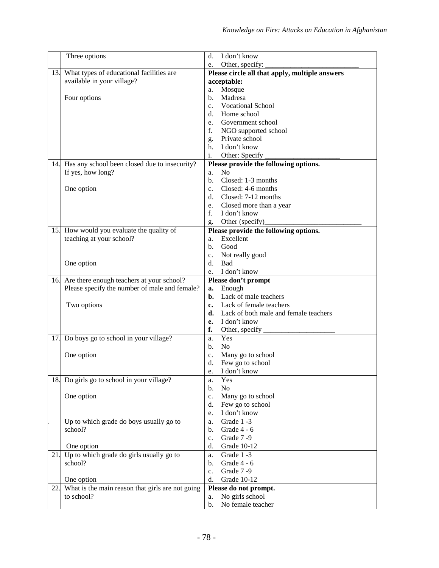|     | Three options                                     | I don't know<br>d.                                 |
|-----|---------------------------------------------------|----------------------------------------------------|
|     |                                                   | Other, specify:<br>e.                              |
| 13. | What types of educational facilities are          | Please circle all that apply, multiple answers     |
|     | available in your village?                        | acceptable:                                        |
|     |                                                   | Mosque<br>a.                                       |
|     | Four options                                      | Madresa<br>b.                                      |
|     |                                                   | <b>Vocational School</b><br>$c_{\cdot}$            |
|     |                                                   | Home school<br>d.                                  |
|     |                                                   | Government school<br>e.                            |
|     |                                                   | f.<br>NGO supported school                         |
|     |                                                   | Private school<br>g.                               |
|     |                                                   | I don't know<br>h.                                 |
|     |                                                   | Other: Specify<br>i.                               |
|     | 14. Has any school been closed due to insecurity? | Please provide the following options.              |
|     | If yes, how long?                                 | N <sub>0</sub><br>a.                               |
|     |                                                   | Closed: 1-3 months<br>b.                           |
|     | One option                                        | Closed: 4-6 months<br>$\mathbf{c}$ .               |
|     |                                                   | Closed: 7-12 months<br>d.                          |
|     |                                                   | Closed more than a year<br>e.                      |
|     |                                                   | $f_{\cdot}$<br>I don't know                        |
|     |                                                   |                                                    |
|     | 15. How would you evaluate the quality of         | Other (specify)<br>g.                              |
|     | teaching at your school?                          | Please provide the following options.<br>Excellent |
|     |                                                   | a.<br>Good<br>b.                                   |
|     |                                                   |                                                    |
|     |                                                   | Not really good<br>c.                              |
|     | One option                                        | d.<br><b>Bad</b>                                   |
|     |                                                   | I don't know<br>e.                                 |
| 16. | Are there enough teachers at your school?         | Please don't prompt                                |
|     | Please specify the number of male and female?     | Enough<br>a.<br>Lack of male teachers              |
|     |                                                   | b.<br>Lack of female teachers                      |
|     | Two options                                       | c.<br>Lack of both male and female teachers        |
|     |                                                   | d.                                                 |
|     |                                                   | I don't know<br>е.                                 |
|     |                                                   | f.<br>Other, specify                               |
| 17. | Do boys go to school in your village?             | Yes<br>a.                                          |
|     |                                                   | No<br>b.                                           |
|     | One option                                        | Many go to school<br>$c_{\cdot}$                   |
|     |                                                   | Few go to school<br>d.                             |
|     |                                                   | I don't know<br>e.                                 |
|     | 18. Do girls go to school in your village?        | Yes<br>a.                                          |
|     |                                                   | N <sub>o</sub><br>b.                               |
|     | One option                                        | Many go to school<br>$\mathbf{c}$ .                |
|     |                                                   | Few go to school<br>d.                             |
|     |                                                   | I don't know<br>e.                                 |
|     | Up to which grade do boys usually go to           | Grade 1-3<br>a.                                    |
|     | school?                                           | Grade 4 - 6<br>b.                                  |
|     |                                                   | Grade 7-9<br>c.                                    |
|     | One option                                        | <b>Grade 10-12</b><br>d.                           |
| 21. | Up to which grade do girls usually go to          | Grade 1-3<br>a.                                    |
|     | school?                                           | Grade 4 - 6<br>b.                                  |
|     |                                                   | Grade 7-9<br>c.                                    |
|     | One option                                        | Grade 10-12<br>d.                                  |
| 22. | What is the main reason that girls are not going  | Please do not prompt.                              |
|     | to school?                                        | No girls school<br>a.                              |
|     |                                                   | No female teacher<br>b.                            |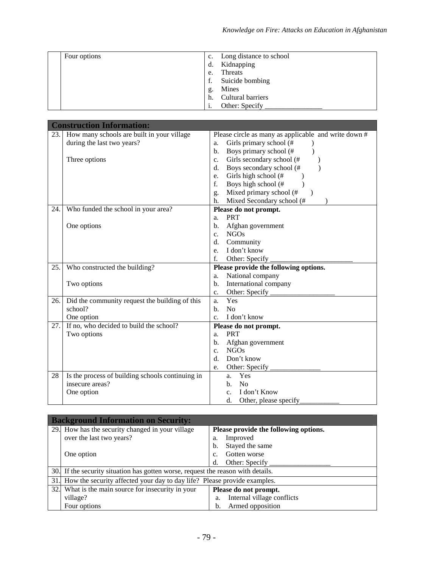| Four options | Long distance to school<br>c. |
|--------------|-------------------------------|
|              | Kidnapping<br>d.              |
|              | Threats<br>e.                 |
|              | Suicide bombing               |
|              | Mines<br>g.                   |
|              | Cultural barriers<br>h.       |
|              | Other: Specify                |

|     | <b>Construction Information:</b>                 |                                                      |
|-----|--------------------------------------------------|------------------------------------------------------|
|     | 23. How many schools are built in your village   | Please circle as many as applicable and write down # |
|     | during the last two years?                       | Girls primary school (#<br>a.                        |
|     |                                                  | Boys primary school (#<br>$\mathbf{b}$ .             |
|     | Three options                                    | Girls secondary school (#<br>C <sub>1</sub>          |
|     |                                                  | Boys secondary school (#<br>$d_{\cdot}$              |
|     |                                                  | Girls high school (#<br>e.                           |
|     |                                                  | Boys high school (#<br>f.                            |
|     |                                                  | Mixed primary school (#<br>g.                        |
|     |                                                  | Mixed Secondary school (#<br>h.                      |
| 24. | Who funded the school in your area?              | Please do not prompt.                                |
|     |                                                  | <b>PRT</b><br>a.                                     |
|     | One options                                      | Afghan government<br>b.                              |
|     |                                                  | NGOs<br>$c_{\cdot}$                                  |
|     |                                                  | Community<br>d.                                      |
|     |                                                  | I don't know<br>e.                                   |
|     |                                                  | Other: Specify<br>f.                                 |
| 25. | Who constructed the building?                    | Please provide the following options.                |
|     |                                                  | National company<br>a.                               |
|     | Two options                                      | International company<br>b.                          |
|     |                                                  | Other: Specify<br>$c_{\cdot}$                        |
| 26. | Did the community request the building of this   | Yes<br>a.                                            |
|     | school?                                          | N <sub>o</sub><br>b.                                 |
|     | One option                                       | I don't know<br>c.                                   |
| 27. | If no, who decided to build the school?          | Please do not prompt.                                |
|     | Two options                                      | <b>PRT</b><br>a.                                     |
|     |                                                  | Afghan government<br>$\mathbf{b}$ .                  |
|     |                                                  | <b>NGOs</b><br>$\mathbf{c}$ .                        |
|     |                                                  | Don't know<br>$d_{\cdot}$                            |
|     |                                                  | Other: Specify<br>e.                                 |
| 28  | Is the process of building schools continuing in | Yes<br>a.                                            |
|     | insecure areas?                                  | <b>No</b><br>b.                                      |
|     | One option                                       | I don't Know<br>$\mathbf{c}$ .                       |
|     |                                                  | d.<br>Other, please specify                          |

| <b>Background Information on Security:</b>                                       |                                       |  |  |  |
|----------------------------------------------------------------------------------|---------------------------------------|--|--|--|
| 29. How has the security changed in your village                                 | Please provide the following options. |  |  |  |
| over the last two years?                                                         | Improved<br>a.                        |  |  |  |
|                                                                                  | Stayed the same<br>b.                 |  |  |  |
| One option                                                                       | Gotten worse<br>C <sub>1</sub>        |  |  |  |
|                                                                                  | Other: Specify<br>d.                  |  |  |  |
| 30. If the security situation has gotten worse, request the reason with details. |                                       |  |  |  |
| 31. How the security affected your day to day life? Please provide examples.     |                                       |  |  |  |
| 32. What is the main source for insecurity in your                               | Please do not prompt.                 |  |  |  |
| village?                                                                         | Internal village conflicts<br>a.      |  |  |  |
| Four options                                                                     | Armed opposition<br>b.                |  |  |  |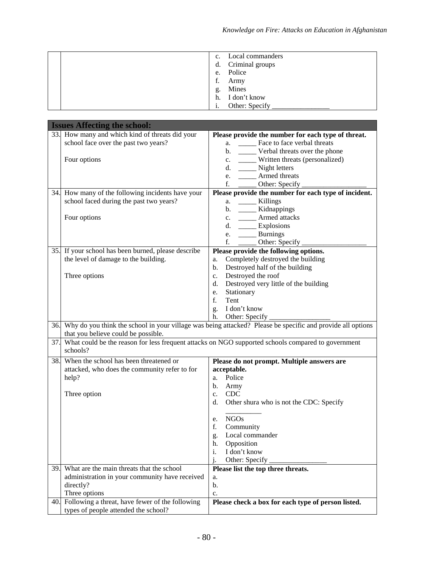| $c_{\cdot}$<br>e. | Local commanders<br>d. Criminal groups<br>Police |
|-------------------|--------------------------------------------------|
| f.                | Army                                             |
| g.                | Mines                                            |
| h.                | I don't know                                     |
| 1.                | Other: Specify                                   |

|     | <b>Issues Affecting the school:</b>               |                                                                                                                                  |
|-----|---------------------------------------------------|----------------------------------------------------------------------------------------------------------------------------------|
|     | 33. How many and which kind of threats did your   | Please provide the number for each type of threat.                                                                               |
|     | school face over the past two years?              | a. ________ Face to face verbal threats                                                                                          |
|     |                                                   | b. ______ Verbal threats over the phone                                                                                          |
|     | Four options                                      | c. ______ Written threats (personalized)                                                                                         |
|     |                                                   | d. _____ Night letters                                                                                                           |
|     |                                                   | e. _______ Armed threats                                                                                                         |
|     |                                                   | f.<br>Other: Specify                                                                                                             |
|     | 34. How many of the following incidents have your | Please provide the number for each type of incident.                                                                             |
|     | school faced during the past two years?           | a. ______ Killings                                                                                                               |
|     |                                                   | b. _____ Kidnappings                                                                                                             |
|     | Four options                                      | c. _______ Armed attacks                                                                                                         |
|     |                                                   | d. _________ Explosions                                                                                                          |
|     |                                                   | e. _________ Burnings                                                                                                            |
|     |                                                   | f.<br>Other: Specify                                                                                                             |
| 35. | If your school has been burned, please describe   | Please provide the following options.                                                                                            |
|     | the level of damage to the building.              | Completely destroyed the building<br>a.                                                                                          |
|     |                                                   | Destroyed half of the building<br>b.                                                                                             |
|     | Three options                                     | Destroyed the roof<br>$c_{\cdot}$                                                                                                |
|     |                                                   | Destroyed very little of the building<br>$\mathbf{d}$ .                                                                          |
|     |                                                   | Stationary<br>e.                                                                                                                 |
|     |                                                   | f.<br>Tent                                                                                                                       |
|     |                                                   | I don't know<br>g.<br>h.                                                                                                         |
|     |                                                   | Other: Specify<br>36. Why do you think the school in your village was being attacked? Please be specific and provide all options |
|     | that you believe could be possible.               |                                                                                                                                  |
| 37. |                                                   | What could be the reason for less frequent attacks on NGO supported schools compared to government                               |
|     | schools?                                          |                                                                                                                                  |
| 38. | When the school has been threatened or            | Please do not prompt. Multiple answers are                                                                                       |
|     | attacked, who does the community refer to for     | acceptable.                                                                                                                      |
|     | help?                                             | Police<br>a.                                                                                                                     |
|     |                                                   | Army<br>b.                                                                                                                       |
|     | Three option                                      | <b>CDC</b><br>$\mathbf{c}$ .                                                                                                     |
|     |                                                   | d.<br>Other shura who is not the CDC: Specify                                                                                    |
|     |                                                   | <b>NGOs</b><br>e.                                                                                                                |
|     |                                                   | Community<br>f.                                                                                                                  |
|     |                                                   | Local commander<br>g.                                                                                                            |
|     |                                                   | Opposition<br>h.                                                                                                                 |
|     |                                                   | I don't know<br>i.                                                                                                               |
|     |                                                   | Other: Specify<br>i.                                                                                                             |
| 39. | What are the main threats that the school         | Please list the top three threats.                                                                                               |
|     | administration in your community have received    | a.                                                                                                                               |
|     | directly?                                         | b.                                                                                                                               |
|     | Three options                                     | c.                                                                                                                               |
| 40. | Following a threat, have fewer of the following   | Please check a box for each type of person listed.                                                                               |
|     | types of people attended the school?              |                                                                                                                                  |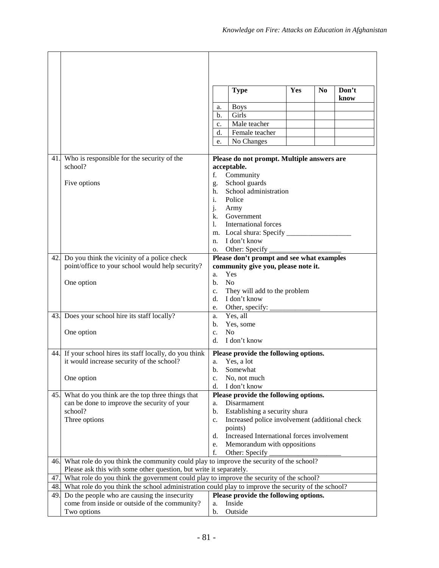|          |                                                                                        |                                                                                                                                                                                               | <b>Type</b>                                               | Yes | N <sub>0</sub> | Don't<br>know |
|----------|----------------------------------------------------------------------------------------|-----------------------------------------------------------------------------------------------------------------------------------------------------------------------------------------------|-----------------------------------------------------------|-----|----------------|---------------|
|          |                                                                                        | a.                                                                                                                                                                                            | <b>Boys</b>                                               |     |                |               |
|          |                                                                                        | b.                                                                                                                                                                                            | Girls                                                     |     |                |               |
|          |                                                                                        | c.                                                                                                                                                                                            | Male teacher                                              |     |                |               |
|          |                                                                                        | d.                                                                                                                                                                                            | Female teacher                                            |     |                |               |
|          |                                                                                        | e.                                                                                                                                                                                            | No Changes                                                |     |                |               |
|          |                                                                                        |                                                                                                                                                                                               |                                                           |     |                |               |
| 41.      | Who is responsible for the security of the<br>school?                                  |                                                                                                                                                                                               | Please do not prompt. Multiple answers are<br>acceptable. |     |                |               |
|          |                                                                                        | f.                                                                                                                                                                                            | Community                                                 |     |                |               |
|          | Five options                                                                           | g.                                                                                                                                                                                            | School guards                                             |     |                |               |
|          |                                                                                        | h.                                                                                                                                                                                            | School administration                                     |     |                |               |
|          |                                                                                        | i.                                                                                                                                                                                            | Police                                                    |     |                |               |
|          |                                                                                        | j.                                                                                                                                                                                            | Army                                                      |     |                |               |
|          |                                                                                        |                                                                                                                                                                                               | k. Government                                             |     |                |               |
|          |                                                                                        | $1_{-}$                                                                                                                                                                                       | International forces                                      |     |                |               |
|          |                                                                                        |                                                                                                                                                                                               |                                                           |     |                |               |
|          |                                                                                        | n.                                                                                                                                                                                            | I don't know                                              |     |                |               |
| 42.      | Do you think the vicinity of a police check                                            | о.                                                                                                                                                                                            |                                                           |     |                |               |
|          | point/office to your school would help security?                                       | Please don't prompt and see what examples<br>community give you, please note it.                                                                                                              |                                                           |     |                |               |
|          |                                                                                        | a.                                                                                                                                                                                            | Yes                                                       |     |                |               |
|          | One option                                                                             | b.                                                                                                                                                                                            | N <sub>o</sub>                                            |     |                |               |
|          |                                                                                        | c.                                                                                                                                                                                            | They will add to the problem                              |     |                |               |
|          |                                                                                        | d.                                                                                                                                                                                            | I don't know                                              |     |                |               |
|          |                                                                                        | e.                                                                                                                                                                                            | Other, specify: _                                         |     |                |               |
| 43.      | Does your school hire its staff locally?                                               | a.                                                                                                                                                                                            | Yes, all                                                  |     |                |               |
|          |                                                                                        | b.                                                                                                                                                                                            | Yes, some                                                 |     |                |               |
|          | One option                                                                             | $\mathbf{c}$ .                                                                                                                                                                                | No                                                        |     |                |               |
|          |                                                                                        | d.                                                                                                                                                                                            | I don't know                                              |     |                |               |
|          | 44. If your school hires its staff locally, do you think                               |                                                                                                                                                                                               | Please provide the following options.                     |     |                |               |
|          | it would increase security of the school?                                              | a.                                                                                                                                                                                            | Yes, a lot                                                |     |                |               |
|          |                                                                                        | b.                                                                                                                                                                                            | Somewhat                                                  |     |                |               |
|          | One option                                                                             | c.<br>d.                                                                                                                                                                                      | No, not much<br>I don't know                              |     |                |               |
| 45.      | What do you think are the top three things that                                        |                                                                                                                                                                                               | Please provide the following options.                     |     |                |               |
|          | can be done to improve the security of your                                            | a.                                                                                                                                                                                            | Disarmament                                               |     |                |               |
|          | school?                                                                                | b.                                                                                                                                                                                            | Establishing a security shura                             |     |                |               |
|          | Three options                                                                          | c.                                                                                                                                                                                            | Increased police involvement (additional check            |     |                |               |
|          |                                                                                        |                                                                                                                                                                                               | points)                                                   |     |                |               |
|          |                                                                                        | d.                                                                                                                                                                                            | Increased International forces involvement                |     |                |               |
|          |                                                                                        | e.                                                                                                                                                                                            | Memorandum with oppositions                               |     |                |               |
|          |                                                                                        | f.                                                                                                                                                                                            | Other: Specify                                            |     |                |               |
| 46.      | What role do you think the community could play to improve the security of the school? |                                                                                                                                                                                               |                                                           |     |                |               |
|          | Please ask this with some other question, but write it separately.                     |                                                                                                                                                                                               |                                                           |     |                |               |
| 47<br>48 |                                                                                        | What role do you think the government could play to improve the security of the school?<br>What role do you think the school administration could play to improve the security of the school? |                                                           |     |                |               |
| 49       | Do the people who are causing the insecurity                                           |                                                                                                                                                                                               | Please provide the following options.                     |     |                |               |
|          | come from inside or outside of the community?                                          | a.                                                                                                                                                                                            | Inside                                                    |     |                |               |
|          | Two options                                                                            | b.                                                                                                                                                                                            | Outside                                                   |     |                |               |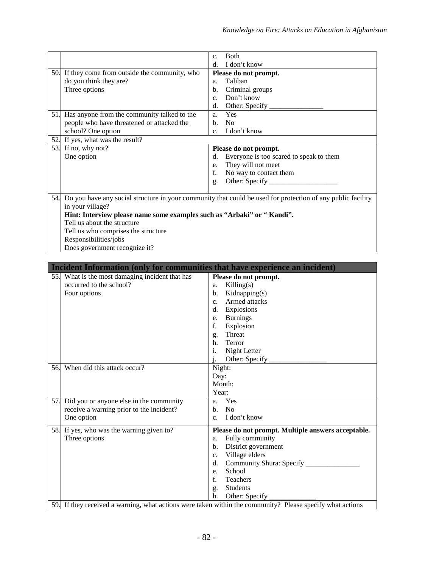| d.<br>I don't know<br>50. If they come from outside the community, who<br>Please do not prompt.<br>do you think they are?<br>Taliban<br>a.<br>Three options<br>Criminal groups<br>b.<br>Don't know<br>c.<br>Other: Specify<br>d.<br>Has anyone from the community talked to the<br>Yes<br>51.<br>a.<br>people who have threatened or attacked the<br>No<br>b.<br>school? One option<br>I don't know<br>$\mathbf{c}$ .<br>If yes, what was the result?<br>52.<br>53.<br>If no, why not?<br>Please do not prompt.<br>One option<br>Everyone is too scared to speak to them<br>d.<br>They will not meet<br>e. |
|------------------------------------------------------------------------------------------------------------------------------------------------------------------------------------------------------------------------------------------------------------------------------------------------------------------------------------------------------------------------------------------------------------------------------------------------------------------------------------------------------------------------------------------------------------------------------------------------------------|
|                                                                                                                                                                                                                                                                                                                                                                                                                                                                                                                                                                                                            |
|                                                                                                                                                                                                                                                                                                                                                                                                                                                                                                                                                                                                            |
|                                                                                                                                                                                                                                                                                                                                                                                                                                                                                                                                                                                                            |
|                                                                                                                                                                                                                                                                                                                                                                                                                                                                                                                                                                                                            |
|                                                                                                                                                                                                                                                                                                                                                                                                                                                                                                                                                                                                            |
|                                                                                                                                                                                                                                                                                                                                                                                                                                                                                                                                                                                                            |
|                                                                                                                                                                                                                                                                                                                                                                                                                                                                                                                                                                                                            |
|                                                                                                                                                                                                                                                                                                                                                                                                                                                                                                                                                                                                            |
|                                                                                                                                                                                                                                                                                                                                                                                                                                                                                                                                                                                                            |
|                                                                                                                                                                                                                                                                                                                                                                                                                                                                                                                                                                                                            |
|                                                                                                                                                                                                                                                                                                                                                                                                                                                                                                                                                                                                            |
|                                                                                                                                                                                                                                                                                                                                                                                                                                                                                                                                                                                                            |
|                                                                                                                                                                                                                                                                                                                                                                                                                                                                                                                                                                                                            |
| f.<br>No way to contact them                                                                                                                                                                                                                                                                                                                                                                                                                                                                                                                                                                               |
| g.                                                                                                                                                                                                                                                                                                                                                                                                                                                                                                                                                                                                         |
|                                                                                                                                                                                                                                                                                                                                                                                                                                                                                                                                                                                                            |
| Do you have any social structure in your community that could be used for protection of any public facility<br>54.                                                                                                                                                                                                                                                                                                                                                                                                                                                                                         |
| in your village?                                                                                                                                                                                                                                                                                                                                                                                                                                                                                                                                                                                           |
| Hint: Interview please name some examples such as "Arbaki" or "Kandi".                                                                                                                                                                                                                                                                                                                                                                                                                                                                                                                                     |
| Tell us about the structure                                                                                                                                                                                                                                                                                                                                                                                                                                                                                                                                                                                |
| Tell us who comprises the structure                                                                                                                                                                                                                                                                                                                                                                                                                                                                                                                                                                        |
| Responsibilities/jobs                                                                                                                                                                                                                                                                                                                                                                                                                                                                                                                                                                                      |
| Does government recognize it?                                                                                                                                                                                                                                                                                                                                                                                                                                                                                                                                                                              |
|                                                                                                                                                                                                                                                                                                                                                                                                                                                                                                                                                                                                            |
| Incident Information (only for communities that have experience an incident)                                                                                                                                                                                                                                                                                                                                                                                                                                                                                                                               |
| What is the most damaging incident that has<br>Please do not prompt.<br>55.                                                                                                                                                                                                                                                                                                                                                                                                                                                                                                                                |
| occurred to the school?<br>Killing(s)<br>a.                                                                                                                                                                                                                                                                                                                                                                                                                                                                                                                                                                |
| Kidnapping(s)<br>Four options<br>b.                                                                                                                                                                                                                                                                                                                                                                                                                                                                                                                                                                        |
| Armed attacks<br>$C_{\star}$                                                                                                                                                                                                                                                                                                                                                                                                                                                                                                                                                                               |
| Explosions<br>d.                                                                                                                                                                                                                                                                                                                                                                                                                                                                                                                                                                                           |
| <b>Burnings</b><br>e.                                                                                                                                                                                                                                                                                                                                                                                                                                                                                                                                                                                      |
| f.<br>Explosion                                                                                                                                                                                                                                                                                                                                                                                                                                                                                                                                                                                            |
| Threat<br>g.                                                                                                                                                                                                                                                                                                                                                                                                                                                                                                                                                                                               |
| Terror<br>h.                                                                                                                                                                                                                                                                                                                                                                                                                                                                                                                                                                                               |
| Night Letter<br>i.                                                                                                                                                                                                                                                                                                                                                                                                                                                                                                                                                                                         |
| Other: Specify                                                                                                                                                                                                                                                                                                                                                                                                                                                                                                                                                                                             |
| When did this attack occur?<br>56.<br>Night:                                                                                                                                                                                                                                                                                                                                                                                                                                                                                                                                                               |
| Day:                                                                                                                                                                                                                                                                                                                                                                                                                                                                                                                                                                                                       |
| Month:                                                                                                                                                                                                                                                                                                                                                                                                                                                                                                                                                                                                     |
| Year:                                                                                                                                                                                                                                                                                                                                                                                                                                                                                                                                                                                                      |
| Yes<br>Did you or anyone else in the community<br>57.<br>a.                                                                                                                                                                                                                                                                                                                                                                                                                                                                                                                                                |
| receive a warning prior to the incident?<br>N <sub>o</sub><br>b.                                                                                                                                                                                                                                                                                                                                                                                                                                                                                                                                           |
| One option<br>I don't know<br>C <sub>1</sub>                                                                                                                                                                                                                                                                                                                                                                                                                                                                                                                                                               |
| 58. If yes, who was the warning given to?<br>Please do not prompt. Multiple answers acceptable.                                                                                                                                                                                                                                                                                                                                                                                                                                                                                                            |
| Fully community<br>Three options<br>a.                                                                                                                                                                                                                                                                                                                                                                                                                                                                                                                                                                     |
| District government<br>b.                                                                                                                                                                                                                                                                                                                                                                                                                                                                                                                                                                                  |
| Village elders<br>c.                                                                                                                                                                                                                                                                                                                                                                                                                                                                                                                                                                                       |
| Community Shura: Specify _<br>d.                                                                                                                                                                                                                                                                                                                                                                                                                                                                                                                                                                           |
| School<br>e.                                                                                                                                                                                                                                                                                                                                                                                                                                                                                                                                                                                               |
| f.<br>Teachers                                                                                                                                                                                                                                                                                                                                                                                                                                                                                                                                                                                             |
| Students<br>g.                                                                                                                                                                                                                                                                                                                                                                                                                                                                                                                                                                                             |
| h.<br>Other: Specify                                                                                                                                                                                                                                                                                                                                                                                                                                                                                                                                                                                       |
| If they received a warning, what actions were taken within the community? Please specify what actions<br>59.                                                                                                                                                                                                                                                                                                                                                                                                                                                                                               |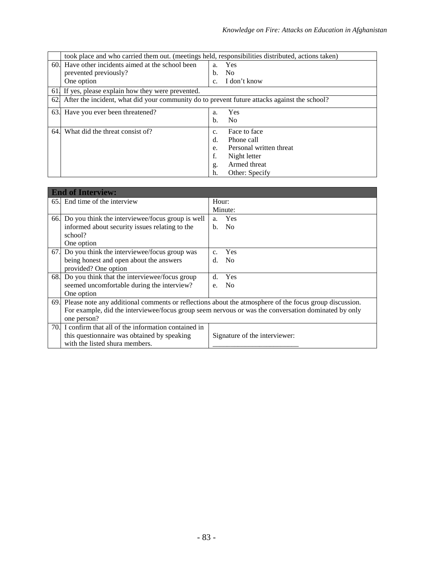|               | took place and who carried them out. (meetings held, responsibilities distributed, actions taken) |                |                         |  |  |
|---------------|---------------------------------------------------------------------------------------------------|----------------|-------------------------|--|--|
|               | 60. Have other incidents aimed at the school been                                                 | a.             | Yes                     |  |  |
|               | prevented previously?                                                                             | b.             | N <sub>0</sub>          |  |  |
|               | One option                                                                                        | C <sub>1</sub> | I don't know            |  |  |
| 61.           | If yes, please explain how they were prevented.                                                   |                |                         |  |  |
| <sup>62</sup> | After the incident, what did your community do to prevent future attacks against the school?      |                |                         |  |  |
| 63.           | Have you ever been threatened?                                                                    | a.             | Yes                     |  |  |
|               |                                                                                                   | b.             | No                      |  |  |
| 64.           | What did the threat consist of?                                                                   | C <sub>1</sub> | Face to face            |  |  |
|               |                                                                                                   | $d$ .          | Phone call              |  |  |
|               |                                                                                                   | e.             | Personal written threat |  |  |
|               |                                                                                                   | f.             | Night letter            |  |  |
|               |                                                                                                   | g.             | Armed threat            |  |  |
|               |                                                                                                   | h.             | Other: Specify          |  |  |

|     | <b>End of Interview:</b>                                                                                   |                |                               |  |  |
|-----|------------------------------------------------------------------------------------------------------------|----------------|-------------------------------|--|--|
|     | 65. End time of the interview                                                                              | Hour:          |                               |  |  |
|     |                                                                                                            |                | Minute:                       |  |  |
|     | 66. Do you think the interviewee/focus group is well                                                       | a <sub>1</sub> | Yes                           |  |  |
|     | informed about security issues relating to the                                                             | $h_{\cdot}$    | N <sub>0</sub>                |  |  |
|     | school?                                                                                                    |                |                               |  |  |
|     | One option                                                                                                 |                |                               |  |  |
| 67. | Do you think the interviewee/focus group was                                                               | $C_{\cdot}$    | Yes                           |  |  |
|     | being honest and open about the answers                                                                    | d.             | N <sub>0</sub>                |  |  |
|     | provided? One option                                                                                       |                |                               |  |  |
|     | 68. Do you think that the interviewee/focus group                                                          | $d$ .          | Yes                           |  |  |
|     | seemed uncomfortable during the interview?                                                                 | e.             | N <sub>0</sub>                |  |  |
|     | One option                                                                                                 |                |                               |  |  |
|     | 69. Please note any additional comments or reflections about the atmosphere of the focus group discussion. |                |                               |  |  |
|     | For example, did the interviewee/focus group seem nervous or was the conversation dominated by only        |                |                               |  |  |
|     | one person?                                                                                                |                |                               |  |  |
|     | 70. I confirm that all of the information contained in                                                     |                |                               |  |  |
|     | this questionnaire was obtained by speaking                                                                |                | Signature of the interviewer: |  |  |
|     | with the listed shura members.                                                                             |                |                               |  |  |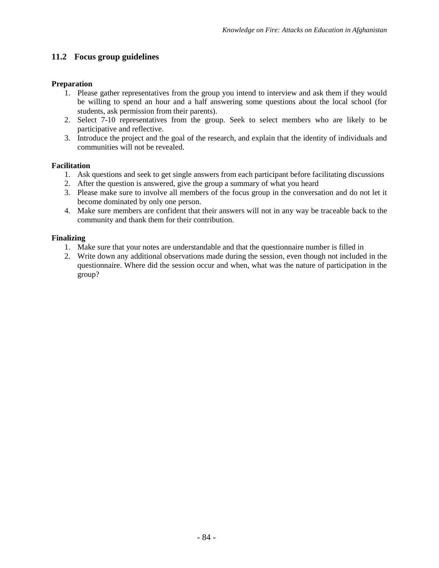# **11.2 Focus group guidelines**

## **Preparation**

- 1. Please gather representatives from the group you intend to interview and ask them if they would be willing to spend an hour and a half answering some questions about the local school (for students, ask permission from their parents).
- 2. Select 7-10 representatives from the group. Seek to select members who are likely to be participative and reflective.
- 3. Introduce the project and the goal of the research, and explain that the identity of individuals and communities will not be revealed.

## **Facilitation**

- 1. Ask questions and seek to get single answers from each participant before facilitating discussions
- 2. After the question is answered, give the group a summary of what you heard
- 3. Please make sure to involve all members of the focus group in the conversation and do not let it become dominated by only one person.
- 4. Make sure members are confident that their answers will not in any way be traceable back to the community and thank them for their contribution.

## **Finalizing**

- 1. Make sure that your notes are understandable and that the questionnaire number is filled in
- 2. Write down any additional observations made during the session, even though not included in the questionnaire. Where did the session occur and when, what was the nature of participation in the group?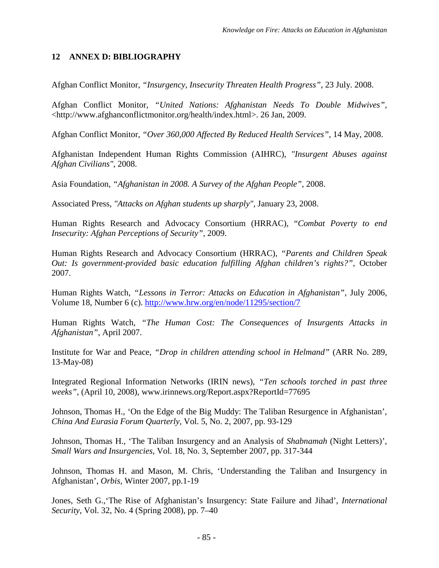# **12 ANNEX D: BIBLIOGRAPHY**

Afghan Conflict Monitor, *"Insurgency, Insecurity Threaten Health Progress"*, 23 July. 2008.

Afghan Conflict Monitor, *"United Nations: Afghanistan Needs To Double Midwives",* <http://www.afghanconflictmonitor.org/health/index.html>. 26 Jan, 2009.

Afghan Conflict Monitor, *"Over 360,000 Affected By Reduced Health Services"*, 14 May, 2008.

Afghanistan Independent Human Rights Commission (AIHRC), *"Insurgent Abuses against Afghan Civilians"*, 2008.

Asia Foundation, *"Afghanistan in 2008. A Survey of the Afghan People"*, 2008.

Associated Press, *"Attacks on Afghan students up sharply",* January 23, 2008.

Human Rights Research and Advocacy Consortium (HRRAC), "*Combat Poverty to end Insecurity: Afghan Perceptions of Security"*, 2009.

Human Rights Research and Advocacy Consortium (HRRAC), *"Parents and Children Speak Out: Is government-provided basic education fulfilling Afghan children's rights?"*, October 2007.

Human Rights Watch, *"Lessons in Terror: Attacks on Education in Afghanistan"*, July 2006, Volume 18, Number 6 (c). <http://www.hrw.org/en/node/11295/section/7>

Human Rights Watch, *"The Human Cost: The Consequences of Insurgents Attacks in Afghanistan"*, April 2007.

Institute for War and Peace, *"Drop in children attending school in Helmand"* (ARR No. 289, 13-May-08)

Integrated Regional Information Networks (IRIN news), *"Ten schools torched in past three weeks"*, (April 10, 2008), www.irinnews.org/Report.aspx?ReportId=77695

Johnson, Thomas H., 'On the Edge of the Big Muddy: The Taliban Resurgence in Afghanistan', *China And Eurasia Forum Quarterly*, Vol. 5, No. 2, 2007, pp. 93-129

Johnson, Thomas H., 'The Taliban Insurgency and an Analysis of *Shabnamah* (Night Letters)', *Small Wars and Insurgencies*, Vol. 18, No. 3, September 2007, pp. 317-344

Johnson, Thomas H. and Mason, M. Chris, 'Understanding the Taliban and Insurgency in Afghanistan', *Orbis,* Winter 2007, pp.1-19

Jones, Seth G.,'The Rise of Afghanistan's Insurgency: State Failure and Jihad', *International Security*, Vol. 32, No. 4 (Spring 2008), pp. 7–40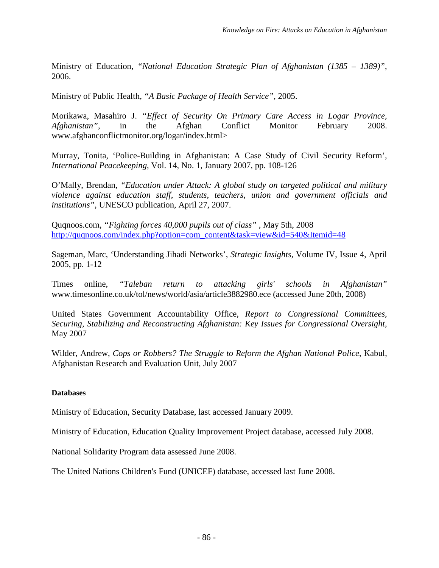Ministry of Education, *"National Education Strategic Plan of Afghanistan (1385 – 1389)"*, 2006.

Ministry of Public Health, *"A Basic Package of Health Service",* 2005.

Morikawa, Masahiro J. *"Effect of Security On Primary Care Access in Logar Province, Afghanistan"*, in the Afghan Conflict Monitor February 2008. www.afghanconflictmonitor.org/logar/index.html>

Murray, Tonita, 'Police-Building in Afghanistan: A Case Study of Civil Security Reform', *International Peacekeeping*, Vol. 14, No. 1, January 2007, pp. 108-126

O'Mally, Brendan, *"Education under Attack: A global study on targeted political and military violence against education staff, students, teachers, union and government officials and institutions"*, UNESCO publication, April 27, 2007.

Quqnoos.com, *"Fighting forces 40,000 pupils out of class"* , May 5th, 2008 [http://quqnoos.com/index.php?option=com\\_content&task=view&id=540&Itemid=48](http://quqnoos.com/index.php?option=com_content&task=view&id=540&Itemid=48)

Sageman, Marc, 'Understanding Jihadi Networks', *Strategic Insights*, Volume IV, Issue 4, April 2005, pp. 1-12

Times online, *"Taleban return to attacking girls' schools in Afghanistan"* www.timesonline.co.uk/tol/news/world/asia/article3882980.ece (accessed June 20th, 2008)

United States Government Accountability Office, *Report to Congressional Committees, Securing, Stabilizing and Reconstructing Afghanistan: Key Issues for Congressional Oversight*, May 2007

Wilder, Andrew, *Cops or Robbers? The Struggle to Reform the Afghan National Police*, Kabul, Afghanistan Research and Evaluation Unit, July 2007

# **Databases**

Ministry of Education, Security Database, last accessed January 2009.

Ministry of Education, Education Quality Improvement Project database, accessed July 2008.

National Solidarity Program data assessed June 2008.

The United Nations Children's Fund (UNICEF) database, accessed last June 2008.